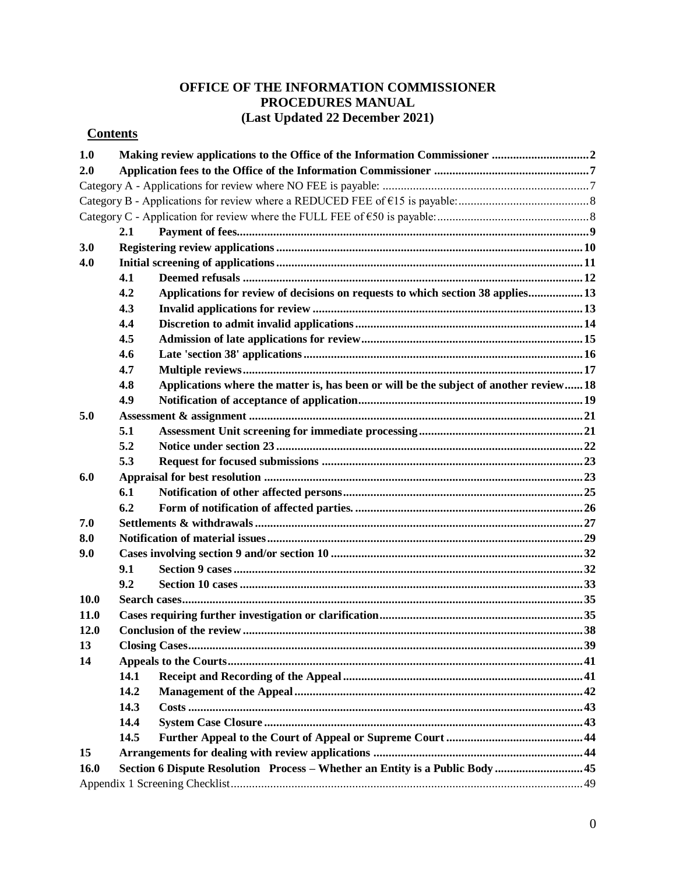# **OFFICE OF THE INFORMATION COMMISSIONER PROCEDURES MANUAL (Last Updated 22 December 2021)**

# **Contents**

| 1.0         |                                                                              |                                                                                        |  |  |
|-------------|------------------------------------------------------------------------------|----------------------------------------------------------------------------------------|--|--|
| 2.0         |                                                                              |                                                                                        |  |  |
|             |                                                                              |                                                                                        |  |  |
|             |                                                                              |                                                                                        |  |  |
|             |                                                                              |                                                                                        |  |  |
|             | 2.1                                                                          |                                                                                        |  |  |
| 3.0         |                                                                              |                                                                                        |  |  |
| 4.0         |                                                                              |                                                                                        |  |  |
|             | 4.1                                                                          |                                                                                        |  |  |
|             | 4.2                                                                          | Applications for review of decisions on requests to which section 38 applies13         |  |  |
|             | 4.3                                                                          |                                                                                        |  |  |
|             | 4.4                                                                          |                                                                                        |  |  |
|             | 4.5                                                                          |                                                                                        |  |  |
|             | 4.6                                                                          |                                                                                        |  |  |
|             | 4.7                                                                          |                                                                                        |  |  |
|             | 4.8                                                                          | Applications where the matter is, has been or will be the subject of another review 18 |  |  |
|             | 4.9                                                                          |                                                                                        |  |  |
| 5.0         |                                                                              |                                                                                        |  |  |
|             | 5.1                                                                          |                                                                                        |  |  |
|             | 5.2                                                                          |                                                                                        |  |  |
|             | 5.3                                                                          |                                                                                        |  |  |
| 6.0         |                                                                              |                                                                                        |  |  |
|             | 6.1                                                                          |                                                                                        |  |  |
|             | 6.2                                                                          |                                                                                        |  |  |
| 7.0         |                                                                              |                                                                                        |  |  |
| 8.0         |                                                                              |                                                                                        |  |  |
| 9.0         |                                                                              |                                                                                        |  |  |
|             | 9.1                                                                          |                                                                                        |  |  |
|             | 9.2                                                                          |                                                                                        |  |  |
| 10.0        |                                                                              |                                                                                        |  |  |
| <b>11.0</b> |                                                                              |                                                                                        |  |  |
| 12.0        |                                                                              |                                                                                        |  |  |
| 13          |                                                                              |                                                                                        |  |  |
| 14          |                                                                              |                                                                                        |  |  |
|             | 14.1                                                                         |                                                                                        |  |  |
|             | 14.2                                                                         |                                                                                        |  |  |
|             | 14.3                                                                         |                                                                                        |  |  |
|             | 14.4                                                                         |                                                                                        |  |  |
|             | 14.5                                                                         |                                                                                        |  |  |
| 15          |                                                                              |                                                                                        |  |  |
| 16.0        | Section 6 Dispute Resolution Process – Whether an Entity is a Public Body 45 |                                                                                        |  |  |
|             |                                                                              |                                                                                        |  |  |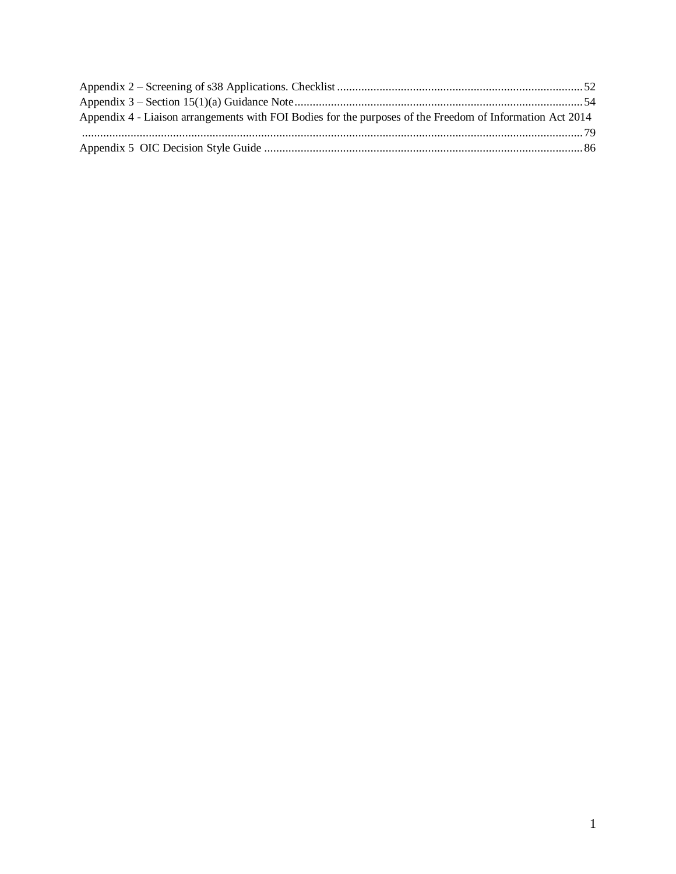| Appendix 4 - Liaison arrangements with FOI Bodies for the purposes of the Freedom of Information Act 2014 |  |
|-----------------------------------------------------------------------------------------------------------|--|
|                                                                                                           |  |
|                                                                                                           |  |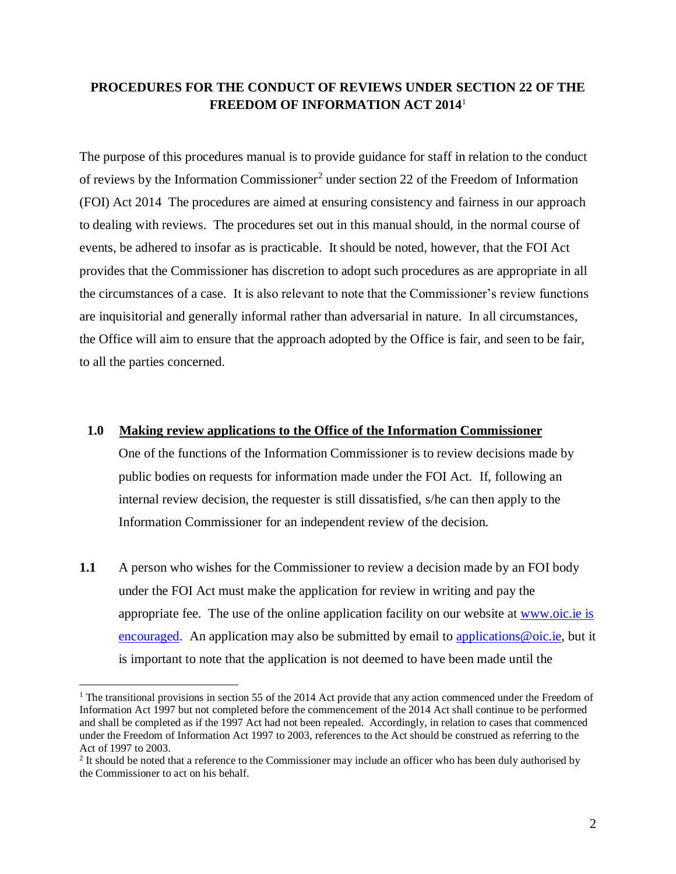# **PROCEDURES FOR THE CONDUCT OF REVIEWS UNDER SECTION 22 OF THE FREEDOM OF INFORMATION ACT 2014**<sup>1</sup>

The purpose of this procedures manual is to provide guidance for staff in relation to the conduct of reviews by the Information Commissioner<sup>2</sup> under section 22 of the Freedom of Information (FOI) Act 2014 The procedures are aimed at ensuring consistency and fairness in our approach to dealing with reviews. The procedures set out in this manual should, in the normal course of events, be adhered to insofar as is practicable. It should be noted, however, that the FOI Act provides that the Commissioner has discretion to adopt such procedures as are appropriate in all the circumstances of a case. It is also relevant to note that the Commissioner's review functions are inquisitorial and generally informal rather than adversarial in nature. In all circumstances, the Office will aim to ensure that the approach adopted by the Office is fair, and seen to be fair, to all the parties concerned.

### <span id="page-2-0"></span>**1.0 Making review applications to the Office of the Information Commissioner**

One of the functions of the Information Commissioner is to review decisions made by public bodies on requests for information made under the FOI Act. If, following an internal review decision, the requester is still dissatisfied, s/he can then apply to the Information Commissioner for an independent review of the decision.

**1.1** A person who wishes for the Commissioner to review a decision made by an FOI body under the FOI Act must make the application for review in writing and pay the appropriate fee. The use of the online application facility on our website at [www.oic.ie](http://www.oic.ie/) is encouraged. An application may also be submitted by email to applications @oic.ie, but it is important to note that the application is not deemed to have been made until the

 $\overline{a}$ 

<sup>&</sup>lt;sup>1</sup> The transitional provisions in section 55 of the 2014 Act provide that any action commenced under the Freedom of Information Act 1997 but not completed before the commencement of the 2014 Act shall continue to be performed and shall be completed as if the 1997 Act had not been repealed. Accordingly, in relation to cases that commenced under the Freedom of Information Act 1997 to 2003, references to the Act should be construed as referring to the Act of 1997 to 2003.

 $2$  It should be noted that a reference to the Commissioner may include an officer who has been duly authorised by the Commissioner to act on his behalf.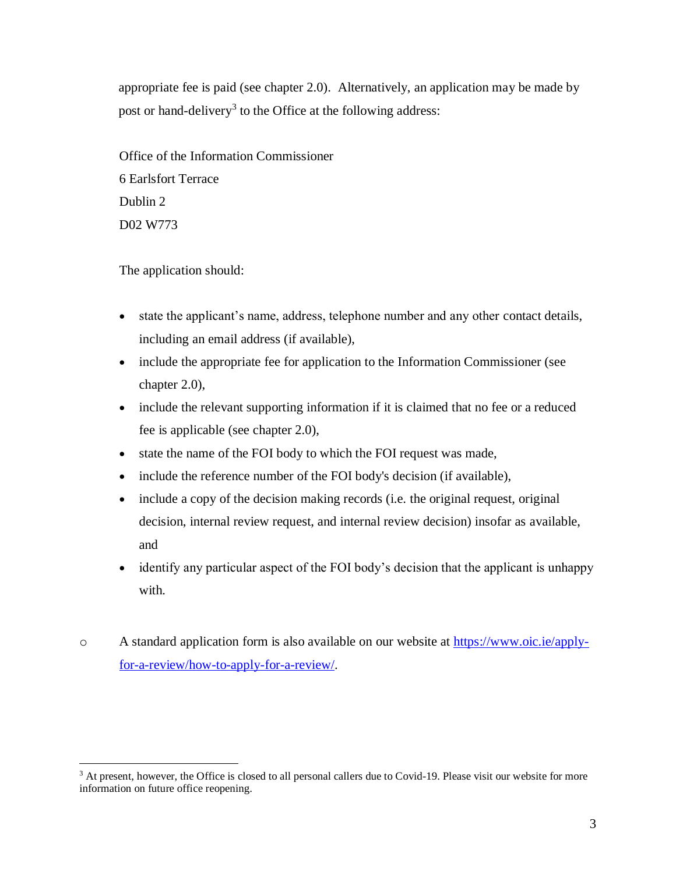appropriate fee is paid (see chapter [2.0\)](#page-7-0). Alternatively, an application may be made by post or hand-delivery<sup>3</sup> to the Office at the following address:

Office of the Information Commissioner 6 Earlsfort Terrace Dublin 2 D02 W773

The application should:

 $\overline{a}$ 

- state the applicant's name, address, telephone number and any other contact details, including an email address (if available),
- include the appropriate fee for application to the Information Commissioner (see chapter [2.0\)](#page-7-0),
- include the relevant supporting information if it is claimed that no fee or a reduced fee is applicable (see chapter [2.0\)](#page-7-0),
- state the name of the FOI body to which the FOI request was made,
- include the reference number of the FOI body's decision (if available),
- include a copy of the decision making records (i.e. the original request, original decision, internal review request, and internal review decision) insofar as available, and
- identify any particular aspect of the FOI body's decision that the applicant is unhappy with.
- o A standard application form is also available on our website at [https://www.oic.ie/apply](https://www.oic.ie/apply-for-a-review/how-to-apply-for-a-review/)[for-a-review/how-to-apply-for-a-review/.](https://www.oic.ie/apply-for-a-review/how-to-apply-for-a-review/)

<sup>&</sup>lt;sup>3</sup> At present, however, the Office is closed to all personal callers due to Covid-19. Please visit our website for more information on future office reopening.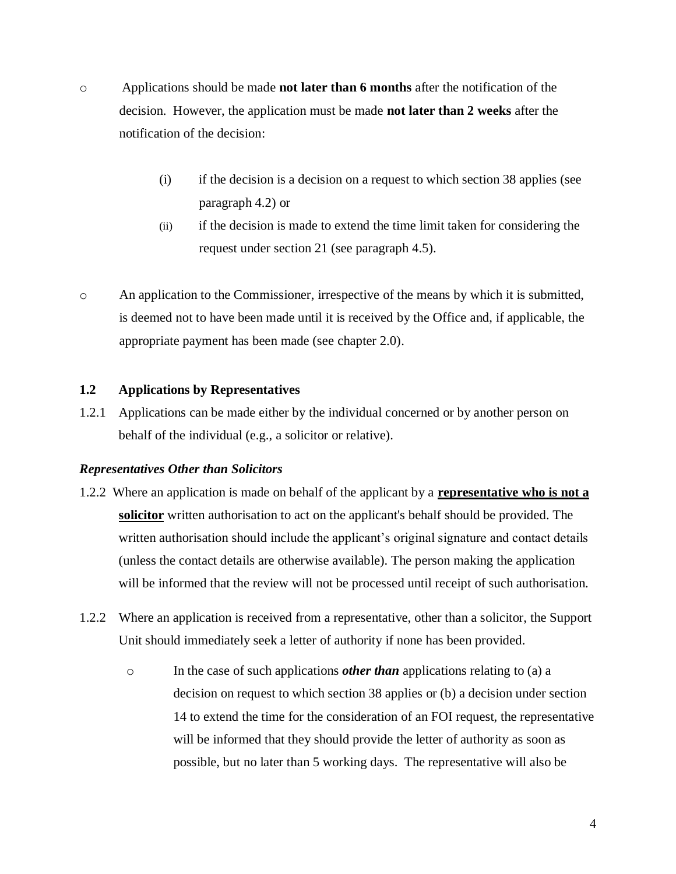- o Applications should be made **not later than 6 months** after the notification of the decision. However, the application must be made **not later than 2 weeks** after the notification of the decision:
	- (i) if the decision is a decision on a request to which section 38 applies (see paragraph 4.2) or
	- (ii) if the decision is made to extend the time limit taken for considering the request under section 21 (see paragraph [4.5\)](#page-15-0).
- o An application to the Commissioner, irrespective of the means by which it is submitted, is deemed not to have been made until it is received by the Office and, if applicable, the appropriate payment has been made (see chapter [2.0\)](#page-7-0).

### **1.2 Applications by Representatives**

1.2.1 Applications can be made either by the individual concerned or by another person on behalf of the individual (e.g., a solicitor or relative).

### *Representatives Other than Solicitors*

- 1.2.2 Where an application is made on behalf of the applicant by a **representative who is not a solicitor** written authorisation to act on the applicant's behalf should be provided. The written authorisation should include the applicant's original signature and contact details (unless the contact details are otherwise available). The person making the application will be informed that the review will not be processed until receipt of such authorisation.
- 1.2.2 Where an application is received from a representative, other than a solicitor, the Support Unit should immediately seek a letter of authority if none has been provided.
	- o In the case of such applications *other than* applications relating to (a) a decision on request to which section 38 applies or (b) a decision under section 14 to extend the time for the consideration of an FOI request, the representative will be informed that they should provide the letter of authority as soon as possible, but no later than 5 working days. The representative will also be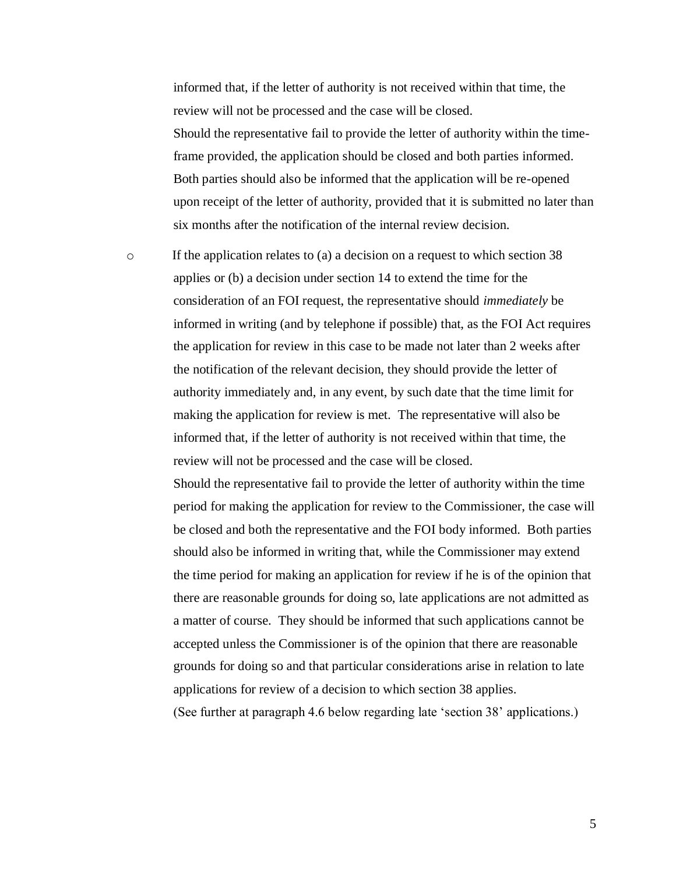informed that, if the letter of authority is not received within that time, the review will not be processed and the case will be closed. Should the representative fail to provide the letter of authority within the timeframe provided, the application should be closed and both parties informed. Both parties should also be informed that the application will be re-opened upon receipt of the letter of authority, provided that it is submitted no later than six months after the notification of the internal review decision.

o If the application relates to (a) a decision on a request to which section 38 applies or (b) a decision under section 14 to extend the time for the consideration of an FOI request, the representative should *immediately* be informed in writing (and by telephone if possible) that, as the FOI Act requires the application for review in this case to be made not later than 2 weeks after the notification of the relevant decision, they should provide the letter of authority immediately and, in any event, by such date that the time limit for making the application for review is met. The representative will also be informed that, if the letter of authority is not received within that time, the review will not be processed and the case will be closed.

> Should the representative fail to provide the letter of authority within the time period for making the application for review to the Commissioner, the case will be closed and both the representative and the FOI body informed. Both parties should also be informed in writing that, while the Commissioner may extend the time period for making an application for review if he is of the opinion that there are reasonable grounds for doing so, late applications are not admitted as a matter of course. They should be informed that such applications cannot be accepted unless the Commissioner is of the opinion that there are reasonable grounds for doing so and that particular considerations arise in relation to late applications for review of a decision to which section 38 applies.

(See further at paragraph 4.6 below regarding late 'section 38' applications.)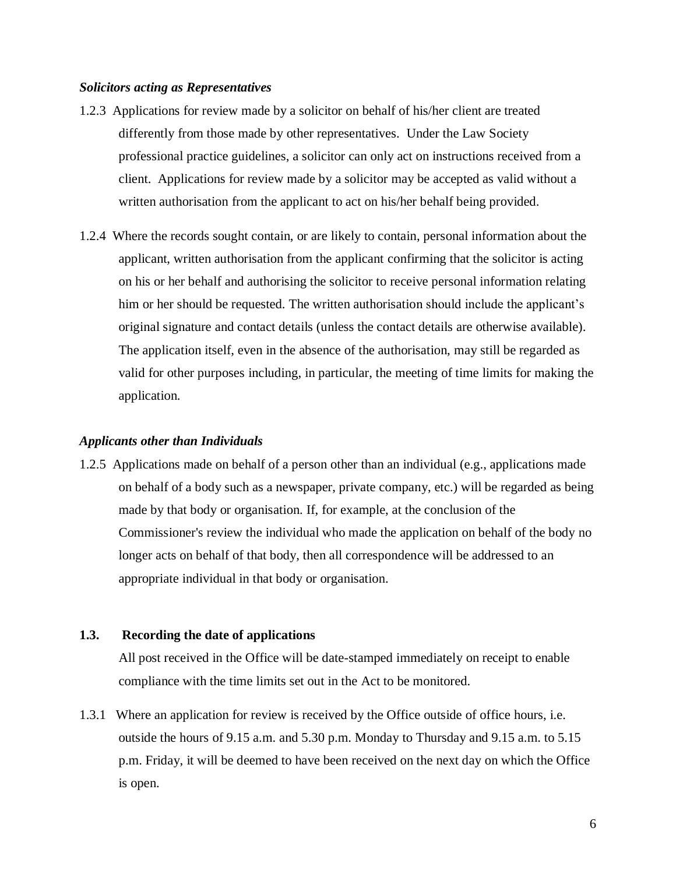#### *Solicitors acting as Representatives*

- 1.2.3 Applications for review made by a solicitor on behalf of his/her client are treated differently from those made by other representatives. Under the Law Society professional practice guidelines, a solicitor can only act on instructions received from a client. Applications for review made by a solicitor may be accepted as valid without a written authorisation from the applicant to act on his/her behalf being provided.
- 1.2.4 Where the records sought contain, or are likely to contain, personal information about the applicant, written authorisation from the applicant confirming that the solicitor is acting on his or her behalf and authorising the solicitor to receive personal information relating him or her should be requested. The written authorisation should include the applicant's original signature and contact details (unless the contact details are otherwise available). The application itself, even in the absence of the authorisation, may still be regarded as valid for other purposes including, in particular, the meeting of time limits for making the application.

#### *Applicants other than Individuals*

1.2.5 Applications made on behalf of a person other than an individual (e.g., applications made on behalf of a body such as a newspaper, private company, etc.) will be regarded as being made by that body or organisation. If, for example, at the conclusion of the Commissioner's review the individual who made the application on behalf of the body no longer acts on behalf of that body, then all correspondence will be addressed to an appropriate individual in that body or organisation.

### **1.3. Recording the date of applications**

All post received in the Office will be date-stamped immediately on receipt to enable compliance with the time limits set out in the Act to be monitored.

1.3.1 Where an application for review is received by the Office outside of office hours, i.e. outside the hours of 9.15 a.m. and 5.30 p.m. Monday to Thursday and 9.15 a.m. to 5.15 p.m. Friday, it will be deemed to have been received on the next day on which the Office is open.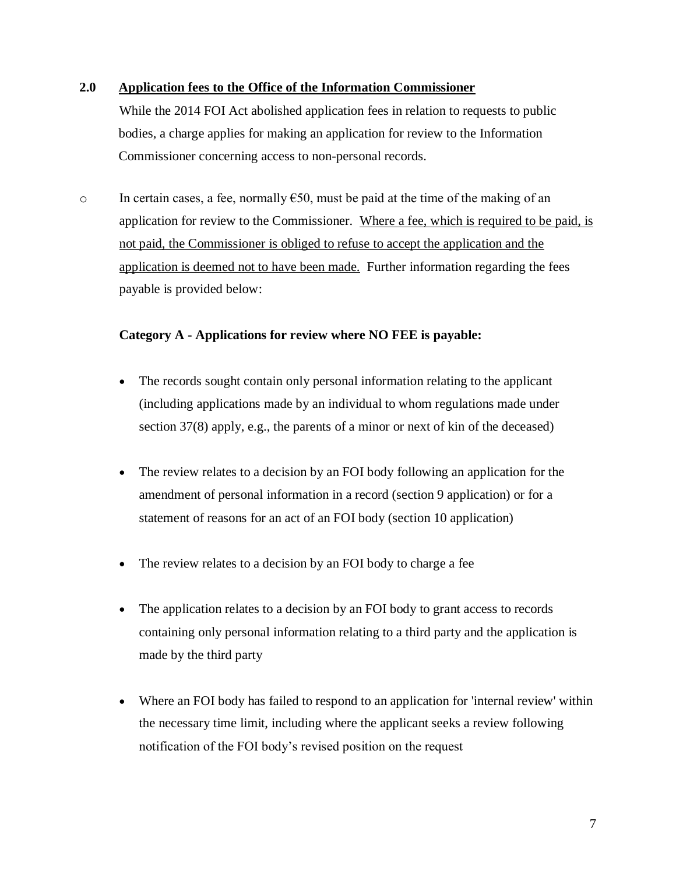## **2.0 Application fees to the Office of the Information Commissioner**

<span id="page-7-0"></span>While the 2014 FOI Act abolished application fees in relation to requests to public bodies, a charge applies for making an application for review to the Information Commissioner concerning access to non-personal records.

 $\circ$  In certain cases, a fee, normally  $\epsilon$ 50, must be paid at the time of the making of an application for review to the Commissioner. Where a fee, which is required to be paid, is not paid, the Commissioner is obliged to refuse to accept the application and the application is deemed not to have been made. Further information regarding the fees payable is provided below:

# <span id="page-7-1"></span>**Category A - Applications for review where NO FEE is payable:**

- The records sought contain only personal information relating to the applicant (including applications made by an individual to whom regulations made under section 37(8) apply, e.g., the parents of a minor or next of kin of the deceased)
- The review relates to a decision by an FOI body following an application for the amendment of personal information in a record (section 9 application) or for a statement of reasons for an act of an FOI body (section 10 application)
- The review relates to a decision by an FOI body to charge a fee
- The application relates to a decision by an FOI body to grant access to records containing only personal information relating to a third party and the application is made by the third party
- Where an FOI body has failed to respond to an application for 'internal review' within the necessary time limit, including where the applicant seeks a review following notification of the FOI body's revised position on the request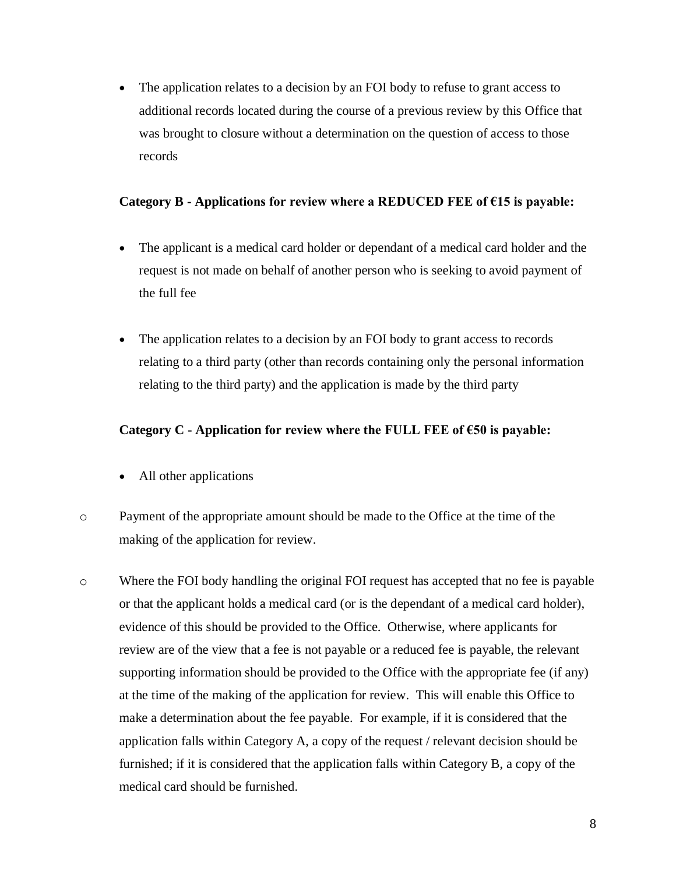• The application relates to a decision by an FOI body to refuse to grant access to additional records located during the course of a previous review by this Office that was brought to closure without a determination on the question of access to those records

## <span id="page-8-0"></span>**Category B - Applications for review where a REDUCED FEE of €15 is payable:**

- The applicant is a medical card holder or dependant of a medical card holder and the request is not made on behalf of another person who is seeking to avoid payment of the full fee
- The application relates to a decision by an FOI body to grant access to records relating to a third party (other than records containing only the personal information relating to the third party) and the application is made by the third party

# <span id="page-8-1"></span>**Category C - Application for review where the FULL FEE of €50 is payable:**

- All other applications
- o Payment of the appropriate amount should be made to the Office at the time of the making of the application for review.
- o Where the FOI body handling the original FOI request has accepted that no fee is payable or that the applicant holds a medical card (or is the dependant of a medical card holder), evidence of this should be provided to the Office. Otherwise, where applicants for review are of the view that a fee is not payable or a reduced fee is payable, the relevant supporting information should be provided to the Office with the appropriate fee (if any) at the time of the making of the application for review. This will enable this Office to make a determination about the fee payable. For example, if it is considered that the application falls within Category A, a copy of the request / relevant decision should be furnished; if it is considered that the application falls within Category B, a copy of the medical card should be furnished.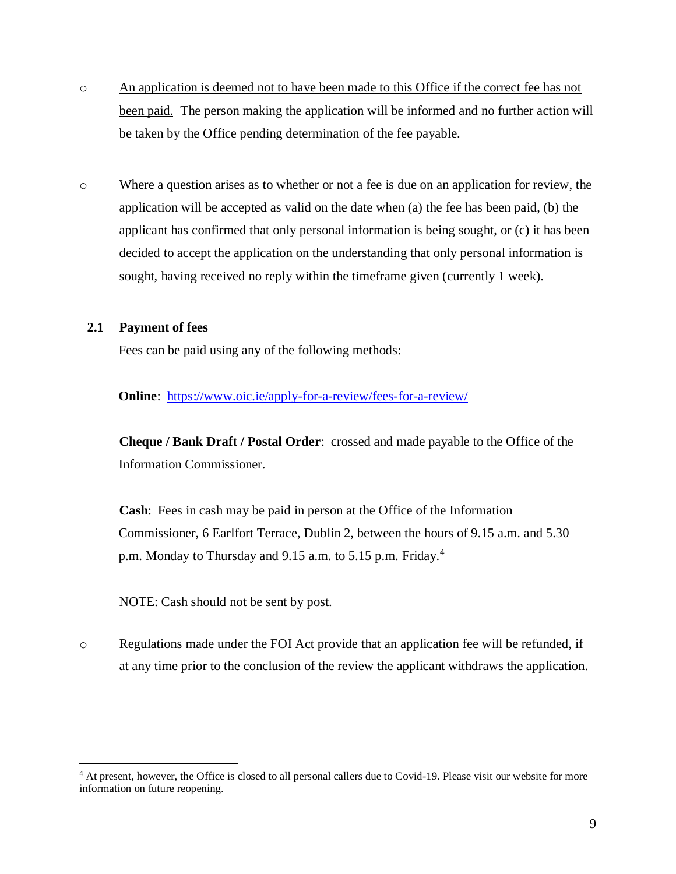- o An application is deemed not to have been made to this Office if the correct fee has not been paid. The person making the application will be informed and no further action will be taken by the Office pending determination of the fee payable.
- o Where a question arises as to whether or not a fee is due on an application for review, the application will be accepted as valid on the date when (a) the fee has been paid, (b) the applicant has confirmed that only personal information is being sought, or (c) it has been decided to accept the application on the understanding that only personal information is sought, having received no reply within the timeframe given (currently 1 week).

## <span id="page-9-0"></span>**2.1 Payment of fees**

 $\overline{a}$ 

Fees can be paid using any of the following methods:

**Online**: <https://www.oic.ie/apply-for-a-review/fees-for-a-review/>

**Cheque / Bank Draft / Postal Order**: crossed and made payable to the Office of the Information Commissioner.

**Cash**: Fees in cash may be paid in person at the Office of the Information Commissioner, 6 Earlfort Terrace, Dublin 2, between the hours of 9.15 a.m. and 5.30 p.m. Monday to Thursday and 9.15 a.m. to 5.15 p.m. Friday.<sup>4</sup>

NOTE: Cash should not be sent by post.

o Regulations made under the FOI Act provide that an application fee will be refunded, if at any time prior to the conclusion of the review the applicant withdraws the application.

<sup>&</sup>lt;sup>4</sup> At present, however, the Office is closed to all personal callers due to Covid-19. Please visit our website for more information on future reopening.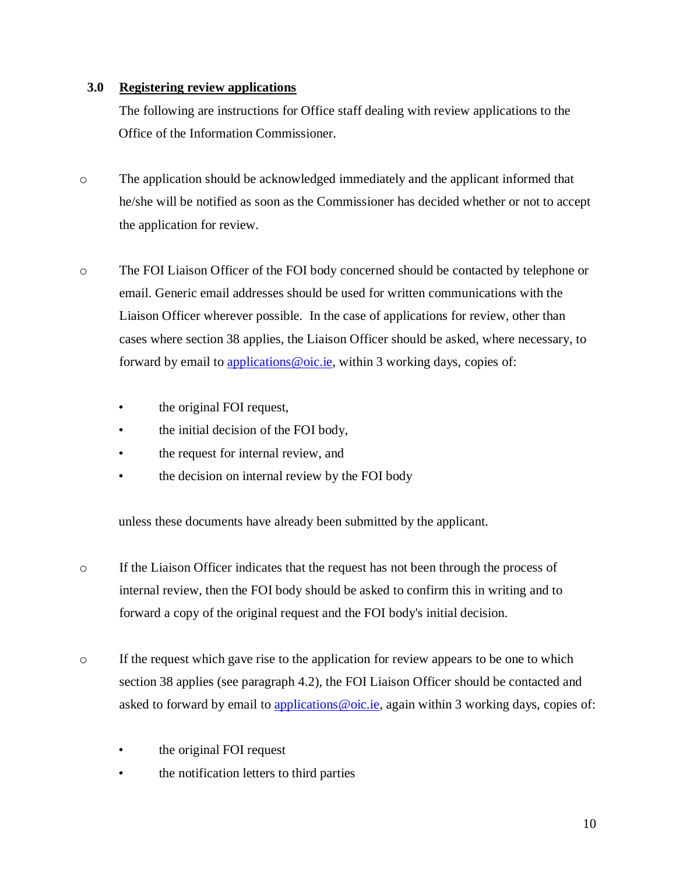# **3.0 Registering review applications**

<span id="page-10-0"></span>The following are instructions for Office staff dealing with review applications to the Office of the Information Commissioner.

- o The application should be acknowledged immediately and the applicant informed that he/she will be notified as soon as the Commissioner has decided whether or not to accept the application for review.
- o The FOI Liaison Officer of the FOI body concerned should be contacted by telephone or email. Generic email addresses should be used for written communications with the Liaison Officer wherever possible. In the case of applications for review, other than cases where section 38 applies, the Liaison Officer should be asked, where necessary, to forward by email to applications @oic.ie, within 3 working days, copies of:
	- the original FOI request,
	- the initial decision of the FOI body,
	- the request for internal review, and
	- the decision on internal review by the FOI body

unless these documents have already been submitted by the applicant.

- o If the Liaison Officer indicates that the request has not been through the process of internal review, then the FOI body should be asked to confirm this in writing and to forward a copy of the original request and the FOI body's initial decision.
- o If the request which gave rise to the application for review appears to be one to which section 38 applies (see paragraph [4.2\)](#page-13-0), the FOI Liaison Officer should be contacted and asked to forward by email to applications @oic.ie, again within 3 working days, copies of:
	- the original FOI request
	- the notification letters to third parties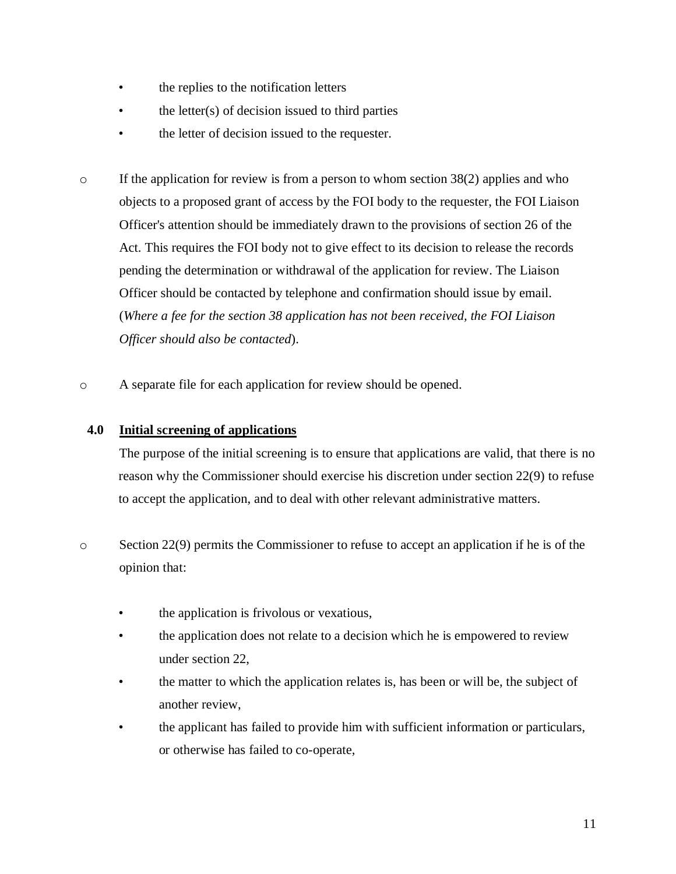- the replies to the notification letters
- the letter $(s)$  of decision issued to third parties
- the letter of decision issued to the requester.
- $\circ$  If the application for review is from a person to whom section 38(2) applies and who objects to a proposed grant of access by the FOI body to the requester, the FOI Liaison Officer's attention should be immediately drawn to the provisions of section 26 of the Act. This requires the FOI body not to give effect to its decision to release the records pending the determination or withdrawal of the application for review. The Liaison Officer should be contacted by telephone and confirmation should issue by email. (*Where a fee for the section 38 application has not been received, the FOI Liaison Officer should also be contacted*).
- o A separate file for each application for review should be opened.

## **4.0 Initial screening of applications**

<span id="page-11-0"></span>The purpose of the initial screening is to ensure that applications are valid, that there is no reason why the Commissioner should exercise his discretion under section 22(9) to refuse to accept the application, and to deal with other relevant administrative matters.

- o Section 22(9) permits the Commissioner to refuse to accept an application if he is of the opinion that:
	- the application is frivolous or vexatious,
	- the application does not relate to a decision which he is empowered to review under section 22,
	- the matter to which the application relates is, has been or will be, the subject of another review,
	- the applicant has failed to provide him with sufficient information or particulars, or otherwise has failed to co-operate,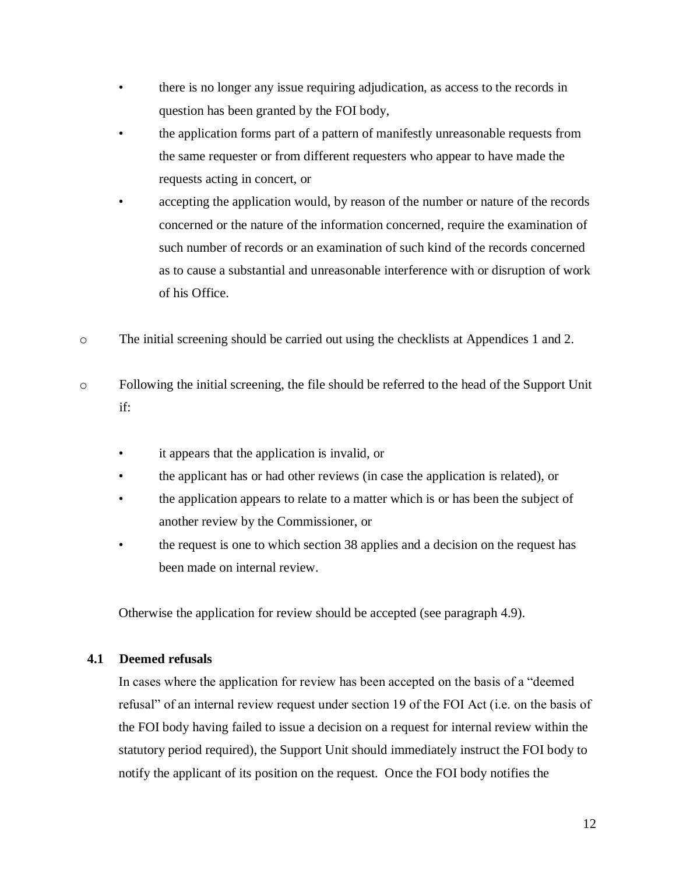- there is no longer any issue requiring adjudication, as access to the records in question has been granted by the FOI body,
- the application forms part of a pattern of manifestly unreasonable requests from the same requester or from different requesters who appear to have made the requests acting in concert, or
- accepting the application would, by reason of the number or nature of the records concerned or the nature of the information concerned, require the examination of such number of records or an examination of such kind of the records concerned as to cause a substantial and unreasonable interference with or disruption of work of his Office.
- o The initial screening should be carried out using the checklists at Appendices 1 and 2.
- o Following the initial screening, the file should be referred to the head of the Support Unit if:
	- it appears that the application is invalid, or
	- the applicant has or had other reviews (in case the application is related), or
	- the application appears to relate to a matter which is or has been the subject of another review by the Commissioner, or
	- the request is one to which section 38 applies and a decision on the request has been made on internal review.

Otherwise the application for review should be accepted (see paragraph [4.9\)](#page-19-0).

# <span id="page-12-0"></span>**4.1 Deemed refusals**

In cases where the application for review has been accepted on the basis of a "deemed refusal" of an internal review request under section 19 of the FOI Act (i.e. on the basis of the FOI body having failed to issue a decision on a request for internal review within the statutory period required), the Support Unit should immediately instruct the FOI body to notify the applicant of its position on the request. Once the FOI body notifies the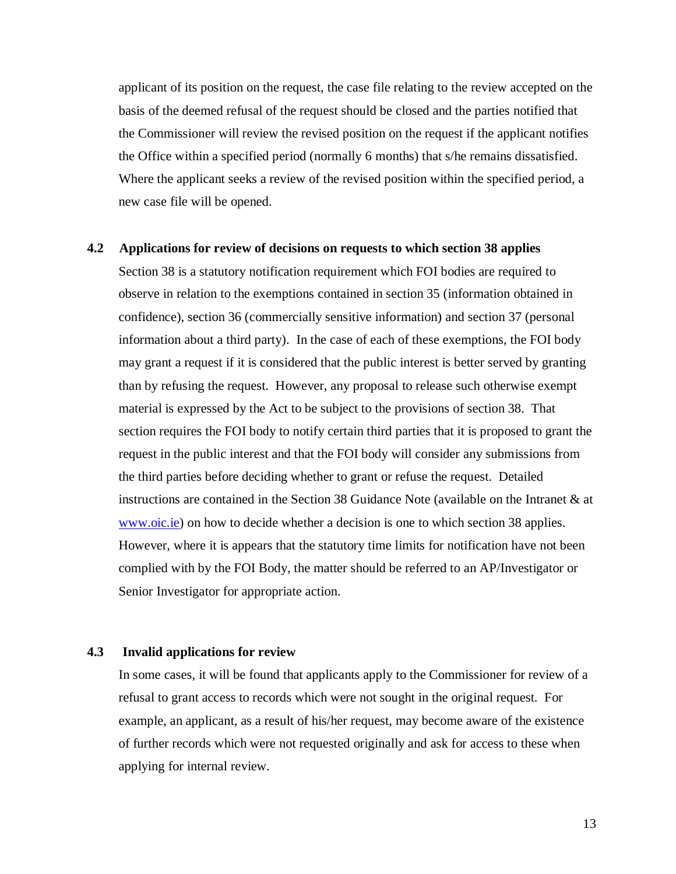applicant of its position on the request, the case file relating to the review accepted on the basis of the deemed refusal of the request should be closed and the parties notified that the Commissioner will review the revised position on the request if the applicant notifies the Office within a specified period (normally 6 months) that s/he remains dissatisfied. Where the applicant seeks a review of the revised position within the specified period, a new case file will be opened.

#### <span id="page-13-0"></span>**4.2 Applications for review of decisions on requests to which section 38 applies**

Section 38 is a statutory notification requirement which FOI bodies are required to observe in relation to the exemptions contained in section 35 (information obtained in confidence), section 36 (commercially sensitive information) and section 37 (personal information about a third party). In the case of each of these exemptions, the FOI body may grant a request if it is considered that the public interest is better served by granting than by refusing the request. However, any proposal to release such otherwise exempt material is expressed by the Act to be subject to the provisions of section 38. That section requires the FOI body to notify certain third parties that it is proposed to grant the request in the public interest and that the FOI body will consider any submissions from the third parties before deciding whether to grant or refuse the request. Detailed instructions are contained in the Section 38 Guidance Note (available on the Intranet & at [www.oic.ie\)](https://dms.ombudsman.ie/sites/OIC/SectionManagement/www.oic.ie) on how to decide whether a decision is one to which section 38 applies. However, where it is appears that the statutory time limits for notification have not been complied with by the FOI Body, the matter should be referred to an AP/Investigator or Senior Investigator for appropriate action.

### **4.3 Invalid applications for review**

<span id="page-13-1"></span>In some cases, it will be found that applicants apply to the Commissioner for review of a refusal to grant access to records which were not sought in the original request. For example, an applicant, as a result of his/her request, may become aware of the existence of further records which were not requested originally and ask for access to these when applying for internal review.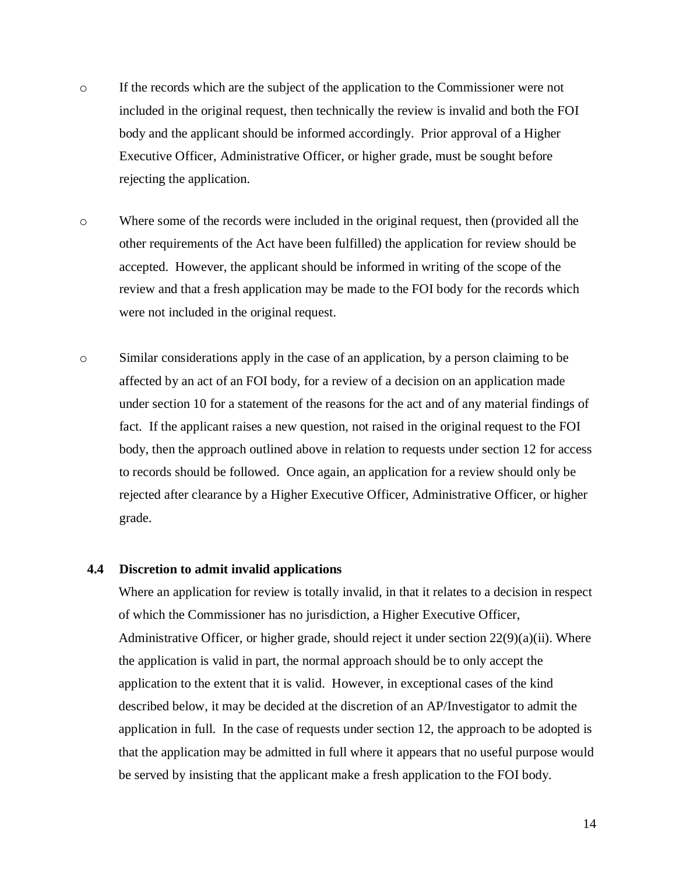- o If the records which are the subject of the application to the Commissioner were not included in the original request, then technically the review is invalid and both the FOI body and the applicant should be informed accordingly. Prior approval of a Higher Executive Officer, Administrative Officer, or higher grade, must be sought before rejecting the application.
- o Where some of the records were included in the original request, then (provided all the other requirements of the Act have been fulfilled) the application for review should be accepted. However, the applicant should be informed in writing of the scope of the review and that a fresh application may be made to the FOI body for the records which were not included in the original request.
- o Similar considerations apply in the case of an application, by a person claiming to be affected by an act of an FOI body, for a review of a decision on an application made under section 10 for a statement of the reasons for the act and of any material findings of fact. If the applicant raises a new question, not raised in the original request to the FOI body, then the approach outlined above in relation to requests under section 12 for access to records should be followed. Once again, an application for a review should only be rejected after clearance by a Higher Executive Officer, Administrative Officer, or higher grade.

#### <span id="page-14-0"></span>**4.4 Discretion to admit invalid applications**

Where an application for review is totally invalid, in that it relates to a decision in respect of which the Commissioner has no jurisdiction, a Higher Executive Officer, Administrative Officer, or higher grade, should reject it under section  $22(9)(a)(ii)$ . Where the application is valid in part, the normal approach should be to only accept the application to the extent that it is valid. However, in exceptional cases of the kind described below, it may be decided at the discretion of an AP/Investigator to admit the application in full. In the case of requests under section 12, the approach to be adopted is that the application may be admitted in full where it appears that no useful purpose would be served by insisting that the applicant make a fresh application to the FOI body.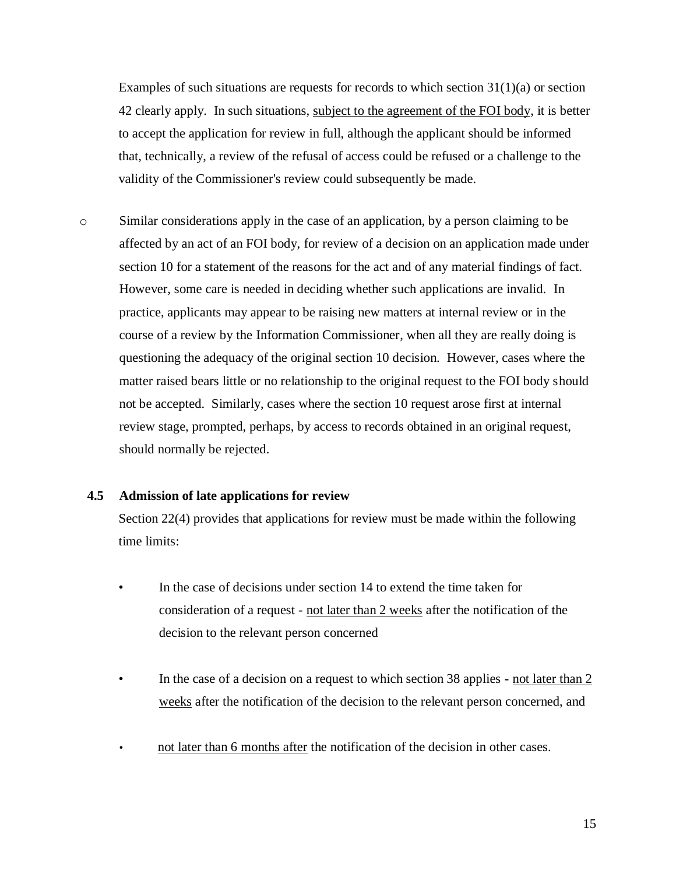Examples of such situations are requests for records to which section  $31(1)(a)$  or section 42 clearly apply. In such situations, subject to the agreement of the FOI body, it is better to accept the application for review in full, although the applicant should be informed that, technically, a review of the refusal of access could be refused or a challenge to the validity of the Commissioner's review could subsequently be made.

o Similar considerations apply in the case of an application, by a person claiming to be affected by an act of an FOI body, for review of a decision on an application made under section 10 for a statement of the reasons for the act and of any material findings of fact. However, some care is needed in deciding whether such applications are invalid. In practice, applicants may appear to be raising new matters at internal review or in the course of a review by the Information Commissioner, when all they are really doing is questioning the adequacy of the original section 10 decision. However, cases where the matter raised bears little or no relationship to the original request to the FOI body should not be accepted. Similarly, cases where the section 10 request arose first at internal review stage, prompted, perhaps, by access to records obtained in an original request, should normally be rejected.

### <span id="page-15-0"></span>**4.5 Admission of late applications for review**

Section 22(4) provides that applications for review must be made within the following time limits:

- In the case of decisions under section 14 to extend the time taken for consideration of a request - not later than 2 weeks after the notification of the decision to the relevant person concerned
- In the case of a decision on a request to which section 38 applies **-** not later than 2 weeks after the notification of the decision to the relevant person concerned, and
- not later than 6 months after the notification of the decision in other cases.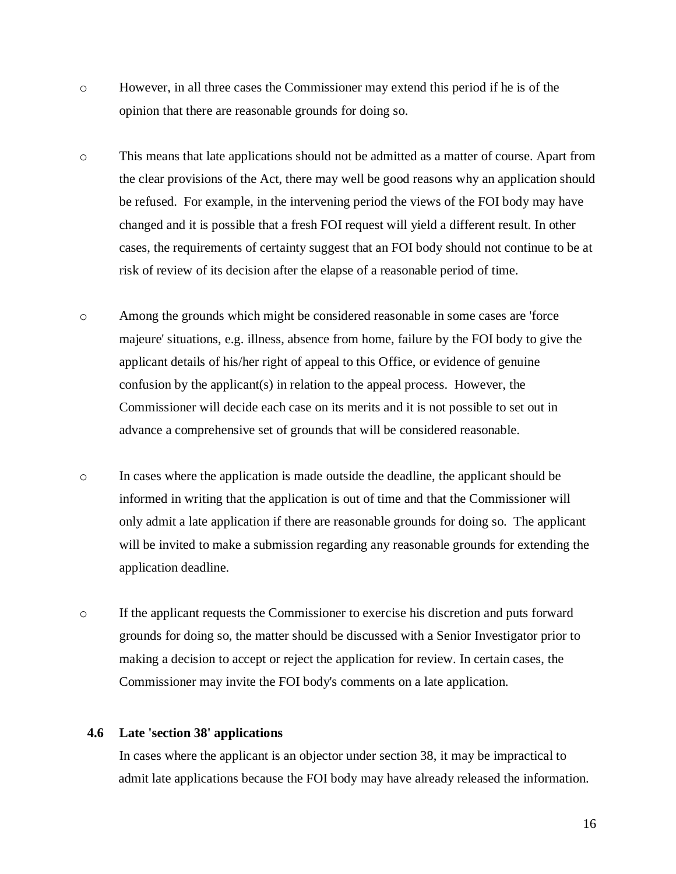- o However, in all three cases the Commissioner may extend this period if he is of the opinion that there are reasonable grounds for doing so.
- o This means that late applications should not be admitted as a matter of course. Apart from the clear provisions of the Act, there may well be good reasons why an application should be refused. For example, in the intervening period the views of the FOI body may have changed and it is possible that a fresh FOI request will yield a different result. In other cases, the requirements of certainty suggest that an FOI body should not continue to be at risk of review of its decision after the elapse of a reasonable period of time.
- o Among the grounds which might be considered reasonable in some cases are 'force majeure' situations, e.g. illness, absence from home, failure by the FOI body to give the applicant details of his/her right of appeal to this Office, or evidence of genuine confusion by the applicant(s) in relation to the appeal process. However, the Commissioner will decide each case on its merits and it is not possible to set out in advance a comprehensive set of grounds that will be considered reasonable.
- o In cases where the application is made outside the deadline, the applicant should be informed in writing that the application is out of time and that the Commissioner will only admit a late application if there are reasonable grounds for doing so. The applicant will be invited to make a submission regarding any reasonable grounds for extending the application deadline.
- o If the applicant requests the Commissioner to exercise his discretion and puts forward grounds for doing so, the matter should be discussed with a Senior Investigator prior to making a decision to accept or reject the application for review. In certain cases, the Commissioner may invite the FOI body's comments on a late application.

### <span id="page-16-0"></span>**4.6 Late 'section 38' applications**

In cases where the applicant is an objector under section 38, it may be impractical to admit late applications because the FOI body may have already released the information.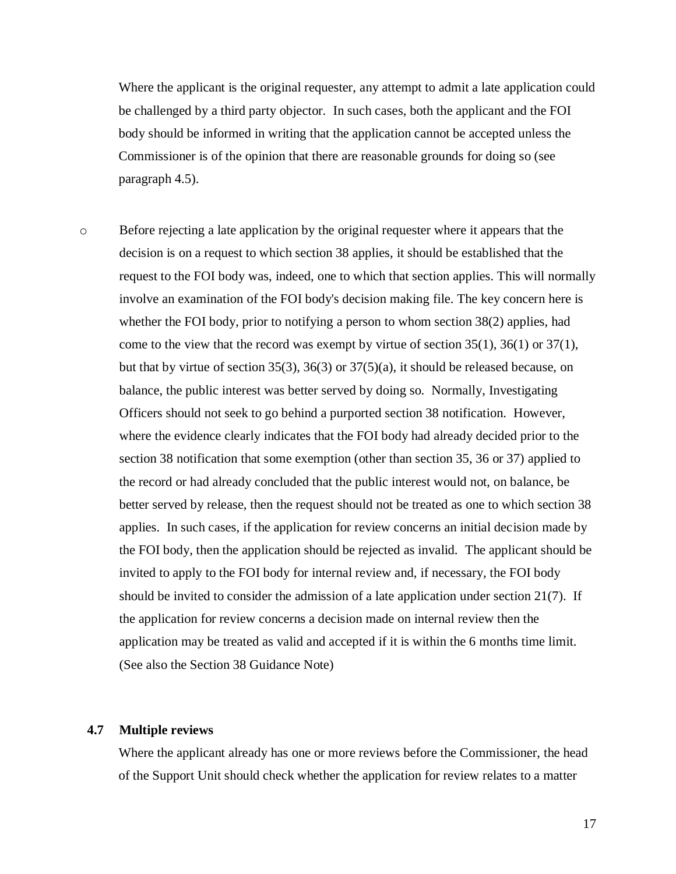Where the applicant is the original requester, any attempt to admit a late application could be challenged by a third party objector. In such cases, both the applicant and the FOI body should be informed in writing that the application cannot be accepted unless the Commissioner is of the opinion that there are reasonable grounds for doing so (see paragraph [4.5\)](#page-15-0).

o Before rejecting a late application by the original requester where it appears that the decision is on a request to which section 38 applies, it should be established that the request to the FOI body was, indeed, one to which that section applies. This will normally involve an examination of the FOI body's decision making file. The key concern here is whether the FOI body, prior to notifying a person to whom section 38(2) applies, had come to the view that the record was exempt by virtue of section  $35(1)$ ,  $36(1)$  or  $37(1)$ , but that by virtue of section 35(3), 36(3) or 37(5)(a), it should be released because, on balance, the public interest was better served by doing so. Normally, Investigating Officers should not seek to go behind a purported section 38 notification. However, where the evidence clearly indicates that the FOI body had already decided prior to the section 38 notification that some exemption (other than section 35, 36 or 37) applied to the record or had already concluded that the public interest would not, on balance, be better served by release, then the request should not be treated as one to which section 38 applies. In such cases, if the application for review concerns an initial decision made by the FOI body, then the application should be rejected as invalid. The applicant should be invited to apply to the FOI body for internal review and, if necessary, the FOI body should be invited to consider the admission of a late application under section 21(7). If the application for review concerns a decision made on internal review then the application may be treated as valid and accepted if it is within the 6 months time limit. (See also the Section 38 Guidance Note)

## <span id="page-17-0"></span>**4.7 Multiple reviews**

Where the applicant already has one or more reviews before the Commissioner, the head of the Support Unit should check whether the application for review relates to a matter

17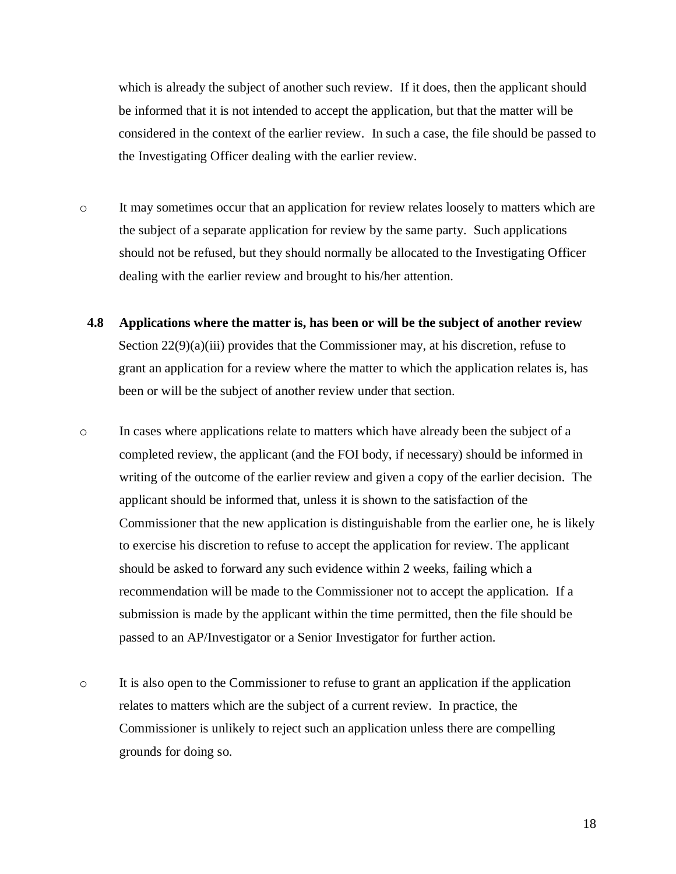which is already the subject of another such review. If it does, then the applicant should be informed that it is not intended to accept the application, but that the matter will be considered in the context of the earlier review. In such a case, the file should be passed to the Investigating Officer dealing with the earlier review.

- o It may sometimes occur that an application for review relates loosely to matters which are the subject of a separate application for review by the same party. Such applications should not be refused, but they should normally be allocated to the Investigating Officer dealing with the earlier review and brought to his/her attention.
- <span id="page-18-0"></span>**4.8 Applications where the matter is, has been or will be the subject of another review** Section 22(9)(a)(iii) provides that the Commissioner may, at his discretion, refuse to grant an application for a review where the matter to which the application relates is, has been or will be the subject of another review under that section.
- o In cases where applications relate to matters which have already been the subject of a completed review, the applicant (and the FOI body, if necessary) should be informed in writing of the outcome of the earlier review and given a copy of the earlier decision. The applicant should be informed that, unless it is shown to the satisfaction of the Commissioner that the new application is distinguishable from the earlier one, he is likely to exercise his discretion to refuse to accept the application for review. The applicant should be asked to forward any such evidence within 2 weeks, failing which a recommendation will be made to the Commissioner not to accept the application. If a submission is made by the applicant within the time permitted, then the file should be passed to an AP/Investigator or a Senior Investigator for further action.
- o It is also open to the Commissioner to refuse to grant an application if the application relates to matters which are the subject of a current review. In practice, the Commissioner is unlikely to reject such an application unless there are compelling grounds for doing so.

18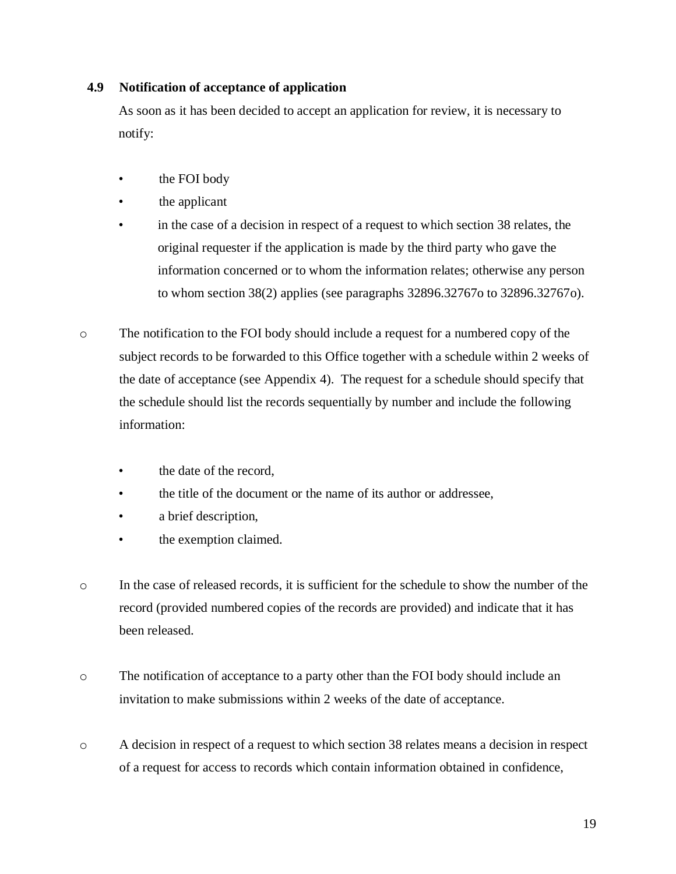## <span id="page-19-0"></span>**4.9 Notification of acceptance of application**

As soon as it has been decided to accept an application for review, it is necessary to notify:

- the FOI body
- the applicant
- in the case of a decision in respect of a request to which section 38 relates, the original requester if the application is made by the third party who gave the information concerned or to whom the information relates; otherwise any person to whom section 38(2) applies (see paragraphs [32896.32767o](#page-19-1) to [32896.32767o\)](#page-20-0).
- o The notification to the FOI body should include a request for a numbered copy of the subject records to be forwarded to this Office together with a schedule within 2 weeks of the date of acceptance (see Appendix 4). The request for a schedule should specify that the schedule should list the records sequentially by number and include the following information:
	- the date of the record,
	- the title of the document or the name of its author or addressee,
	- a brief description,
	- the exemption claimed.
- o In the case of released records, it is sufficient for the schedule to show the number of the record (provided numbered copies of the records are provided) and indicate that it has been released.
- o The notification of acceptance to a party other than the FOI body should include an invitation to make submissions within 2 weeks of the date of acceptance.
- <span id="page-19-1"></span>o A decision in respect of a request to which section 38 relates means a decision in respect of a request for access to records which contain information obtained in confidence,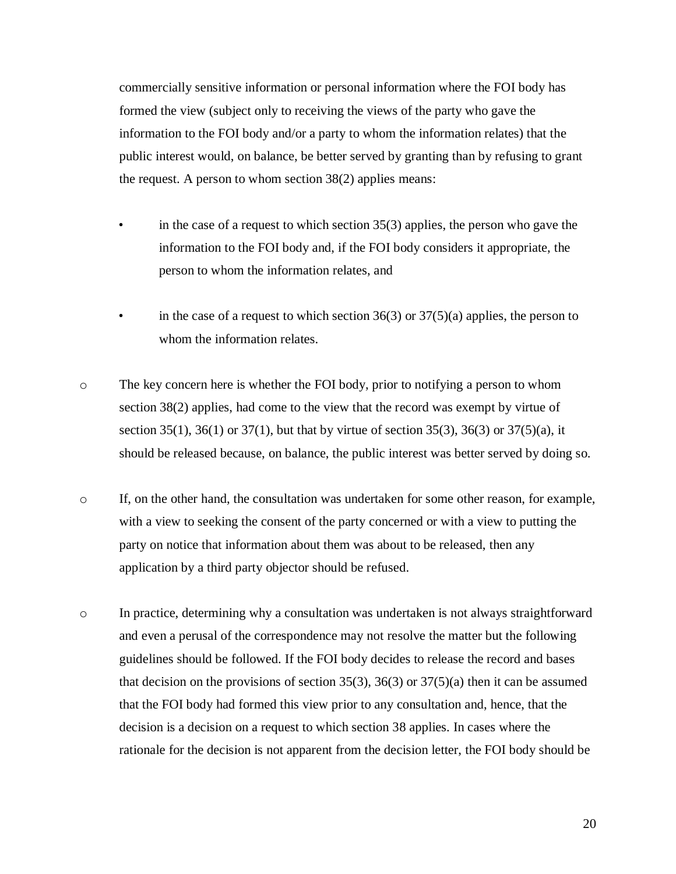commercially sensitive information or personal information where the FOI body has formed the view (subject only to receiving the views of the party who gave the information to the FOI body and/or a party to whom the information relates) that the public interest would, on balance, be better served by granting than by refusing to grant the request. A person to whom section 38(2) applies means:

- in the case of a request to which section  $35(3)$  applies, the person who gave the information to the FOI body and, if the FOI body considers it appropriate, the person to whom the information relates, and
- in the case of a request to which section  $36(3)$  or  $37(5)(a)$  applies, the person to whom the information relates.
- o The key concern here is whether the FOI body, prior to notifying a person to whom section 38(2) applies, had come to the view that the record was exempt by virtue of section 35(1), 36(1) or 37(1), but that by virtue of section 35(3), 36(3) or 37(5)(a), it should be released because, on balance, the public interest was better served by doing so.
- o If, on the other hand, the consultation was undertaken for some other reason, for example, with a view to seeking the consent of the party concerned or with a view to putting the party on notice that information about them was about to be released, then any application by a third party objector should be refused.
- <span id="page-20-0"></span>o In practice, determining why a consultation was undertaken is not always straightforward and even a perusal of the correspondence may not resolve the matter but the following guidelines should be followed. If the FOI body decides to release the record and bases that decision on the provisions of section 35(3), 36(3) or  $37(5)(a)$  then it can be assumed that the FOI body had formed this view prior to any consultation and, hence, that the decision is a decision on a request to which section 38 applies. In cases where the rationale for the decision is not apparent from the decision letter, the FOI body should be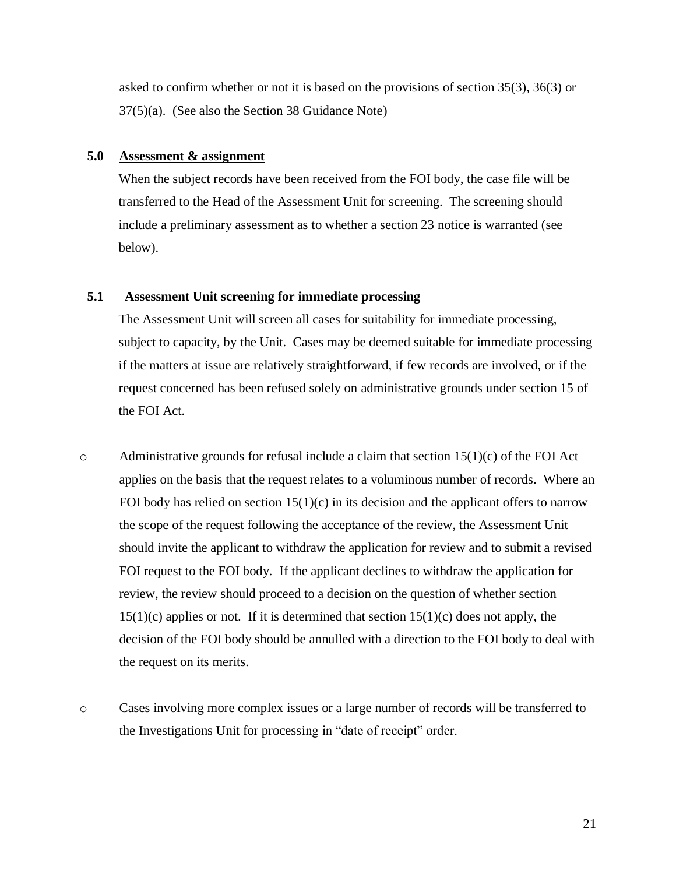asked to confirm whether or not it is based on the provisions of section 35(3), 36(3) or 37(5)(a). (See also the Section 38 Guidance Note)

### **5.0 Assessment & assignment**

<span id="page-21-0"></span>When the subject records have been received from the FOI body, the case file will be transferred to the Head of the Assessment Unit for screening. The screening should include a preliminary assessment as to whether a section 23 notice is warranted (see below).

### **5.1 Assessment Unit screening for immediate processing**

<span id="page-21-1"></span>The Assessment Unit will screen all cases for suitability for immediate processing, subject to capacity, by the Unit. Cases may be deemed suitable for immediate processing if the matters at issue are relatively straightforward, if few records are involved, or if the request concerned has been refused solely on administrative grounds under section 15 of the FOI Act.

- $\circ$  Administrative grounds for refusal include a claim that section 15(1)(c) of the FOI Act applies on the basis that the request relates to a voluminous number of records. Where an FOI body has relied on section  $15(1)(c)$  in its decision and the applicant offers to narrow the scope of the request following the acceptance of the review, the Assessment Unit should invite the applicant to withdraw the application for review and to submit a revised FOI request to the FOI body. If the applicant declines to withdraw the application for review, the review should proceed to a decision on the question of whether section  $15(1)(c)$  applies or not. If it is determined that section  $15(1)(c)$  does not apply, the decision of the FOI body should be annulled with a direction to the FOI body to deal with the request on its merits.
- o Cases involving more complex issues or a large number of records will be transferred to the Investigations Unit for processing in "date of receipt" order.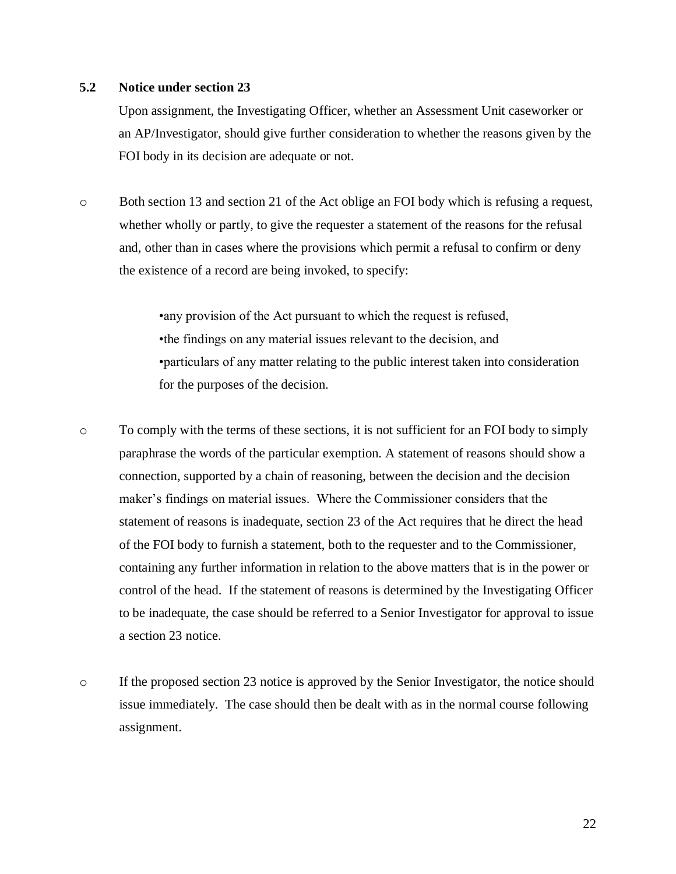### <span id="page-22-0"></span>**5.2 Notice under section 23**

Upon assignment, the Investigating Officer, whether an Assessment Unit caseworker or an AP/Investigator, should give further consideration to whether the reasons given by the FOI body in its decision are adequate or not.

o Both section 13 and section 21 of the Act oblige an FOI body which is refusing a request, whether wholly or partly, to give the requester a statement of the reasons for the refusal and, other than in cases where the provisions which permit a refusal to confirm or deny the existence of a record are being invoked, to specify:

> •any provision of the Act pursuant to which the request is refused, •the findings on any material issues relevant to the decision, and •particulars of any matter relating to the public interest taken into consideration for the purposes of the decision.

- o To comply with the terms of these sections, it is not sufficient for an FOI body to simply paraphrase the words of the particular exemption. A statement of reasons should show a connection, supported by a chain of reasoning, between the decision and the decision maker's findings on material issues. Where the Commissioner considers that the statement of reasons is inadequate, section 23 of the Act requires that he direct the head of the FOI body to furnish a statement, both to the requester and to the Commissioner, containing any further information in relation to the above matters that is in the power or control of the head. If the statement of reasons is determined by the Investigating Officer to be inadequate, the case should be referred to a Senior Investigator for approval to issue a section 23 notice.
- $\circ$  If the proposed section 23 notice is approved by the Senior Investigator, the notice should issue immediately. The case should then be dealt with as in the normal course following assignment.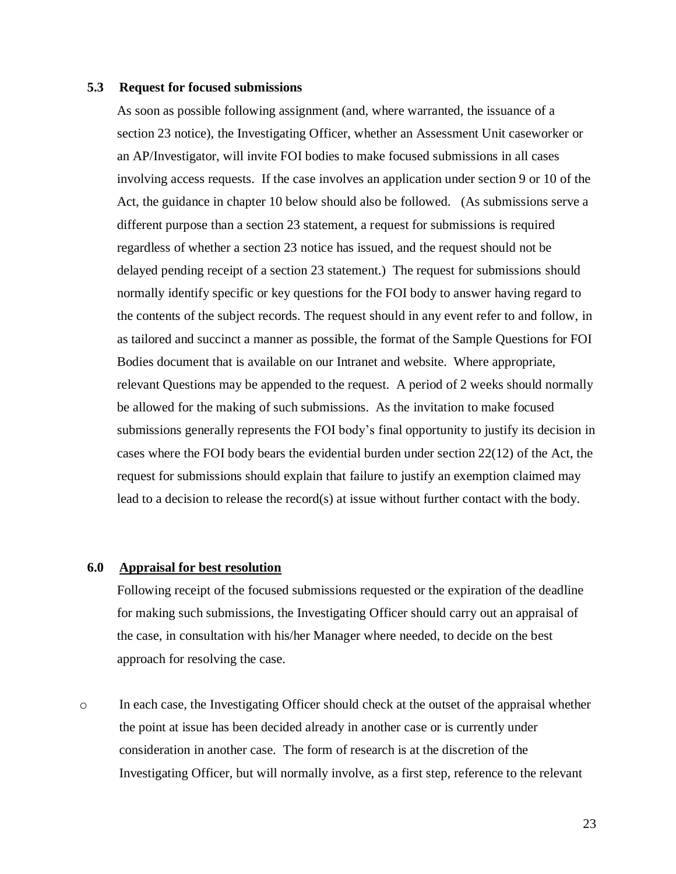#### <span id="page-23-0"></span>**5.3 Request for focused submissions**

As soon as possible following assignment (and, where warranted, the issuance of a section 23 notice), the Investigating Officer, whether an Assessment Unit caseworker or an AP/Investigator, will invite FOI bodies to make focused submissions in all cases involving access requests. If the case involves an application under section 9 or 10 of the Act, the guidance in chapter 10 below should also be followed. (As submissions serve a different purpose than a section 23 statement, a request for submissions is required regardless of whether a section 23 notice has issued, and the request should not be delayed pending receipt of a section 23 statement.) The request for submissions should normally identify specific or key questions for the FOI body to answer having regard to the contents of the subject records. The request should in any event refer to and follow, in as tailored and succinct a manner as possible, the format of the Sample Questions for FOI Bodies document that is available on our Intranet and website. Where appropriate, relevant Questions may be appended to the request. A period of 2 weeks should normally be allowed for the making of such submissions. As the invitation to make focused submissions generally represents the FOI body's final opportunity to justify its decision in cases where the FOI body bears the evidential burden under section 22(12) of the Act, the request for submissions should explain that failure to justify an exemption claimed may lead to a decision to release the record(s) at issue without further contact with the body.

### **6.0 Appraisal for best resolution**

<span id="page-23-1"></span>Following receipt of the focused submissions requested or the expiration of the deadline for making such submissions, the Investigating Officer should carry out an appraisal of the case, in consultation with his/her Manager where needed, to decide on the best approach for resolving the case.

o In each case, the Investigating Officer should check at the outset of the appraisal whether the point at issue has been decided already in another case or is currently under consideration in another case. The form of research is at the discretion of the Investigating Officer, but will normally involve, as a first step, reference to the relevant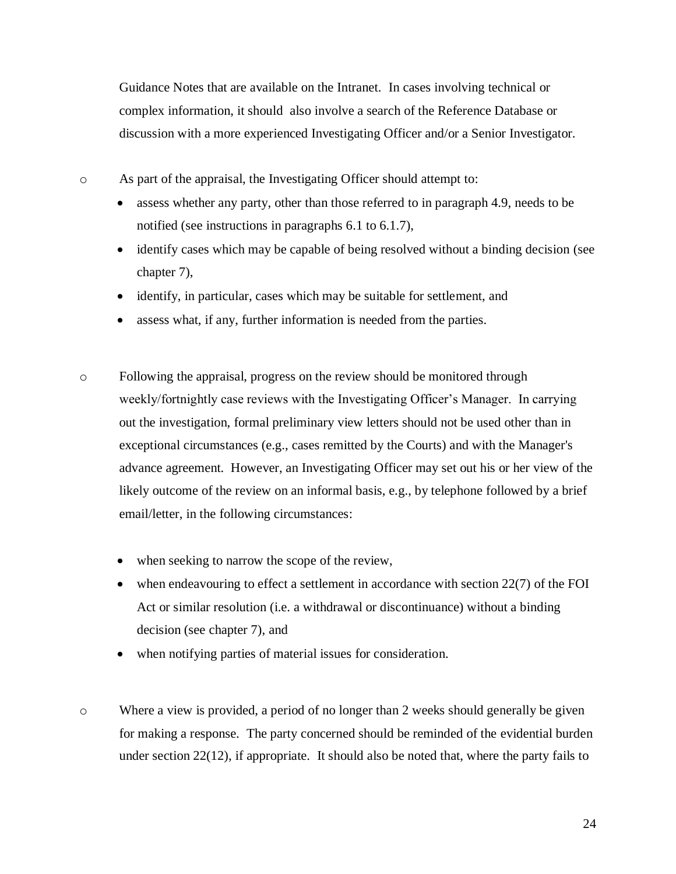Guidance Notes that are available on the Intranet. In cases involving technical or complex information, it should also involve a search of the Reference Database or discussion with a more experienced Investigating Officer and/or a Senior Investigator.

o As part of the appraisal, the Investigating Officer should attempt to:

- assess whether any party, other than those referred to in paragraph 4.9, needs to be notified (see instructions in paragraphs 6.1 to 6.1.7),
- identify cases which may be capable of being resolved without a binding decision (see chapter 7),
- identify, in particular, cases which may be suitable for settlement, and
- assess what, if any, further information is needed from the parties.
- o Following the appraisal, progress on the review should be monitored through weekly/fortnightly case reviews with the Investigating Officer's Manager. In carrying out the investigation, formal preliminary view letters should not be used other than in exceptional circumstances (e.g., cases remitted by the Courts) and with the Manager's advance agreement. However, an Investigating Officer may set out his or her view of the likely outcome of the review on an informal basis, e.g., by telephone followed by a brief email/letter, in the following circumstances:
	- when seeking to narrow the scope of the review,
	- when endeavouring to effect a settlement in accordance with section 22(7) of the FOI Act or similar resolution (i.e. a withdrawal or discontinuance) without a binding decision (see chapter 7), and
	- when notifying parties of material issues for consideration.
- o Where a view is provided, a period of no longer than 2 weeks should generally be given for making a response. The party concerned should be reminded of the evidential burden under section 22(12), if appropriate. It should also be noted that, where the party fails to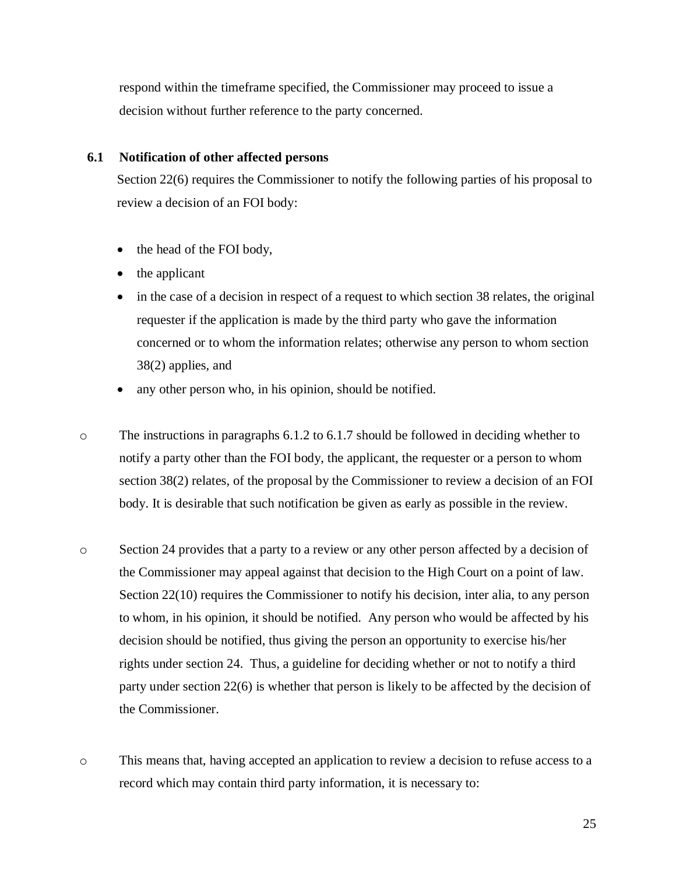respond within the timeframe specified, the Commissioner may proceed to issue a decision without further reference to the party concerned.

## <span id="page-25-0"></span>**6.1 Notification of other affected persons**

Section 22(6) requires the Commissioner to notify the following parties of his proposal to review a decision of an FOI body:

- the head of the FOI body,
- the applicant
- in the case of a decision in respect of a request to which section 38 relates, the original requester if the application is made by the third party who gave the information concerned or to whom the information relates; otherwise any person to whom section 38(2) applies, and
- any other person who, in his opinion, should be notified.
- o The instructions in paragraphs 6.1.2 to 6.1.7 should be followed in deciding whether to notify a party other than the FOI body, the applicant, the requester or a person to whom section 38(2) relates, of the proposal by the Commissioner to review a decision of an FOI body. It is desirable that such notification be given as early as possible in the review.
- o Section 24 provides that a party to a review or any other person affected by a decision of the Commissioner may appeal against that decision to the High Court on a point of law. Section 22(10) requires the Commissioner to notify his decision, inter alia, to any person to whom, in his opinion, it should be notified. Any person who would be affected by his decision should be notified, thus giving the person an opportunity to exercise his/her rights under section 24. Thus, a guideline for deciding whether or not to notify a third party under section 22(6) is whether that person is likely to be affected by the decision of the Commissioner.
- o This means that, having accepted an application to review a decision to refuse access to a record which may contain third party information, it is necessary to: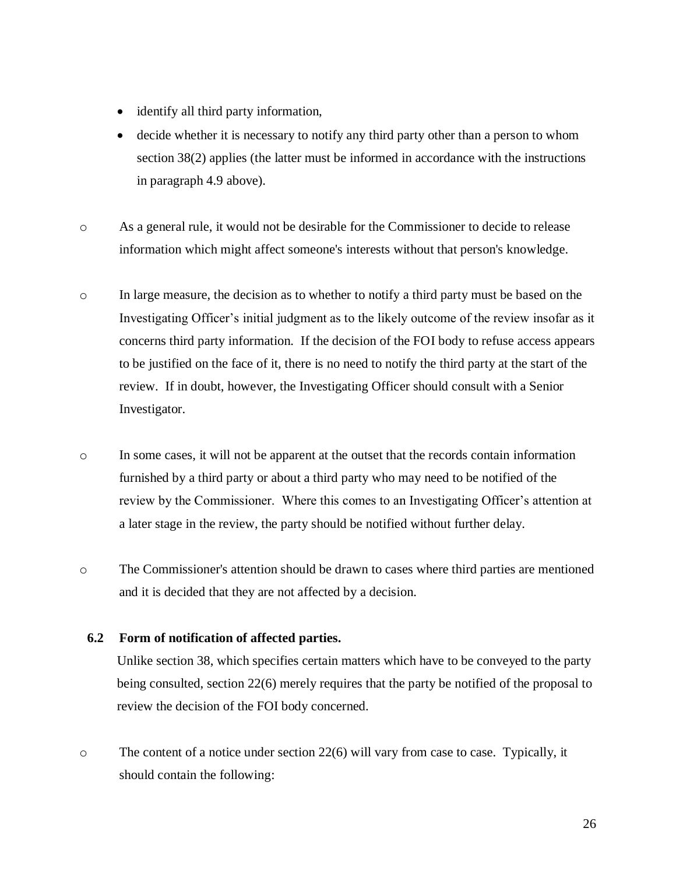- identify all third party information,
- decide whether it is necessary to notify any third party other than a person to whom section 38(2) applies (the latter must be informed in accordance with the instructions in paragraph 4.9 above).
- o As a general rule, it would not be desirable for the Commissioner to decide to release information which might affect someone's interests without that person's knowledge.
- o In large measure, the decision as to whether to notify a third party must be based on the Investigating Officer's initial judgment as to the likely outcome of the review insofar as it concerns third party information. If the decision of the FOI body to refuse access appears to be justified on the face of it, there is no need to notify the third party at the start of the review. If in doubt, however, the Investigating Officer should consult with a Senior Investigator.
- o In some cases, it will not be apparent at the outset that the records contain information furnished by a third party or about a third party who may need to be notified of the review by the Commissioner. Where this comes to an Investigating Officer's attention at a later stage in the review, the party should be notified without further delay.
- o The Commissioner's attention should be drawn to cases where third parties are mentioned and it is decided that they are not affected by a decision.

### <span id="page-26-0"></span>**6.2 Form of notification of affected parties.**

Unlike section 38, which specifies certain matters which have to be conveyed to the party being consulted, section 22(6) merely requires that the party be notified of the proposal to review the decision of the FOI body concerned.

o The content of a notice under section 22(6) will vary from case to case. Typically, it should contain the following: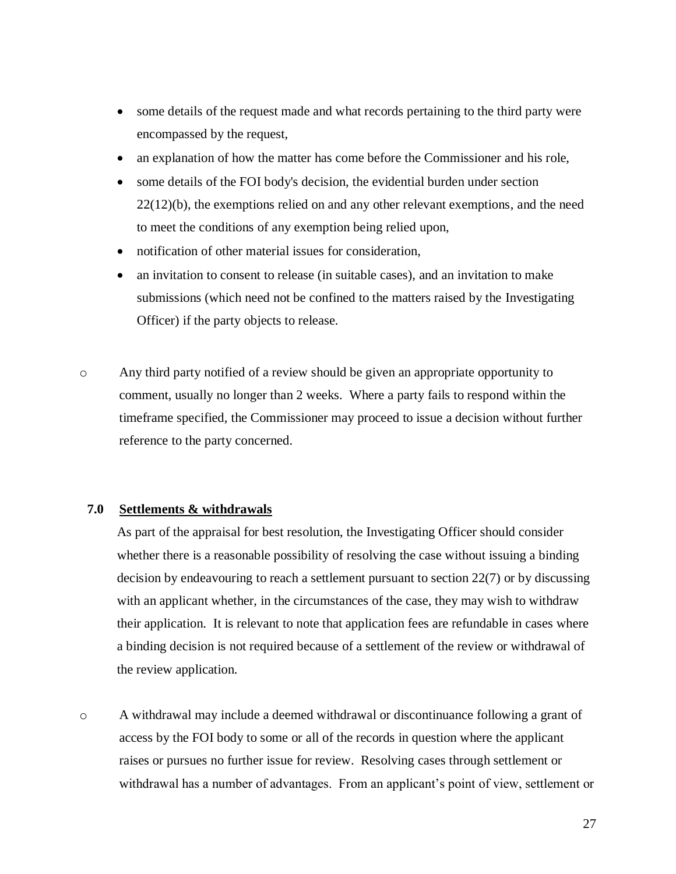- some details of the request made and what records pertaining to the third party were encompassed by the request,
- an explanation of how the matter has come before the Commissioner and his role,
- some details of the FOI body's decision, the evidential burden under section  $22(12)(b)$ , the exemptions relied on and any other relevant exemptions, and the need to meet the conditions of any exemption being relied upon,
- notification of other material issues for consideration.
- an invitation to consent to release (in suitable cases), and an invitation to make submissions (which need not be confined to the matters raised by the Investigating Officer) if the party objects to release.
- o Any third party notified of a review should be given an appropriate opportunity to comment, usually no longer than 2 weeks. Where a party fails to respond within the timeframe specified, the Commissioner may proceed to issue a decision without further reference to the party concerned.

### **7.0 Settlements & withdrawals**

<span id="page-27-0"></span>As part of the appraisal for best resolution, the Investigating Officer should consider whether there is a reasonable possibility of resolving the case without issuing a binding decision by endeavouring to reach a settlement pursuant to section 22(7) or by discussing with an applicant whether, in the circumstances of the case, they may wish to withdraw their application. It is relevant to note that application fees are refundable in cases where a binding decision is not required because of a settlement of the review or withdrawal of the review application.

o A withdrawal may include a deemed withdrawal or discontinuance following a grant of access by the FOI body to some or all of the records in question where the applicant raises or pursues no further issue for review. Resolving cases through settlement or withdrawal has a number of advantages. From an applicant's point of view, settlement or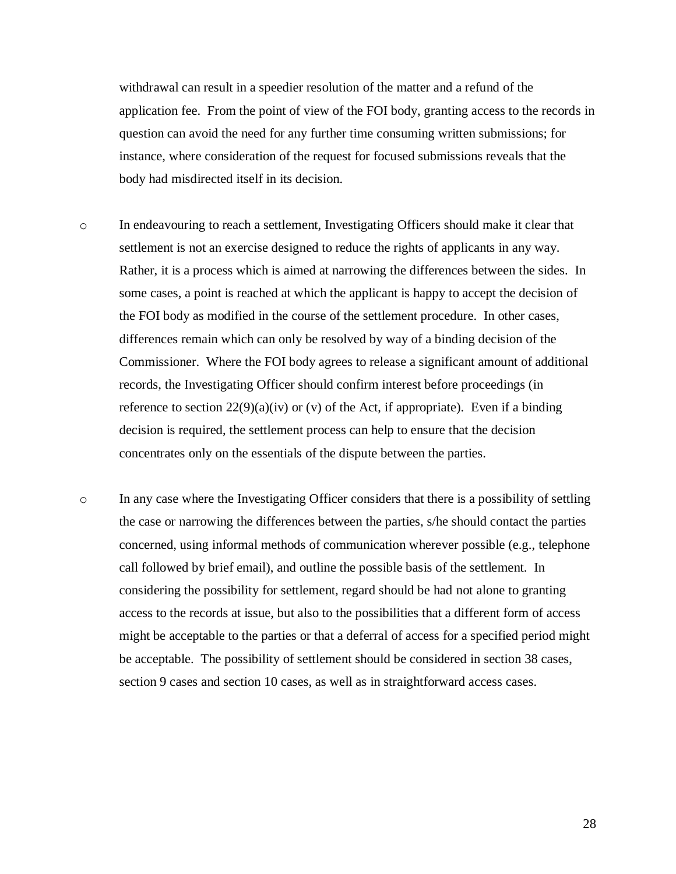withdrawal can result in a speedier resolution of the matter and a refund of the application fee. From the point of view of the FOI body, granting access to the records in question can avoid the need for any further time consuming written submissions; for instance, where consideration of the request for focused submissions reveals that the body had misdirected itself in its decision.

- o In endeavouring to reach a settlement, Investigating Officers should make it clear that settlement is not an exercise designed to reduce the rights of applicants in any way. Rather, it is a process which is aimed at narrowing the differences between the sides. In some cases, a point is reached at which the applicant is happy to accept the decision of the FOI body as modified in the course of the settlement procedure. In other cases, differences remain which can only be resolved by way of a binding decision of the Commissioner. Where the FOI body agrees to release a significant amount of additional records, the Investigating Officer should confirm interest before proceedings (in reference to section  $22(9)(a)(iv)$  or (v) of the Act, if appropriate). Even if a binding decision is required, the settlement process can help to ensure that the decision concentrates only on the essentials of the dispute between the parties.
- o In any case where the Investigating Officer considers that there is a possibility of settling the case or narrowing the differences between the parties, s/he should contact the parties concerned, using informal methods of communication wherever possible (e.g., telephone call followed by brief email), and outline the possible basis of the settlement. In considering the possibility for settlement, regard should be had not alone to granting access to the records at issue, but also to the possibilities that a different form of access might be acceptable to the parties or that a deferral of access for a specified period might be acceptable. The possibility of settlement should be considered in section 38 cases, section 9 cases and section 10 cases, as well as in straightforward access cases.

28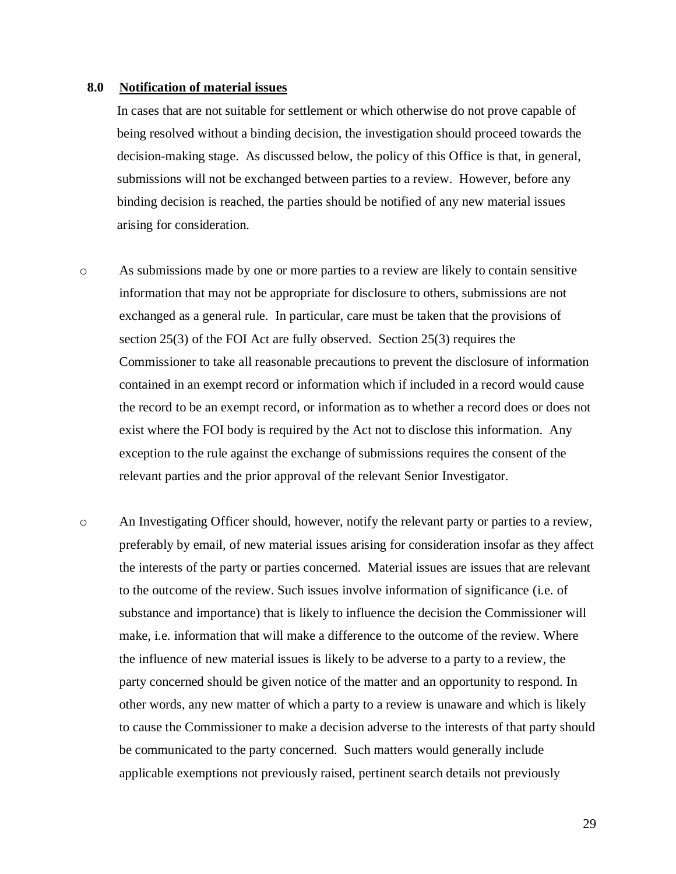#### **8.0 Notification of material issues**

<span id="page-29-0"></span>In cases that are not suitable for settlement or which otherwise do not prove capable of being resolved without a binding decision, the investigation should proceed towards the decision-making stage. As discussed below, the policy of this Office is that, in general, submissions will not be exchanged between parties to a review. However, before any binding decision is reached, the parties should be notified of any new material issues arising for consideration.

- o As submissions made by one or more parties to a review are likely to contain sensitive information that may not be appropriate for disclosure to others, submissions are not exchanged as a general rule. In particular, care must be taken that the provisions of section 25(3) of the FOI Act are fully observed. Section 25(3) requires the Commissioner to take all reasonable precautions to prevent the disclosure of information contained in an exempt record or information which if included in a record would cause the record to be an exempt record, or information as to whether a record does or does not exist where the FOI body is required by the Act not to disclose this information. Any exception to the rule against the exchange of submissions requires the consent of the relevant parties and the prior approval of the relevant Senior Investigator.
- o An Investigating Officer should, however, notify the relevant party or parties to a review, preferably by email, of new material issues arising for consideration insofar as they affect the interests of the party or parties concerned. Material issues are issues that are relevant to the outcome of the review. Such issues involve information of significance (i.e. of substance and importance) that is likely to influence the decision the Commissioner will make, i.e. information that will make a difference to the outcome of the review. Where the influence of new material issues is likely to be adverse to a party to a review, the party concerned should be given notice of the matter and an opportunity to respond. In other words, any new matter of which a party to a review is unaware and which is likely to cause the Commissioner to make a decision adverse to the interests of that party should be communicated to the party concerned. Such matters would generally include applicable exemptions not previously raised, pertinent search details not previously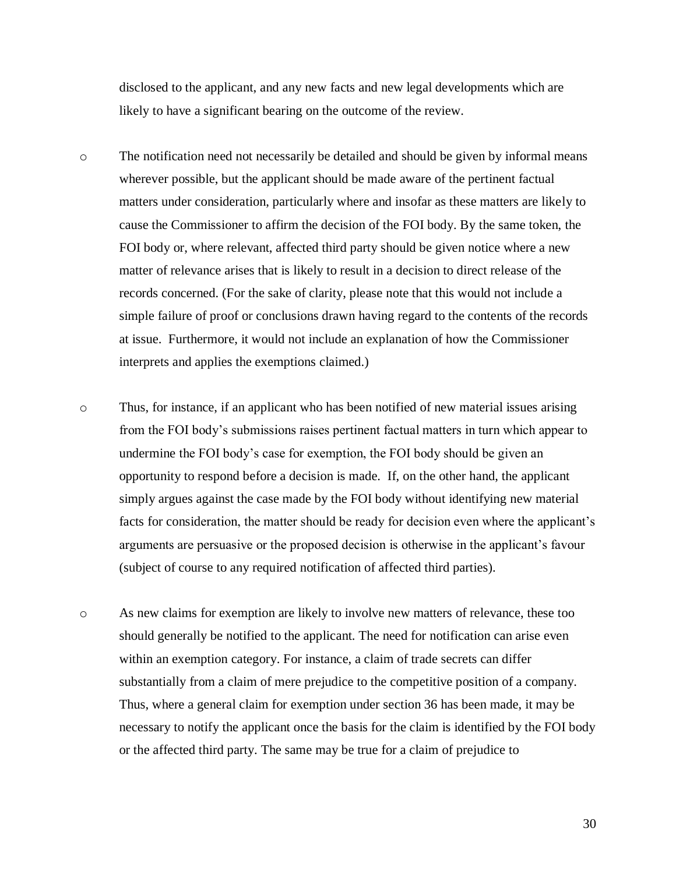disclosed to the applicant, and any new facts and new legal developments which are likely to have a significant bearing on the outcome of the review.

- o The notification need not necessarily be detailed and should be given by informal means wherever possible, but the applicant should be made aware of the pertinent factual matters under consideration, particularly where and insofar as these matters are likely to cause the Commissioner to affirm the decision of the FOI body. By the same token, the FOI body or, where relevant, affected third party should be given notice where a new matter of relevance arises that is likely to result in a decision to direct release of the records concerned. (For the sake of clarity, please note that this would not include a simple failure of proof or conclusions drawn having regard to the contents of the records at issue. Furthermore, it would not include an explanation of how the Commissioner interprets and applies the exemptions claimed.)
- o Thus, for instance, if an applicant who has been notified of new material issues arising from the FOI body's submissions raises pertinent factual matters in turn which appear to undermine the FOI body's case for exemption, the FOI body should be given an opportunity to respond before a decision is made. If, on the other hand, the applicant simply argues against the case made by the FOI body without identifying new material facts for consideration, the matter should be ready for decision even where the applicant's arguments are persuasive or the proposed decision is otherwise in the applicant's favour (subject of course to any required notification of affected third parties).
- o As new claims for exemption are likely to involve new matters of relevance, these too should generally be notified to the applicant. The need for notification can arise even within an exemption category. For instance, a claim of trade secrets can differ substantially from a claim of mere prejudice to the competitive position of a company. Thus, where a general claim for exemption under section 36 has been made, it may be necessary to notify the applicant once the basis for the claim is identified by the FOI body or the affected third party. The same may be true for a claim of prejudice to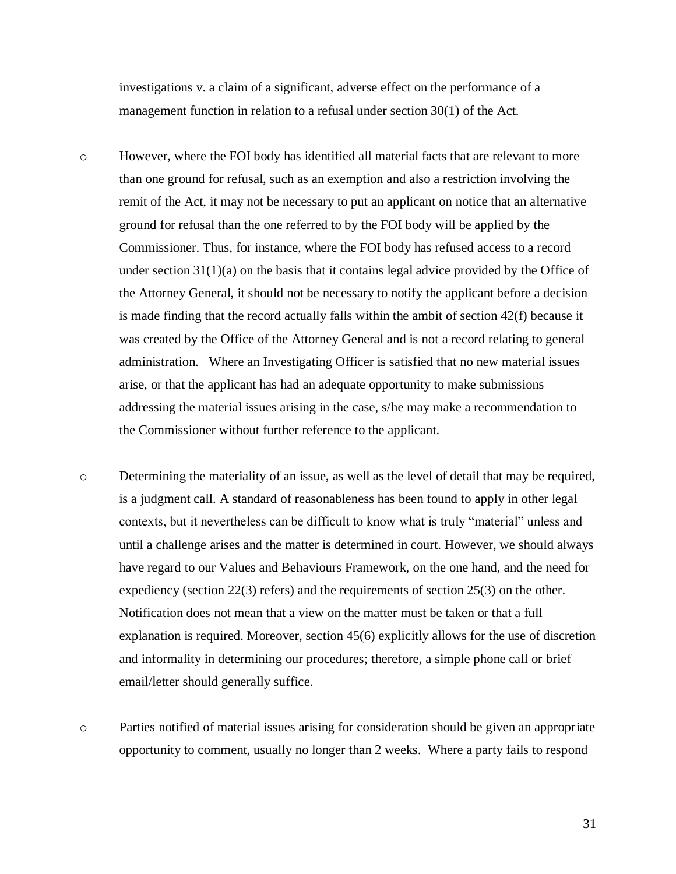investigations v. a claim of a significant, adverse effect on the performance of a management function in relation to a refusal under section 30(1) of the Act.

- o However, where the FOI body has identified all material facts that are relevant to more than one ground for refusal, such as an exemption and also a restriction involving the remit of the Act, it may not be necessary to put an applicant on notice that an alternative ground for refusal than the one referred to by the FOI body will be applied by the Commissioner. Thus, for instance, where the FOI body has refused access to a record under section  $31(1)(a)$  on the basis that it contains legal advice provided by the Office of the Attorney General, it should not be necessary to notify the applicant before a decision is made finding that the record actually falls within the ambit of section 42(f) because it was created by the Office of the Attorney General and is not a record relating to general administration. Where an Investigating Officer is satisfied that no new material issues arise, or that the applicant has had an adequate opportunity to make submissions addressing the material issues arising in the case, s/he may make a recommendation to the Commissioner without further reference to the applicant.
- o Determining the materiality of an issue, as well as the level of detail that may be required, is a judgment call. A standard of reasonableness has been found to apply in other legal contexts, but it nevertheless can be difficult to know what is truly "material" unless and until a challenge arises and the matter is determined in court. However, we should always have regard to our Values and Behaviours Framework, on the one hand, and the need for expediency (section 22(3) refers) and the requirements of section 25(3) on the other. Notification does not mean that a view on the matter must be taken or that a full explanation is required. Moreover, section 45(6) explicitly allows for the use of discretion and informality in determining our procedures; therefore, a simple phone call or brief email/letter should generally suffice.
- o Parties notified of material issues arising for consideration should be given an appropriate opportunity to comment, usually no longer than 2 weeks. Where a party fails to respond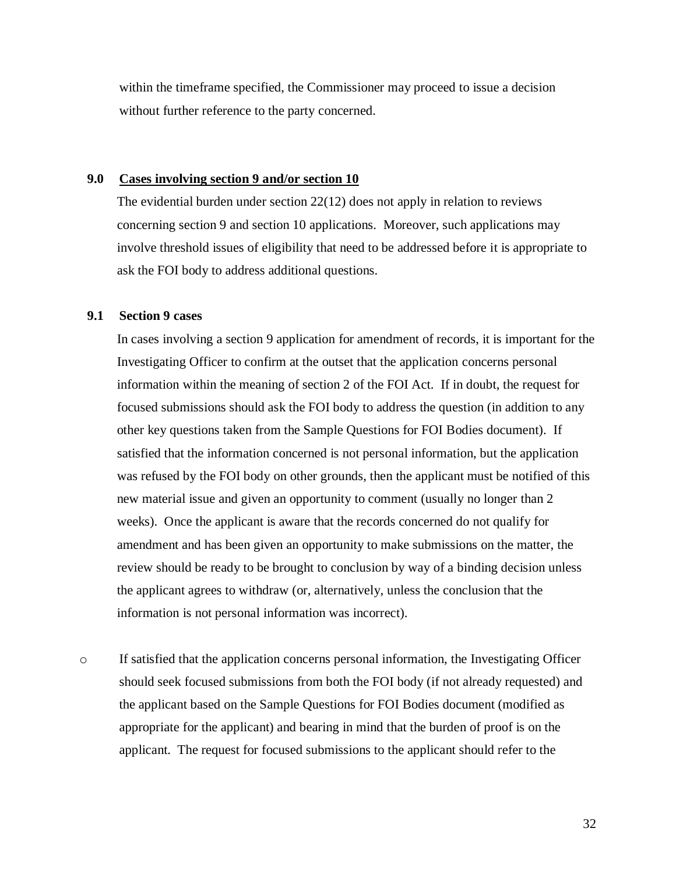within the timeframe specified, the Commissioner may proceed to issue a decision without further reference to the party concerned.

#### **9.0 Cases involving section 9 and/or section 10**

<span id="page-32-0"></span>The evidential burden under section 22(12) does not apply in relation to reviews concerning section 9 and section 10 applications. Moreover, such applications may involve threshold issues of eligibility that need to be addressed before it is appropriate to ask the FOI body to address additional questions.

### <span id="page-32-1"></span>**9.1 Section 9 cases**

In cases involving a section 9 application for amendment of records, it is important for the Investigating Officer to confirm at the outset that the application concerns personal information within the meaning of section 2 of the FOI Act. If in doubt, the request for focused submissions should ask the FOI body to address the question (in addition to any other key questions taken from the Sample Questions for FOI Bodies document). If satisfied that the information concerned is not personal information, but the application was refused by the FOI body on other grounds, then the applicant must be notified of this new material issue and given an opportunity to comment (usually no longer than 2 weeks). Once the applicant is aware that the records concerned do not qualify for amendment and has been given an opportunity to make submissions on the matter, the review should be ready to be brought to conclusion by way of a binding decision unless the applicant agrees to withdraw (or, alternatively, unless the conclusion that the information is not personal information was incorrect).

 $\circ$  If satisfied that the application concerns personal information, the Investigating Officer should seek focused submissions from both the FOI body (if not already requested) and the applicant based on the Sample Questions for FOI Bodies document (modified as appropriate for the applicant) and bearing in mind that the burden of proof is on the applicant. The request for focused submissions to the applicant should refer to the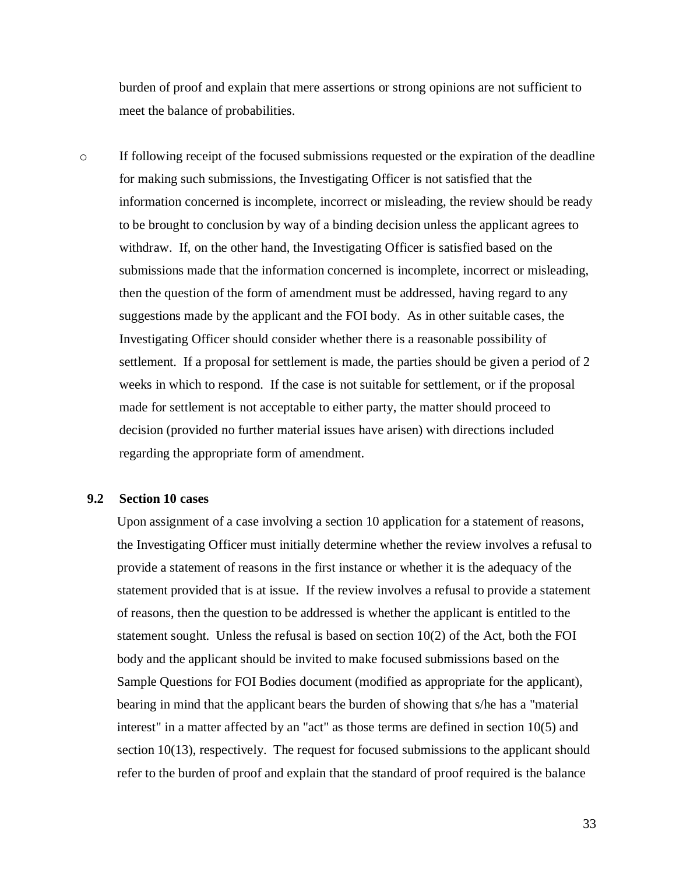burden of proof and explain that mere assertions or strong opinions are not sufficient to meet the balance of probabilities.

 $\circ$  If following receipt of the focused submissions requested or the expiration of the deadline for making such submissions, the Investigating Officer is not satisfied that the information concerned is incomplete, incorrect or misleading, the review should be ready to be brought to conclusion by way of a binding decision unless the applicant agrees to withdraw. If, on the other hand, the Investigating Officer is satisfied based on the submissions made that the information concerned is incomplete, incorrect or misleading, then the question of the form of amendment must be addressed, having regard to any suggestions made by the applicant and the FOI body. As in other suitable cases, the Investigating Officer should consider whether there is a reasonable possibility of settlement. If a proposal for settlement is made, the parties should be given a period of 2 weeks in which to respond. If the case is not suitable for settlement, or if the proposal made for settlement is not acceptable to either party, the matter should proceed to decision (provided no further material issues have arisen) with directions included regarding the appropriate form of amendment.

### <span id="page-33-0"></span>**9.2 Section 10 cases**

Upon assignment of a case involving a section 10 application for a statement of reasons, the Investigating Officer must initially determine whether the review involves a refusal to provide a statement of reasons in the first instance or whether it is the adequacy of the statement provided that is at issue. If the review involves a refusal to provide a statement of reasons, then the question to be addressed is whether the applicant is entitled to the statement sought. Unless the refusal is based on section 10(2) of the Act, both the FOI body and the applicant should be invited to make focused submissions based on the Sample Questions for FOI Bodies document (modified as appropriate for the applicant), bearing in mind that the applicant bears the burden of showing that s/he has a "material interest" in a matter affected by an "act" as those terms are defined in section 10(5) and section 10(13), respectively. The request for focused submissions to the applicant should refer to the burden of proof and explain that the standard of proof required is the balance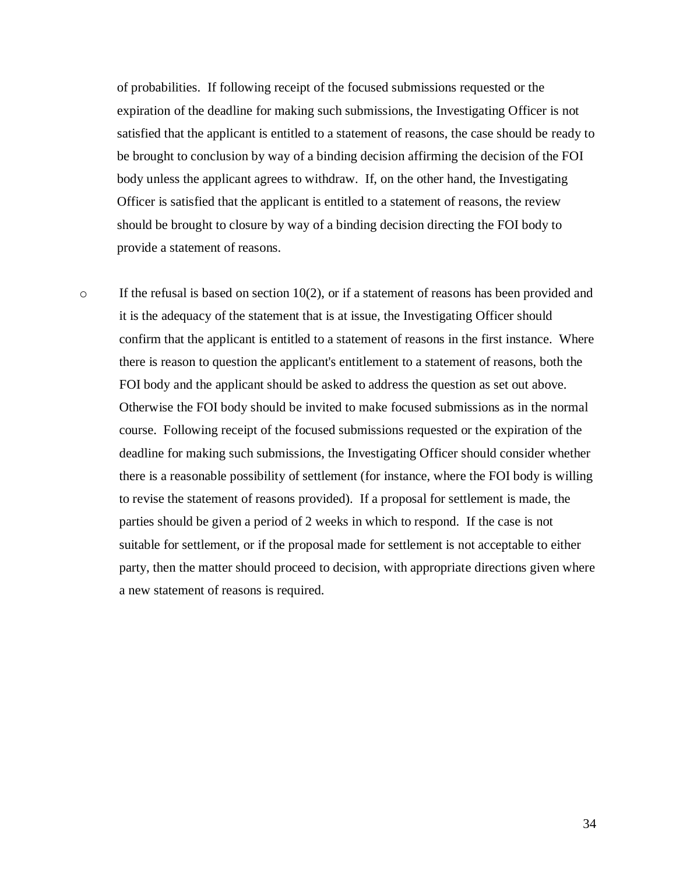of probabilities. If following receipt of the focused submissions requested or the expiration of the deadline for making such submissions, the Investigating Officer is not satisfied that the applicant is entitled to a statement of reasons, the case should be ready to be brought to conclusion by way of a binding decision affirming the decision of the FOI body unless the applicant agrees to withdraw. If, on the other hand, the Investigating Officer is satisfied that the applicant is entitled to a statement of reasons, the review should be brought to closure by way of a binding decision directing the FOI body to provide a statement of reasons.

 $\circ$  If the refusal is based on section 10(2), or if a statement of reasons has been provided and it is the adequacy of the statement that is at issue, the Investigating Officer should confirm that the applicant is entitled to a statement of reasons in the first instance. Where there is reason to question the applicant's entitlement to a statement of reasons, both the FOI body and the applicant should be asked to address the question as set out above. Otherwise the FOI body should be invited to make focused submissions as in the normal course. Following receipt of the focused submissions requested or the expiration of the deadline for making such submissions, the Investigating Officer should consider whether there is a reasonable possibility of settlement (for instance, where the FOI body is willing to revise the statement of reasons provided). If a proposal for settlement is made, the parties should be given a period of 2 weeks in which to respond. If the case is not suitable for settlement, or if the proposal made for settlement is not acceptable to either party, then the matter should proceed to decision, with appropriate directions given where a new statement of reasons is required.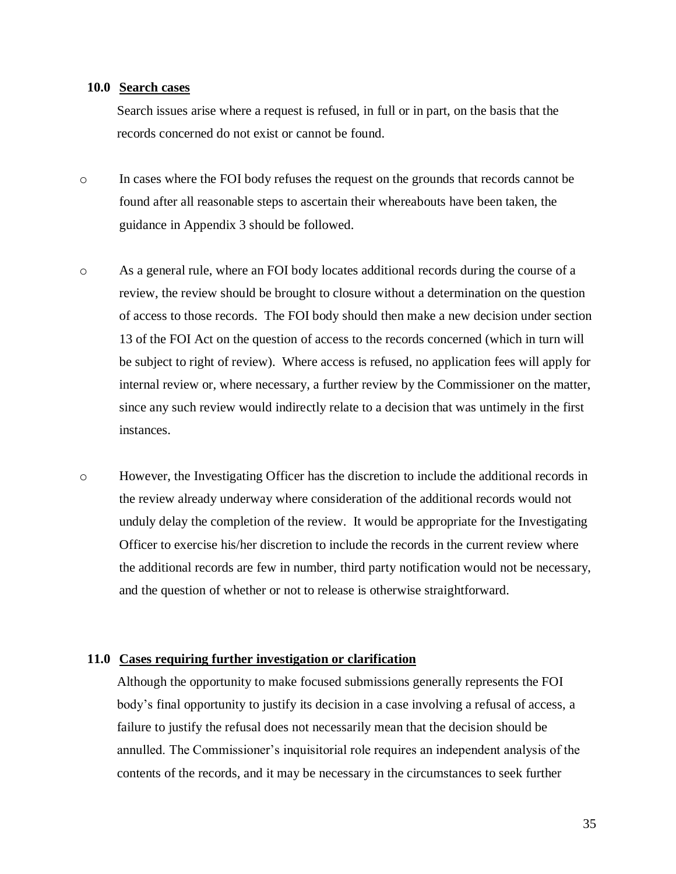#### <span id="page-35-0"></span>**10.0 Search cases**

Search issues arise where a request is refused, in full or in part, on the basis that the records concerned do not exist or cannot be found.

- o In cases where the FOI body refuses the request on the grounds that records cannot be found after all reasonable steps to ascertain their whereabouts have been taken, the guidance in Appendix 3 should be followed.
- o As a general rule, where an FOI body locates additional records during the course of a review, the review should be brought to closure without a determination on the question of access to those records. The FOI body should then make a new decision under section 13 of the FOI Act on the question of access to the records concerned (which in turn will be subject to right of review). Where access is refused, no application fees will apply for internal review or, where necessary, a further review by the Commissioner on the matter, since any such review would indirectly relate to a decision that was untimely in the first instances.
- o However, the Investigating Officer has the discretion to include the additional records in the review already underway where consideration of the additional records would not unduly delay the completion of the review. It would be appropriate for the Investigating Officer to exercise his/her discretion to include the records in the current review where the additional records are few in number, third party notification would not be necessary, and the question of whether or not to release is otherwise straightforward.

#### **11.0 Cases requiring further investigation or clarification**

<span id="page-35-1"></span>Although the opportunity to make focused submissions generally represents the FOI body's final opportunity to justify its decision in a case involving a refusal of access, a failure to justify the refusal does not necessarily mean that the decision should be annulled. The Commissioner's inquisitorial role requires an independent analysis of the contents of the records, and it may be necessary in the circumstances to seek further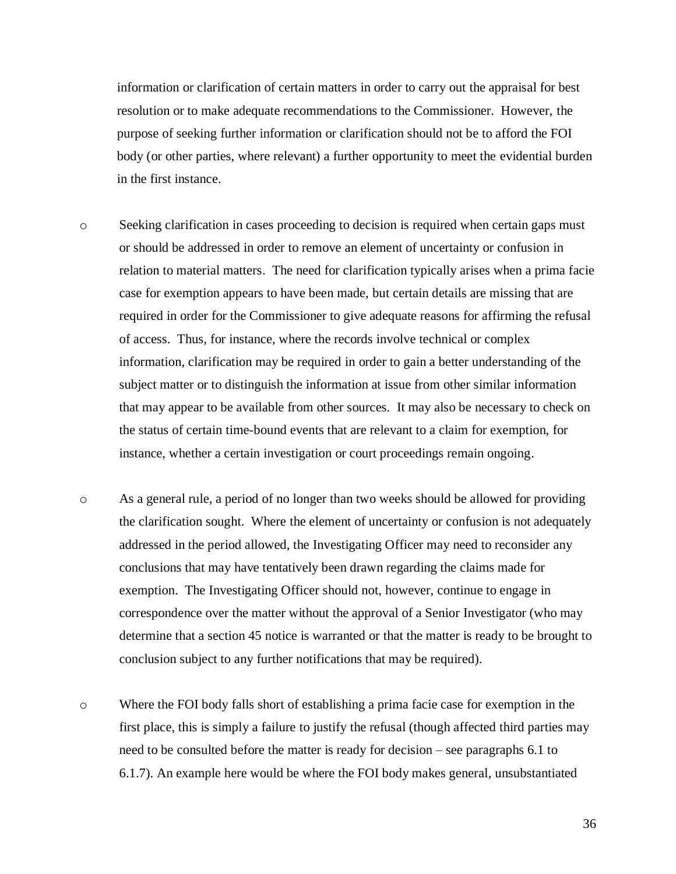information or clarification of certain matters in order to carry out the appraisal for best resolution or to make adequate recommendations to the Commissioner. However, the purpose of seeking further information or clarification should not be to afford the FOI body (or other parties, where relevant) a further opportunity to meet the evidential burden in the first instance.

- o Seeking clarification in cases proceeding to decision is required when certain gaps must or should be addressed in order to remove an element of uncertainty or confusion in relation to material matters. The need for clarification typically arises when a prima facie case for exemption appears to have been made, but certain details are missing that are required in order for the Commissioner to give adequate reasons for affirming the refusal of access. Thus, for instance, where the records involve technical or complex information, clarification may be required in order to gain a better understanding of the subject matter or to distinguish the information at issue from other similar information that may appear to be available from other sources. It may also be necessary to check on the status of certain time-bound events that are relevant to a claim for exemption, for instance, whether a certain investigation or court proceedings remain ongoing.
- o As a general rule, a period of no longer than two weeks should be allowed for providing the clarification sought. Where the element of uncertainty or confusion is not adequately addressed in the period allowed, the Investigating Officer may need to reconsider any conclusions that may have tentatively been drawn regarding the claims made for exemption. The Investigating Officer should not, however, continue to engage in correspondence over the matter without the approval of a Senior Investigator (who may determine that a section 45 notice is warranted or that the matter is ready to be brought to conclusion subject to any further notifications that may be required).
- o Where the FOI body falls short of establishing a prima facie case for exemption in the first place, this is simply a failure to justify the refusal (though affected third parties may need to be consulted before the matter is ready for decision – see paragraphs 6.1 to 6.1.7). An example here would be where the FOI body makes general, unsubstantiated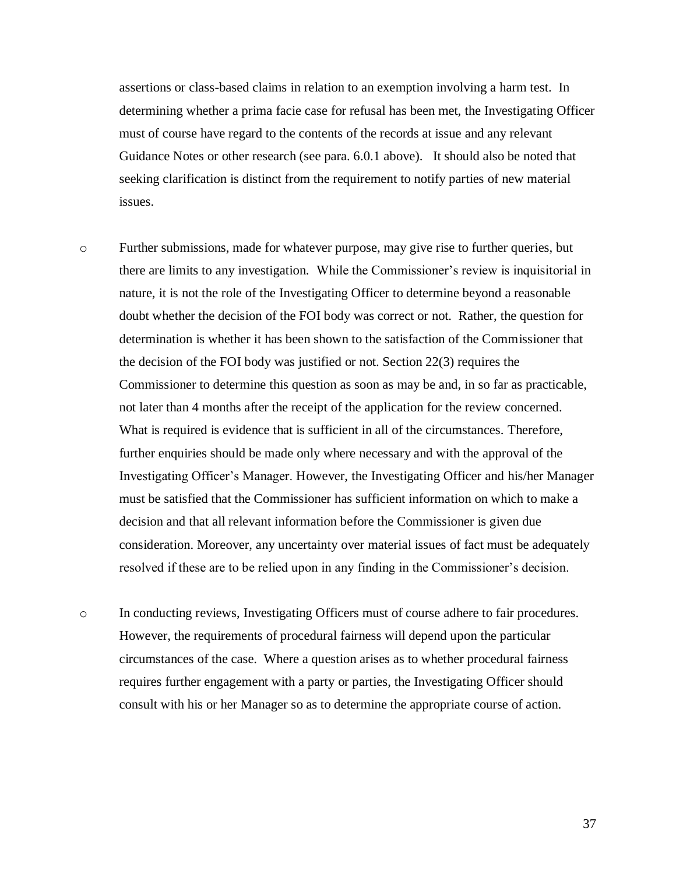assertions or class-based claims in relation to an exemption involving a harm test. In determining whether a prima facie case for refusal has been met, the Investigating Officer must of course have regard to the contents of the records at issue and any relevant Guidance Notes or other research (see para. 6.0.1 above). It should also be noted that seeking clarification is distinct from the requirement to notify parties of new material issues.

o Further submissions, made for whatever purpose, may give rise to further queries, but there are limits to any investigation. While the Commissioner's review is inquisitorial in nature, it is not the role of the Investigating Officer to determine beyond a reasonable doubt whether the decision of the FOI body was correct or not. Rather, the question for determination is whether it has been shown to the satisfaction of the Commissioner that the decision of the FOI body was justified or not. Section 22(3) requires the Commissioner to determine this question as soon as may be and, in so far as practicable, not later than 4 months after the receipt of the application for the review concerned. What is required is evidence that is sufficient in all of the circumstances. Therefore, further enquiries should be made only where necessary and with the approval of the Investigating Officer's Manager. However, the Investigating Officer and his/her Manager must be satisfied that the Commissioner has sufficient information on which to make a decision and that all relevant information before the Commissioner is given due consideration. Moreover, any uncertainty over material issues of fact must be adequately resolved if these are to be relied upon in any finding in the Commissioner's decision.

o In conducting reviews, Investigating Officers must of course adhere to fair procedures. However, the requirements of procedural fairness will depend upon the particular circumstances of the case. Where a question arises as to whether procedural fairness requires further engagement with a party or parties, the Investigating Officer should consult with his or her Manager so as to determine the appropriate course of action.

37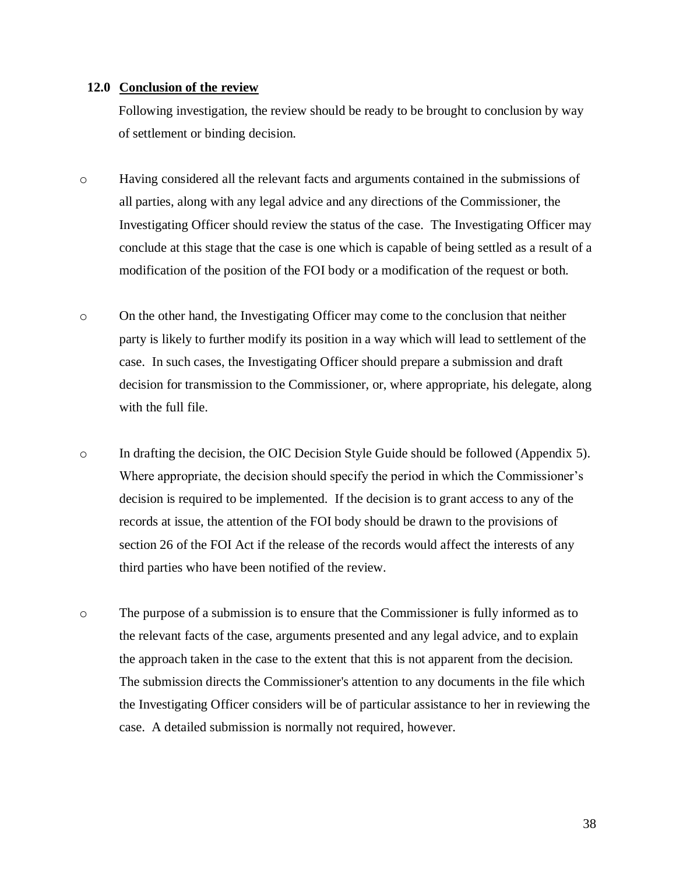#### **12.0 Conclusion of the review**

Following investigation, the review should be ready to be brought to conclusion by way of settlement or binding decision.

- o Having considered all the relevant facts and arguments contained in the submissions of all parties, along with any legal advice and any directions of the Commissioner, the Investigating Officer should review the status of the case. The Investigating Officer may conclude at this stage that the case is one which is capable of being settled as a result of a modification of the position of the FOI body or a modification of the request or both.
- o On the other hand, the Investigating Officer may come to the conclusion that neither party is likely to further modify its position in a way which will lead to settlement of the case. In such cases, the Investigating Officer should prepare a submission and draft decision for transmission to the Commissioner, or, where appropriate, his delegate, along with the full file.
- o In drafting the decision, the OIC Decision Style Guide should be followed (Appendix 5). Where appropriate, the decision should specify the period in which the Commissioner's decision is required to be implemented. If the decision is to grant access to any of the records at issue, the attention of the FOI body should be drawn to the provisions of section 26 of the FOI Act if the release of the records would affect the interests of any third parties who have been notified of the review.
- o The purpose of a submission is to ensure that the Commissioner is fully informed as to the relevant facts of the case, arguments presented and any legal advice, and to explain the approach taken in the case to the extent that this is not apparent from the decision. The submission directs the Commissioner's attention to any documents in the file which the Investigating Officer considers will be of particular assistance to her in reviewing the case. A detailed submission is normally not required, however.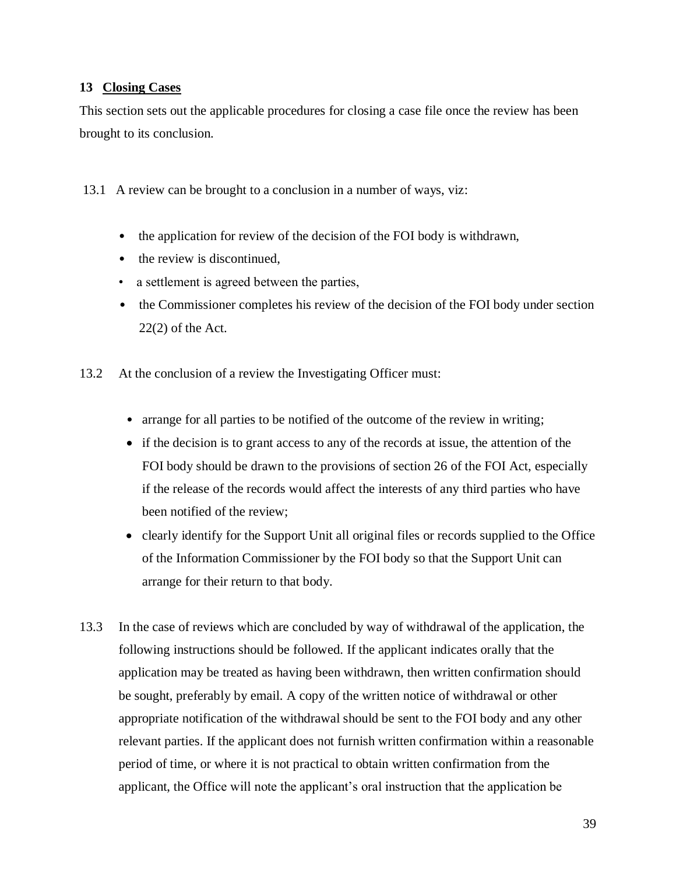## **13 Closing Cases**

This section sets out the applicable procedures for closing a case file once the review has been brought to its conclusion.

13.1 A review can be brought to a conclusion in a number of ways, viz:

- the application for review of the decision of the FOI body is withdrawn,
- the review is discontinued.
- a settlement is agreed between the parties,
- the Commissioner completes his review of the decision of the FOI body under section  $22(2)$  of the Act.
- 13.2 At the conclusion of a review the Investigating Officer must:
	- arrange for all parties to be notified of the outcome of the review in writing;
	- if the decision is to grant access to any of the records at issue, the attention of the FOI body should be drawn to the provisions of section 26 of the FOI Act, especially if the release of the records would affect the interests of any third parties who have been notified of the review;
	- clearly identify for the Support Unit all original files or records supplied to the Office of the Information Commissioner by the FOI body so that the Support Unit can arrange for their return to that body.
- 13.3 In the case of reviews which are concluded by way of withdrawal of the application, the following instructions should be followed. If the applicant indicates orally that the application may be treated as having been withdrawn, then written confirmation should be sought, preferably by email. A copy of the written notice of withdrawal or other appropriate notification of the withdrawal should be sent to the FOI body and any other relevant parties. If the applicant does not furnish written confirmation within a reasonable period of time, or where it is not practical to obtain written confirmation from the applicant, the Office will note the applicant's oral instruction that the application be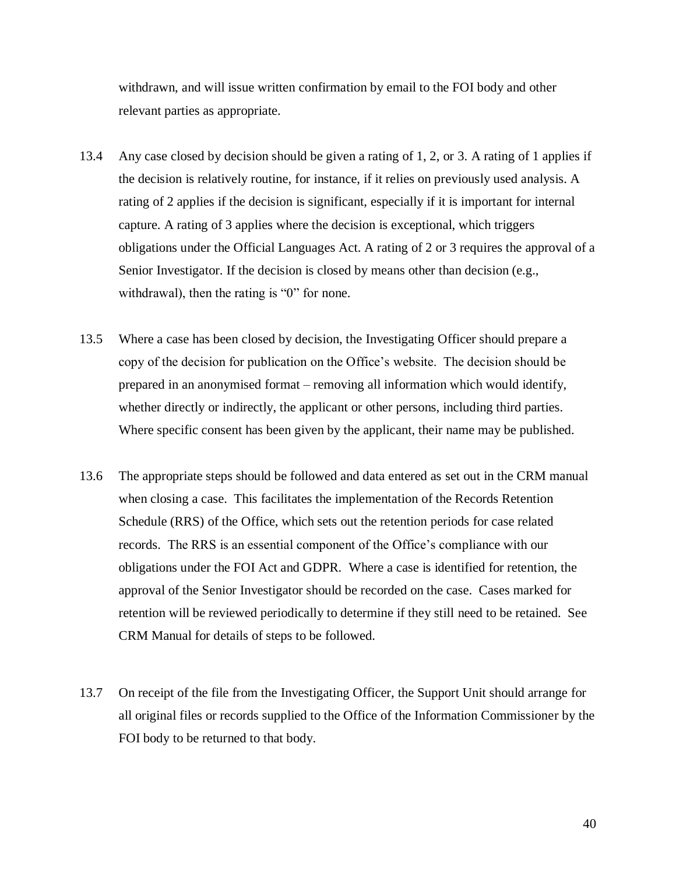withdrawn, and will issue written confirmation by email to the FOI body and other relevant parties as appropriate.

- 13.4 Any case closed by decision should be given a rating of 1, 2, or 3. A rating of 1 applies if the decision is relatively routine, for instance, if it relies on previously used analysis. A rating of 2 applies if the decision is significant, especially if it is important for internal capture. A rating of 3 applies where the decision is exceptional, which triggers obligations under the Official Languages Act. A rating of 2 or 3 requires the approval of a Senior Investigator. If the decision is closed by means other than decision (e.g., withdrawal), then the rating is "0" for none.
- 13.5 Where a case has been closed by decision, the Investigating Officer should prepare a copy of the decision for publication on the Office's website. The decision should be prepared in an anonymised format – removing all information which would identify, whether directly or indirectly, the applicant or other persons, including third parties. Where specific consent has been given by the applicant, their name may be published.
- 13.6 The appropriate steps should be followed and data entered as set out in the CRM manual when closing a case. This facilitates the implementation of the Records Retention Schedule (RRS) of the Office, which sets out the retention periods for case related records. The RRS is an essential component of the Office's compliance with our obligations under the FOI Act and GDPR. Where a case is identified for retention, the approval of the Senior Investigator should be recorded on the case. Cases marked for retention will be reviewed periodically to determine if they still need to be retained. See CRM Manual for details of steps to be followed.
- 13.7 On receipt of the file from the Investigating Officer, the Support Unit should arrange for all original files or records supplied to the Office of the Information Commissioner by the FOI body to be returned to that body.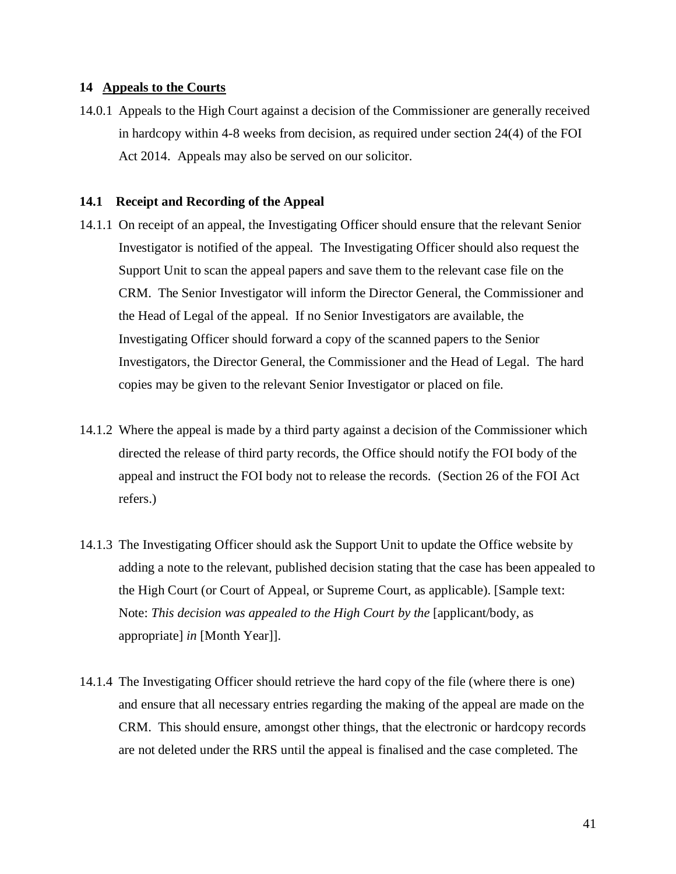#### **14 Appeals to the Courts**

14.0.1 Appeals to the High Court against a decision of the Commissioner are generally received in hardcopy within 4-8 weeks from decision, as required under section 24(4) of the FOI Act 2014. Appeals may also be served on our solicitor.

#### **14.1 Receipt and Recording of the Appeal**

- 14.1.1 On receipt of an appeal, the Investigating Officer should ensure that the relevant Senior Investigator is notified of the appeal. The Investigating Officer should also request the Support Unit to scan the appeal papers and save them to the relevant case file on the CRM. The Senior Investigator will inform the Director General, the Commissioner and the Head of Legal of the appeal. If no Senior Investigators are available, the Investigating Officer should forward a copy of the scanned papers to the Senior Investigators, the Director General, the Commissioner and the Head of Legal. The hard copies may be given to the relevant Senior Investigator or placed on file.
- 14.1.2 Where the appeal is made by a third party against a decision of the Commissioner which directed the release of third party records, the Office should notify the FOI body of the appeal and instruct the FOI body not to release the records. (Section 26 of the FOI Act refers.)
- 14.1.3 The Investigating Officer should ask the Support Unit to update the Office website by adding a note to the relevant, published decision stating that the case has been appealed to the High Court (or Court of Appeal, or Supreme Court, as applicable). [Sample text: Note: *This decision was appealed to the High Court by the* [applicant/body, as appropriate] *in* [Month Year]].
- 14.1.4 The Investigating Officer should retrieve the hard copy of the file (where there is one) and ensure that all necessary entries regarding the making of the appeal are made on the CRM. This should ensure, amongst other things, that the electronic or hardcopy records are not deleted under the RRS until the appeal is finalised and the case completed. The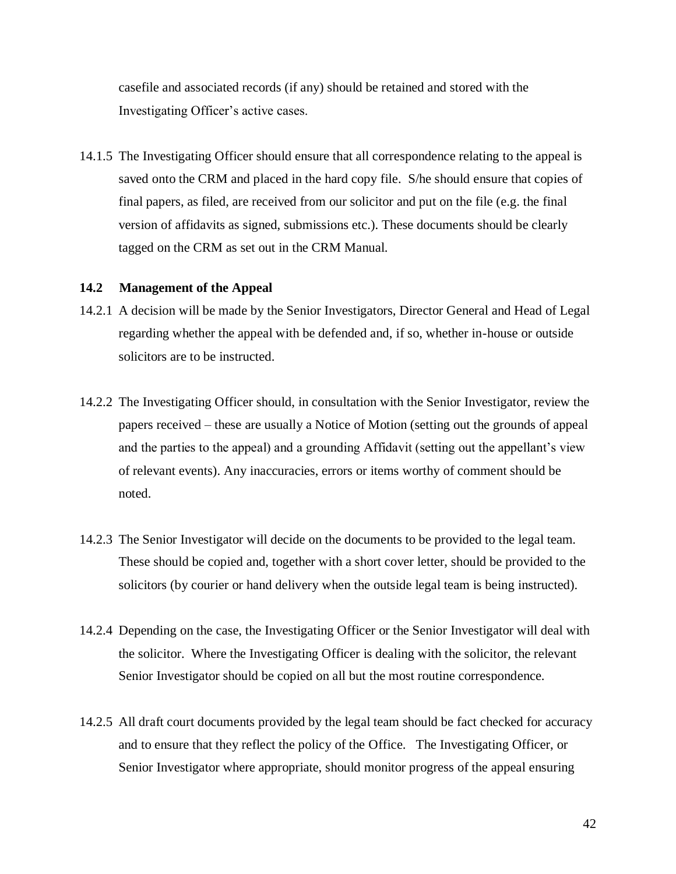casefile and associated records (if any) should be retained and stored with the Investigating Officer's active cases.

14.1.5 The Investigating Officer should ensure that all correspondence relating to the appeal is saved onto the CRM and placed in the hard copy file. S/he should ensure that copies of final papers, as filed, are received from our solicitor and put on the file (e.g. the final version of affidavits as signed, submissions etc.). These documents should be clearly tagged on the CRM as set out in the CRM Manual.

## **14.2 Management of the Appeal**

- 14.2.1 A decision will be made by the Senior Investigators, Director General and Head of Legal regarding whether the appeal with be defended and, if so, whether in-house or outside solicitors are to be instructed.
- 14.2.2 The Investigating Officer should, in consultation with the Senior Investigator, review the papers received – these are usually a Notice of Motion (setting out the grounds of appeal and the parties to the appeal) and a grounding Affidavit (setting out the appellant's view of relevant events). Any inaccuracies, errors or items worthy of comment should be noted.
- 14.2.3 The Senior Investigator will decide on the documents to be provided to the legal team. These should be copied and, together with a short cover letter, should be provided to the solicitors (by courier or hand delivery when the outside legal team is being instructed).
- 14.2.4 Depending on the case, the Investigating Officer or the Senior Investigator will deal with the solicitor. Where the Investigating Officer is dealing with the solicitor, the relevant Senior Investigator should be copied on all but the most routine correspondence.
- 14.2.5 All draft court documents provided by the legal team should be fact checked for accuracy and to ensure that they reflect the policy of the Office. The Investigating Officer, or Senior Investigator where appropriate, should monitor progress of the appeal ensuring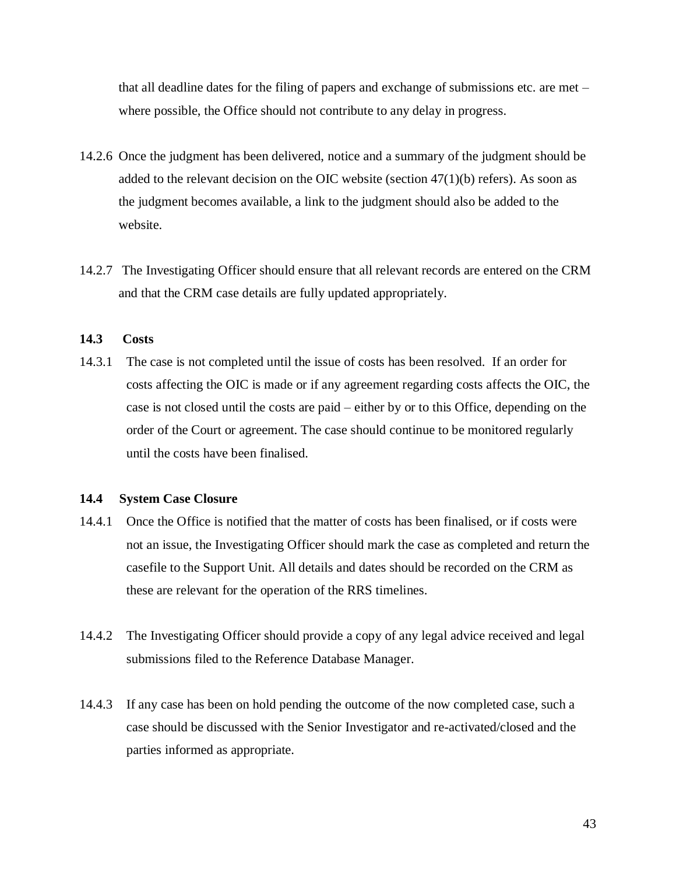that all deadline dates for the filing of papers and exchange of submissions etc. are met – where possible, the Office should not contribute to any delay in progress.

- 14.2.6 Once the judgment has been delivered, notice and a summary of the judgment should be added to the relevant decision on the OIC website (section  $47(1)(b)$  refers). As soon as the judgment becomes available, a link to the judgment should also be added to the website.
- 14.2.7 The Investigating Officer should ensure that all relevant records are entered on the CRM and that the CRM case details are fully updated appropriately.

#### **14.3 Costs**

14.3.1 The case is not completed until the issue of costs has been resolved. If an order for costs affecting the OIC is made or if any agreement regarding costs affects the OIC, the case is not closed until the costs are paid – either by or to this Office, depending on the order of the Court or agreement. The case should continue to be monitored regularly until the costs have been finalised.

#### **14.4 System Case Closure**

- 14.4.1 Once the Office is notified that the matter of costs has been finalised, or if costs were not an issue, the Investigating Officer should mark the case as completed and return the casefile to the Support Unit. All details and dates should be recorded on the CRM as these are relevant for the operation of the RRS timelines.
- 14.4.2 The Investigating Officer should provide a copy of any legal advice received and legal submissions filed to the Reference Database Manager.
- 14.4.3 If any case has been on hold pending the outcome of the now completed case, such a case should be discussed with the Senior Investigator and re-activated/closed and the parties informed as appropriate.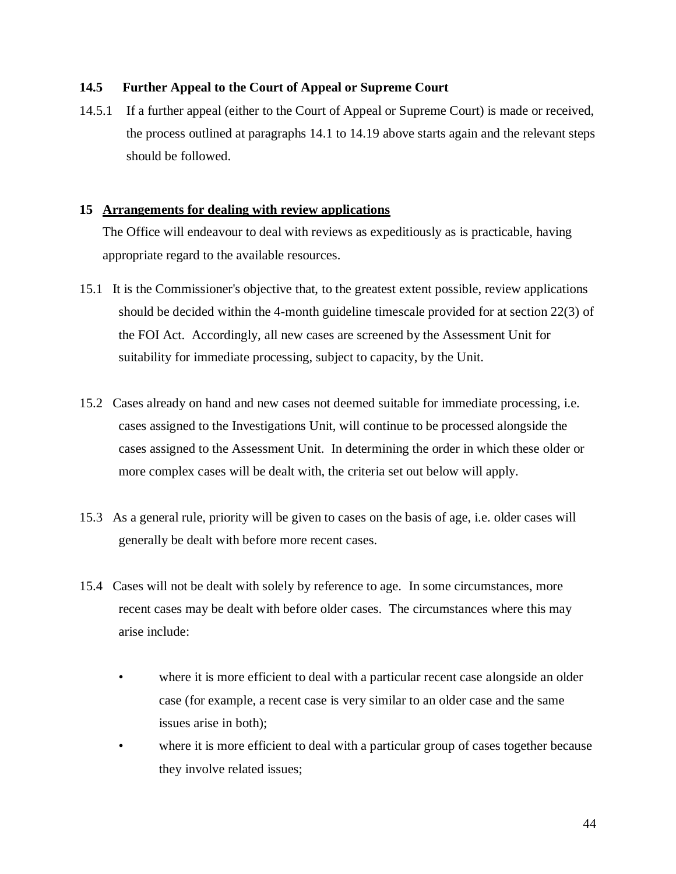## **14.5 Further Appeal to the Court of Appeal or Supreme Court**

14.5.1 If a further appeal (either to the Court of Appeal or Supreme Court) is made or received, the process outlined at paragraphs 14.1 to 14.19 above starts again and the relevant steps should be followed.

## **15 Arrangements for dealing with review applications**

The Office will endeavour to deal with reviews as expeditiously as is practicable, having appropriate regard to the available resources.

- 15.1 It is the Commissioner's objective that, to the greatest extent possible, review applications should be decided within the 4-month guideline timescale provided for at section 22(3) of the FOI Act. Accordingly, all new cases are screened by the Assessment Unit for suitability for immediate processing, subject to capacity, by the Unit.
- 15.2 Cases already on hand and new cases not deemed suitable for immediate processing, i.e. cases assigned to the Investigations Unit, will continue to be processed alongside the cases assigned to the Assessment Unit. In determining the order in which these older or more complex cases will be dealt with, the criteria set out below will apply.
- 15.3 As a general rule, priority will be given to cases on the basis of age, i.e. older cases will generally be dealt with before more recent cases.
- 15.4 Cases will not be dealt with solely by reference to age. In some circumstances, more recent cases may be dealt with before older cases. The circumstances where this may arise include:
	- where it is more efficient to deal with a particular recent case alongside an older case (for example, a recent case is very similar to an older case and the same issues arise in both);
	- where it is more efficient to deal with a particular group of cases together because they involve related issues;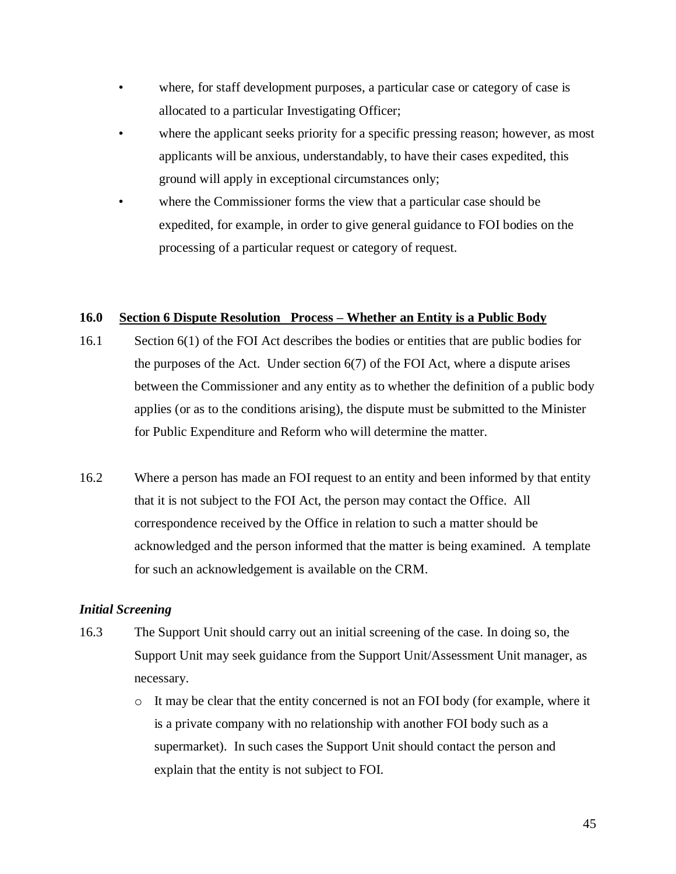- where, for staff development purposes, a particular case or category of case is allocated to a particular Investigating Officer;
- where the applicant seeks priority for a specific pressing reason; however, as most applicants will be anxious, understandably, to have their cases expedited, this ground will apply in exceptional circumstances only;
- where the Commissioner forms the view that a particular case should be expedited, for example, in order to give general guidance to FOI bodies on the processing of a particular request or category of request.

## **16.0 Section 6 Dispute Resolution Process – Whether an Entity is a Public Body**

- 16.1 Section 6(1) of the FOI Act describes the bodies or entities that are public bodies for the purposes of the Act. Under section 6(7) of the FOI Act, where a dispute arises between the Commissioner and any entity as to whether the definition of a public body applies (or as to the conditions arising), the dispute must be submitted to the Minister for Public Expenditure and Reform who will determine the matter.
- 16.2 Where a person has made an FOI request to an entity and been informed by that entity that it is not subject to the FOI Act, the person may contact the Office. All correspondence received by the Office in relation to such a matter should be acknowledged and the person informed that the matter is being examined. A template for such an acknowledgement is available on the CRM.

## *Initial Screening*

- 16.3 The Support Unit should carry out an initial screening of the case. In doing so, the Support Unit may seek guidance from the Support Unit/Assessment Unit manager, as necessary.
	- o It may be clear that the entity concerned is not an FOI body (for example, where it is a private company with no relationship with another FOI body such as a supermarket). In such cases the Support Unit should contact the person and explain that the entity is not subject to FOI.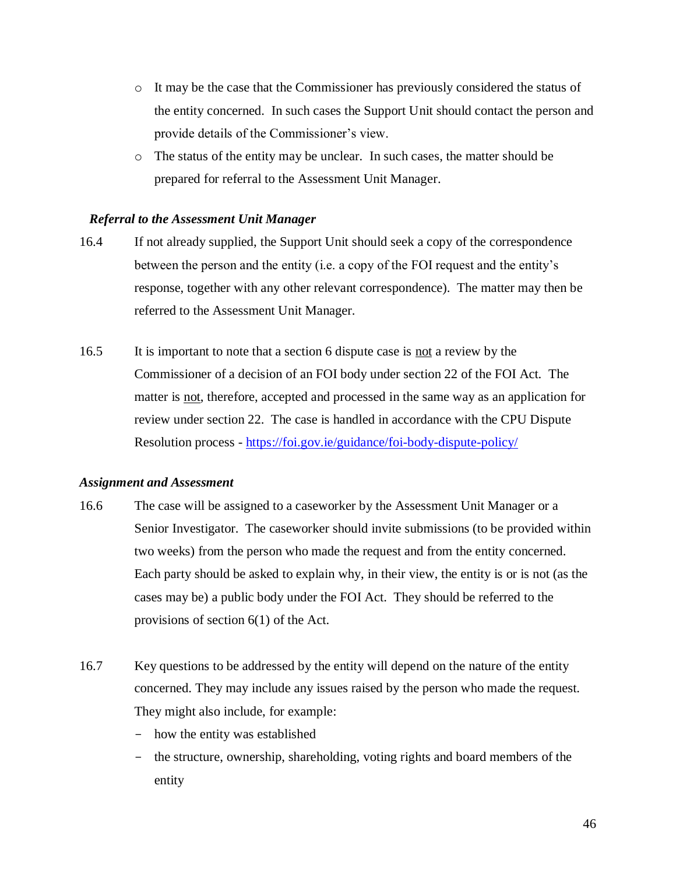- o It may be the case that the Commissioner has previously considered the status of the entity concerned. In such cases the Support Unit should contact the person and provide details of the Commissioner's view.
- o The status of the entity may be unclear. In such cases, the matter should be prepared for referral to the Assessment Unit Manager.

#### *Referral to the Assessment Unit Manager*

- 16.4 If not already supplied, the Support Unit should seek a copy of the correspondence between the person and the entity (i.e. a copy of the FOI request and the entity's response, together with any other relevant correspondence). The matter may then be referred to the Assessment Unit Manager.
- 16.5 It is important to note that a section 6 dispute case is not a review by the Commissioner of a decision of an FOI body under section 22 of the FOI Act. The matter is not, therefore, accepted and processed in the same way as an application for review under section 22. The case is handled in accordance with the CPU Dispute Resolution process - <https://foi.gov.ie/guidance/foi-body-dispute-policy/>

#### *Assignment and Assessment*

- 16.6 The case will be assigned to a caseworker by the Assessment Unit Manager or a Senior Investigator. The caseworker should invite submissions (to be provided within two weeks) from the person who made the request and from the entity concerned. Each party should be asked to explain why, in their view, the entity is or is not (as the cases may be) a public body under the FOI Act. They should be referred to the provisions of section 6(1) of the Act.
- 16.7 Key questions to be addressed by the entity will depend on the nature of the entity concerned. They may include any issues raised by the person who made the request. They might also include, for example:
	- how the entity was established
	- the structure, ownership, shareholding, voting rights and board members of the entity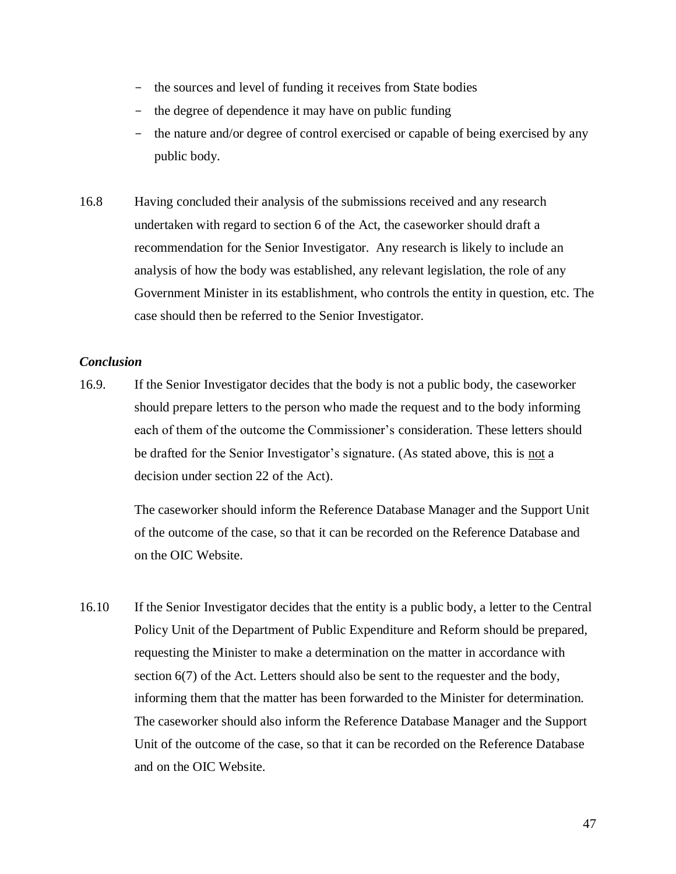- the sources and level of funding it receives from State bodies
- the degree of dependence it may have on public funding
- the nature and/or degree of control exercised or capable of being exercised by any public body.
- 16.8 Having concluded their analysis of the submissions received and any research undertaken with regard to section 6 of the Act, the caseworker should draft a recommendation for the Senior Investigator. Any research is likely to include an analysis of how the body was established, any relevant legislation, the role of any Government Minister in its establishment, who controls the entity in question, etc. The case should then be referred to the Senior Investigator.

## *Conclusion*

16.9. If the Senior Investigator decides that the body is not a public body, the caseworker should prepare letters to the person who made the request and to the body informing each of them of the outcome the Commissioner's consideration. These letters should be drafted for the Senior Investigator's signature. (As stated above, this is not a decision under section 22 of the Act).

> The caseworker should inform the Reference Database Manager and the Support Unit of the outcome of the case, so that it can be recorded on the Reference Database and on the OIC Website.

16.10 If the Senior Investigator decides that the entity is a public body, a letter to the Central Policy Unit of the Department of Public Expenditure and Reform should be prepared, requesting the Minister to make a determination on the matter in accordance with section 6(7) of the Act. Letters should also be sent to the requester and the body, informing them that the matter has been forwarded to the Minister for determination. The caseworker should also inform the Reference Database Manager and the Support Unit of the outcome of the case, so that it can be recorded on the Reference Database and on the OIC Website.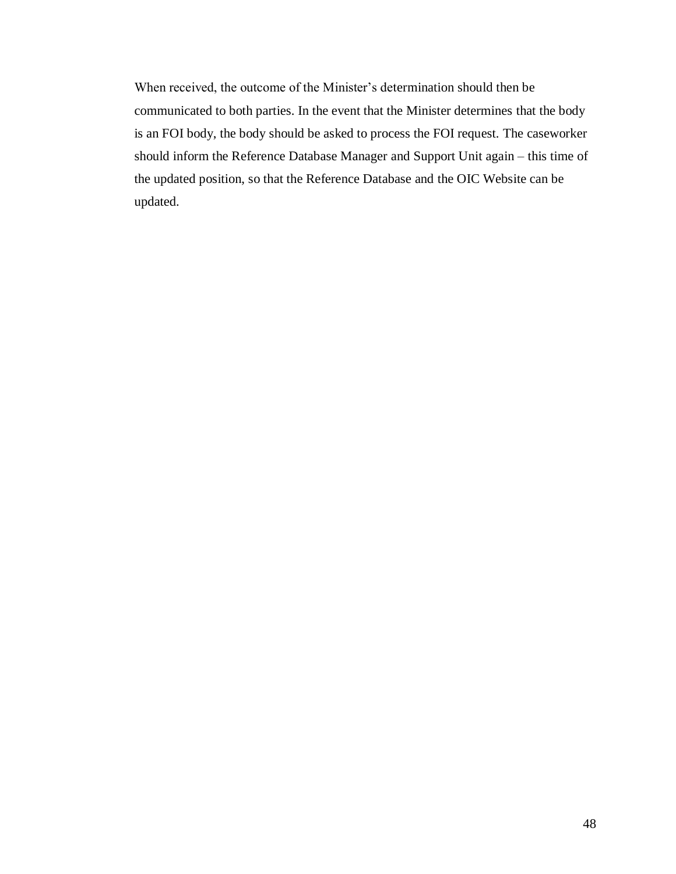When received, the outcome of the Minister's determination should then be communicated to both parties. In the event that the Minister determines that the body is an FOI body, the body should be asked to process the FOI request. The caseworker should inform the Reference Database Manager and Support Unit again – this time of the updated position, so that the Reference Database and the OIC Website can be updated.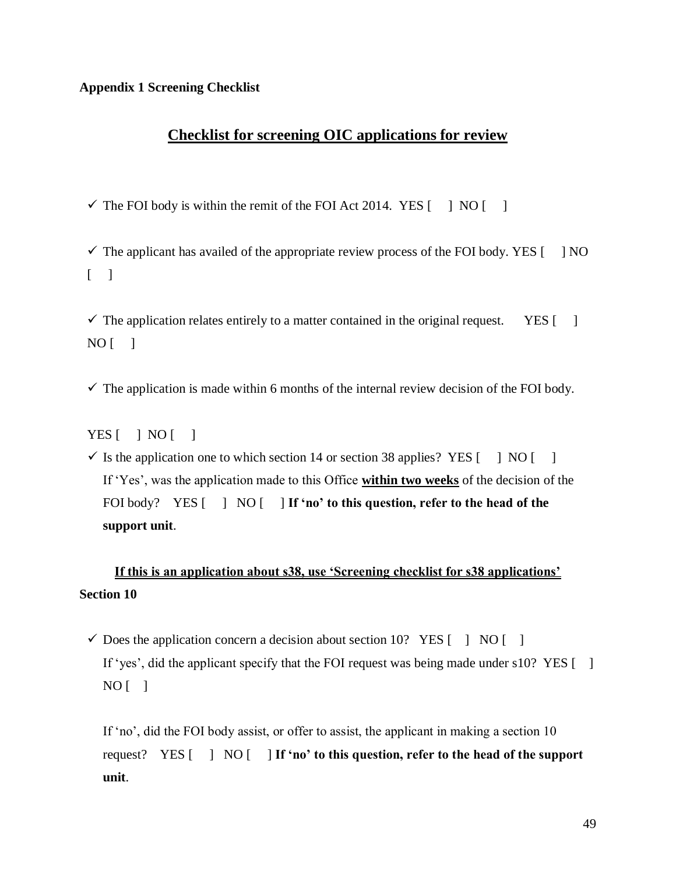#### **Appendix 1 Screening Checklist**

## **Checklist for screening OIC applications for review**

 $\checkmark$  The FOI body is within the remit of the FOI Act 2014. YES [ ] NO [ ]

 $\checkmark$  The applicant has availed of the appropriate review process of the FOI body. YES [ ] NO  $\begin{bmatrix} 1 \end{bmatrix}$ 

 $\checkmark$  The application relates entirely to a matter contained in the original request. YES [ ]  $NO$  [ ]

 $\checkmark$  The application is made within 6 months of the internal review decision of the FOI body.

 $YES$   $|$   $NO$   $|$ 

 $\checkmark$  Is the application one to which section 14 or section 38 applies? YES [ ] NO [ ] If 'Yes', was the application made to this Office **within two weeks** of the decision of the FOI body? YES  $\begin{bmatrix} 1 & N & N \\ N & N & N \end{bmatrix}$  **If 'no' to this question, refer to the head of the support unit**.

## **If this is an application about s38, use 'Screening checklist for s38 applications' Section 10**

 $\checkmark$  Does the application concern a decision about section 10? YES [ ] NO [ ] If 'yes', did the applicant specify that the FOI request was being made under s10? YES  $\lceil \quad \rceil$  $NO$  [ ]

If 'no', did the FOI body assist, or offer to assist, the applicant in making a section 10 request? YES [ ] NO [ ] **If 'no' to this question, refer to the head of the support unit**.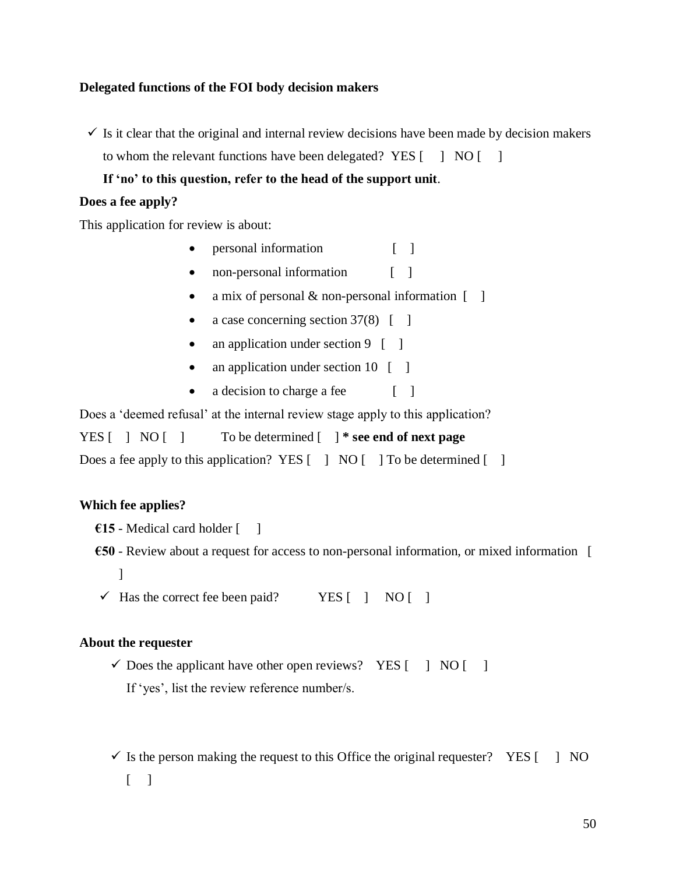## **Delegated functions of the FOI body decision makers**

 $\checkmark$  Is it clear that the original and internal review decisions have been made by decision makers to whom the relevant functions have been delegated? YES [ ] NO [ ]

**If 'no' to this question, refer to the head of the support unit**.

## **Does a fee apply?**

This application for review is about:

- personal information [ ]
- non-personal information [ ]
- a mix of personal  $\&$  non-personal information  $\begin{bmatrix} 1 \end{bmatrix}$
- a case concerning section  $37(8)$  [ ]
- an application under section 9 [ ]
- an application under section 10 [ ]
- a decision to charge a fee [ ]

Does a 'deemed refusal' at the internal review stage apply to this application?

YES [ ] NO [ ] To be determined [ ] **\* see end of next page** Does a fee apply to this application? YES  $\begin{bmatrix} 1 \\ 0 \end{bmatrix}$  NO  $\begin{bmatrix} 1 \\ 0 \end{bmatrix}$  To be determined  $\begin{bmatrix} 1 \\ 0 \end{bmatrix}$ 

## **Which fee applies?**

- **€15** Medical card holder [ ]
- **€50** Review about a request for access to non-personal information, or mixed information [ ]
- $\checkmark$  Has the correct fee been paid? YES [ ] NO [ ]

## **About the requester**

- $\checkmark$  Does the applicant have other open reviews? YES [ ] NO [ ] If 'yes', list the review reference number/s.
- $\checkmark$  Is the person making the request to this Office the original requester? YES [ ] NO  $\lceil$   $\rceil$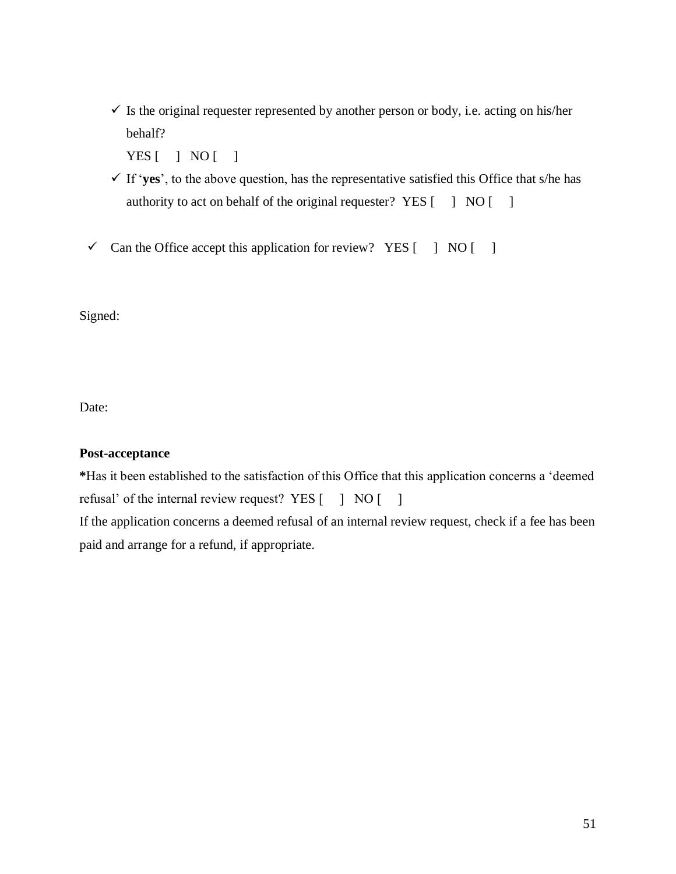$\checkmark$  Is the original requester represented by another person or body, i.e. acting on his/her behalf?

YES [ ] NO [ ]

- ✓ If '**yes**', to the above question, has the representative satisfied this Office that s/he has authority to act on behalf of the original requester? YES  $\begin{bmatrix} 1 & NO \end{bmatrix}$
- $\checkmark$  Can the Office accept this application for review? YES  $\begin{bmatrix} 1 & NQ \end{bmatrix}$

Signed:

Date:

## **Post-acceptance**

**\***Has it been established to the satisfaction of this Office that this application concerns a 'deemed refusal' of the internal review request? YES [ ] NO [ ]

If the application concerns a deemed refusal of an internal review request, check if a fee has been paid and arrange for a refund, if appropriate.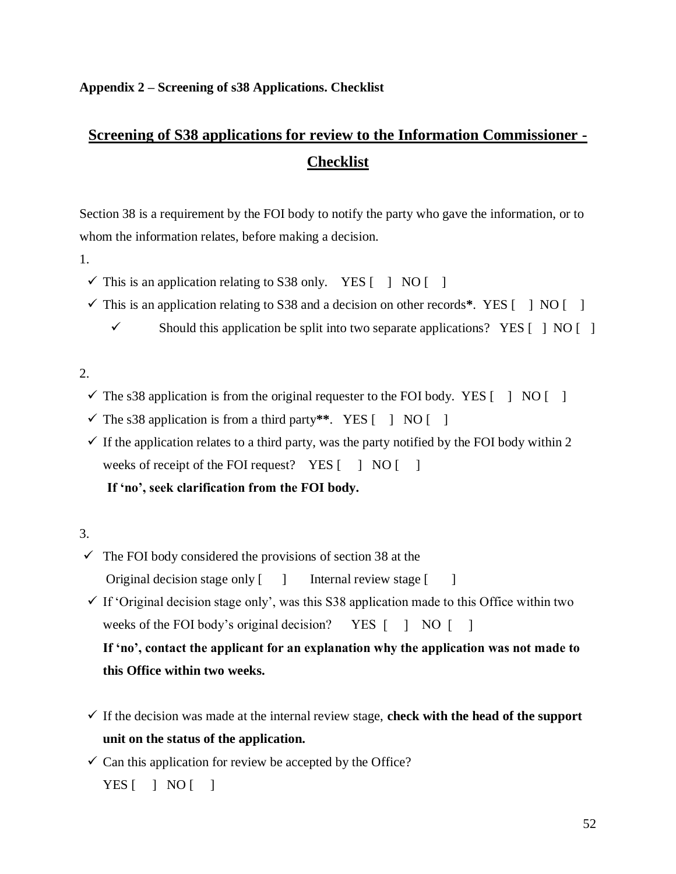## **Appendix 2 – Screening of s38 Applications. Checklist**

# **Screening of S38 applications for review to the Information Commissioner - Checklist**

Section 38 is a requirement by the FOI body to notify the party who gave the information, or to whom the information relates, before making a decision.

- 1.
	- $\checkmark$  This is an application relating to S38 only. YES [ ] NO [ ]
	- $\checkmark$  This is an application relating to S38 and a decision on other records\*. YES  $\begin{bmatrix} 1 \\ 1 \end{bmatrix}$  NO  $\begin{bmatrix} 1 \\ 1 \end{bmatrix}$ 
		- $\checkmark$  Should this application be split into two separate applications? YES [ ] NO [ ]

## $2<sub>1</sub>$

- $\checkmark$  The s38 application is from the original requester to the FOI body. YES [ ] NO [ ]
- $\checkmark$  The s38 application is from a third party\*\*. YES  $\begin{bmatrix} 1 & NO & \bar{1} \end{bmatrix}$
- $\checkmark$  If the application relates to a third party, was the party notified by the FOI body within 2 weeks of receipt of the FOI request? YES [ ] NO [ ]

## **If 'no', seek clarification from the FOI body.**

## 3.

- $\checkmark$  The FOI body considered the provisions of section 38 at the Original decision stage only [ ] Internal review stage [ ]
- $\checkmark$  If 'Original decision stage only', was this S38 application made to this Office within two weeks of the FOI body's original decision? YES [ ] NO [ ]

**If 'no', contact the applicant for an explanation why the application was not made to this Office within two weeks.**

- $\checkmark$  If the decision was made at the internal review stage, **check with the head of the support unit on the status of the application.**
- $\checkmark$  Can this application for review be accepted by the Office?

 $YES$   $|$   $NO$   $|$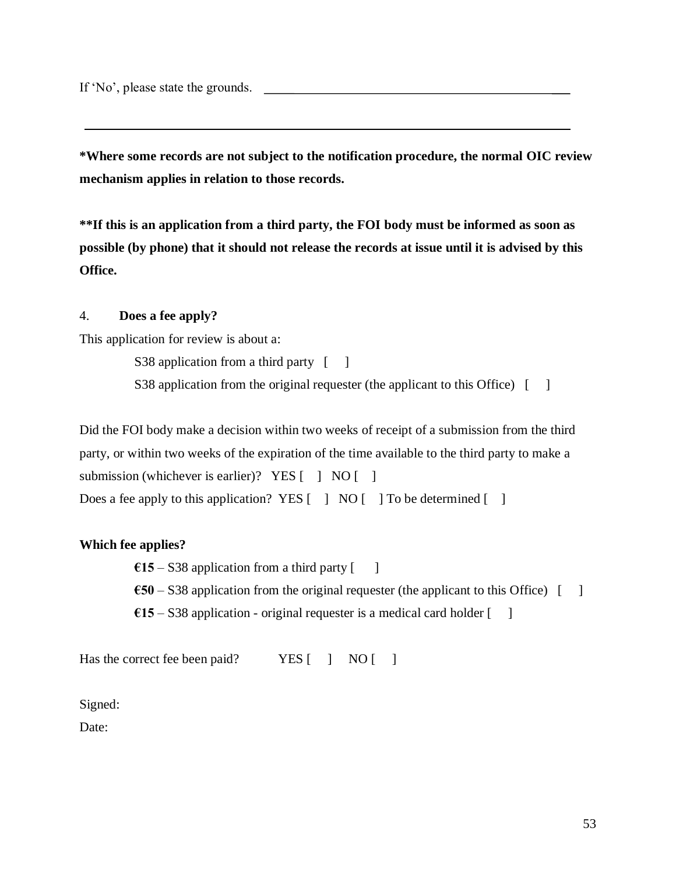If 'No', please state the grounds.

**\*Where some records are not subject to the notification procedure, the normal OIC review mechanism applies in relation to those records.**

**\*\*If this is an application from a third party, the FOI body must be informed as soon as possible (by phone) that it should not release the records at issue until it is advised by this Office.**

## 4. **Does a fee apply?**

This application for review is about a:

S38 application from a third party [ ]

S38 application from the original requester (the applicant to this Office) [ ]

Did the FOI body make a decision within two weeks of receipt of a submission from the third party, or within two weeks of the expiration of the time available to the third party to make a submission (whichever is earlier)? YES  $\begin{bmatrix} 1 & NO \end{bmatrix}$ Does a fee apply to this application? YES  $\begin{bmatrix} 1 \\ 0 \end{bmatrix}$  NO  $\begin{bmatrix} 1 \\ 0 \end{bmatrix}$  To be determined  $\begin{bmatrix} 1 \\ 0 \end{bmatrix}$ 

## **Which fee applies?**

 $\epsilon$ 15 – S38 application from a third party [ ]

- $\text{\textsterling}50 S38$  application from the original requester (the applicant to this Office) [ ]
- $€15 $38$  application original requester is a medical card holder  $[$  ]

Has the correct fee been paid? YES [ ] NO [ ]

Signed:

Date: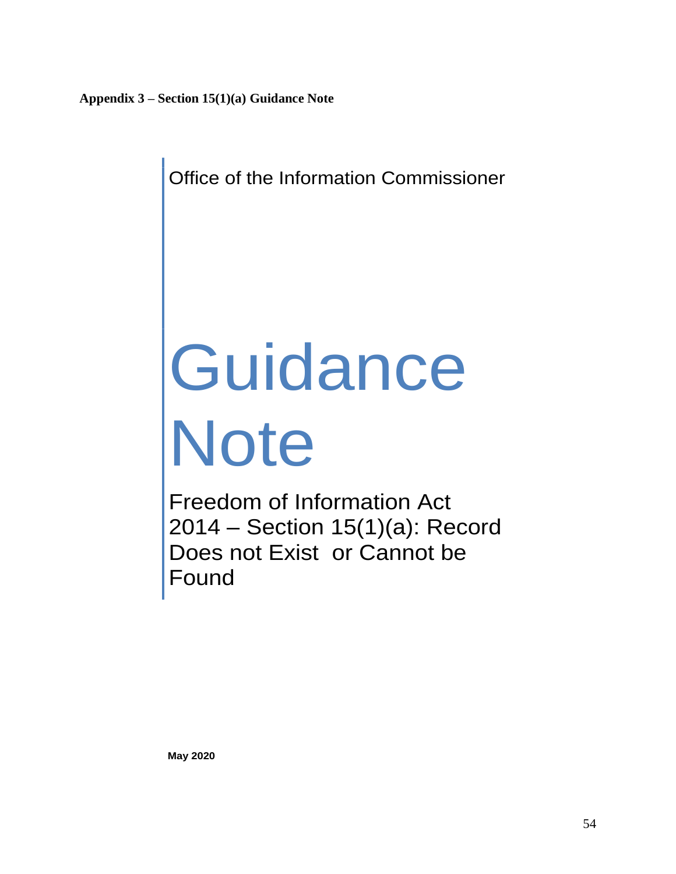Office of the Information Commissioner

# **Guidance** Note

Freedom of Information Act 2014 – Section 15(1)(a): Record Does not Exist or Cannot be Found

**May 2020**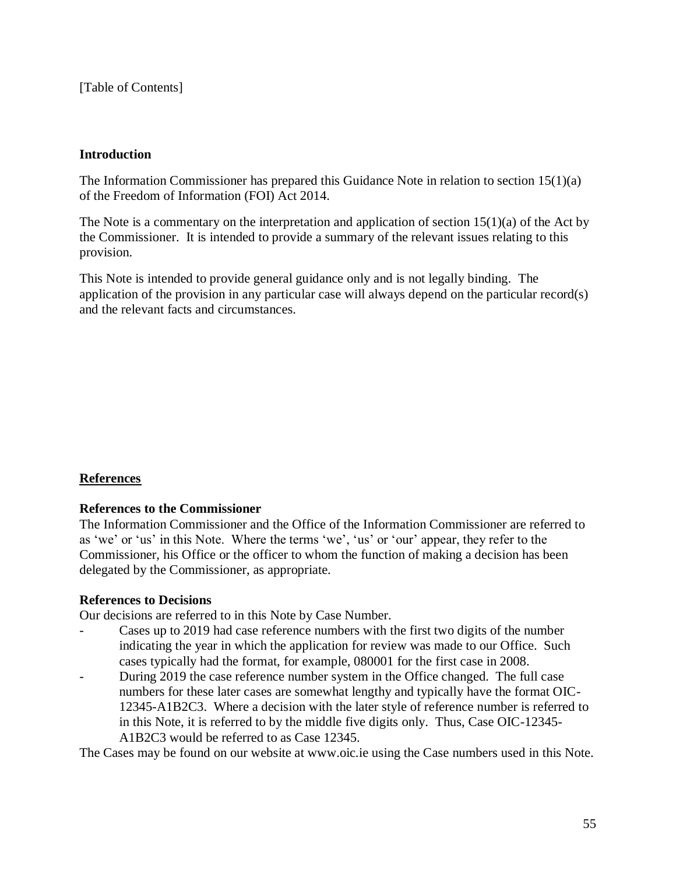[Table of Contents]

## **Introduction**

The Information Commissioner has prepared this Guidance Note in relation to section  $15(1)(a)$ of the Freedom of Information (FOI) Act 2014.

The Note is a commentary on the interpretation and application of section 15(1)(a) of the Act by the Commissioner. It is intended to provide a summary of the relevant issues relating to this provision.

This Note is intended to provide general guidance only and is not legally binding. The application of the provision in any particular case will always depend on the particular record(s) and the relevant facts and circumstances.

## **References**

## **References to the Commissioner**

The Information Commissioner and the Office of the Information Commissioner are referred to as 'we' or 'us' in this Note. Where the terms 'we', 'us' or 'our' appear, they refer to the Commissioner, his Office or the officer to whom the function of making a decision has been delegated by the Commissioner, as appropriate.

## **References to Decisions**

Our decisions are referred to in this Note by Case Number.

- Cases up to 2019 had case reference numbers with the first two digits of the number indicating the year in which the application for review was made to our Office. Such cases typically had the format, for example, 080001 for the first case in 2008.
- During 2019 the case reference number system in the Office changed. The full case numbers for these later cases are somewhat lengthy and typically have the format OIC-12345-A1B2C3. Where a decision with the later style of reference number is referred to in this Note, it is referred to by the middle five digits only. Thus, Case OIC-12345- A1B2C3 would be referred to as Case 12345.

The Cases may be found on our website at www.oic.ie using the Case numbers used in this Note.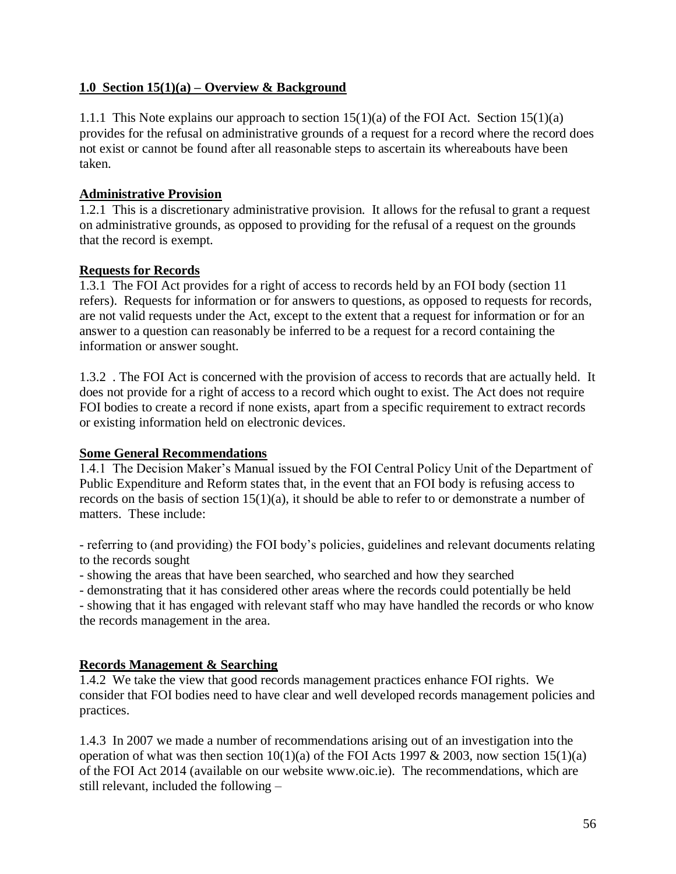## **1.0 Section 15(1)(a) – Overview & Background**

1.1.1 This Note explains our approach to section 15(1)(a) of the FOI Act. Section 15(1)(a) provides for the refusal on administrative grounds of a request for a record where the record does not exist or cannot be found after all reasonable steps to ascertain its whereabouts have been taken.

## **Administrative Provision**

1.2.1 This is a discretionary administrative provision. It allows for the refusal to grant a request on administrative grounds, as opposed to providing for the refusal of a request on the grounds that the record is exempt.

## **Requests for Records**

1.3.1 The FOI Act provides for a right of access to records held by an FOI body (section 11 refers). Requests for information or for answers to questions, as opposed to requests for records, are not valid requests under the Act, except to the extent that a request for information or for an answer to a question can reasonably be inferred to be a request for a record containing the information or answer sought.

1.3.2 . The FOI Act is concerned with the provision of access to records that are actually held. It does not provide for a right of access to a record which ought to exist. The Act does not require FOI bodies to create a record if none exists, apart from a specific requirement to extract records or existing information held on electronic devices.

## **Some General Recommendations**

1.4.1 The Decision Maker's Manual issued by the FOI Central Policy Unit of the Department of Public Expenditure and Reform states that, in the event that an FOI body is refusing access to records on the basis of section 15(1)(a), it should be able to refer to or demonstrate a number of matters. These include:

- referring to (and providing) the FOI body's policies, guidelines and relevant documents relating to the records sought

- showing the areas that have been searched, who searched and how they searched

- demonstrating that it has considered other areas where the records could potentially be held

- showing that it has engaged with relevant staff who may have handled the records or who know the records management in the area.

## **Records Management & Searching**

1.4.2 We take the view that good records management practices enhance FOI rights. We consider that FOI bodies need to have clear and well developed records management policies and practices.

1.4.3 In 2007 we made a number of recommendations arising out of an investigation into the operation of what was then section  $10(1)(a)$  of the FOI Acts 1997 & 2003, now section 15(1)(a) of the FOI Act 2014 (available on our website www.oic.ie). The recommendations, which are still relevant, included the following –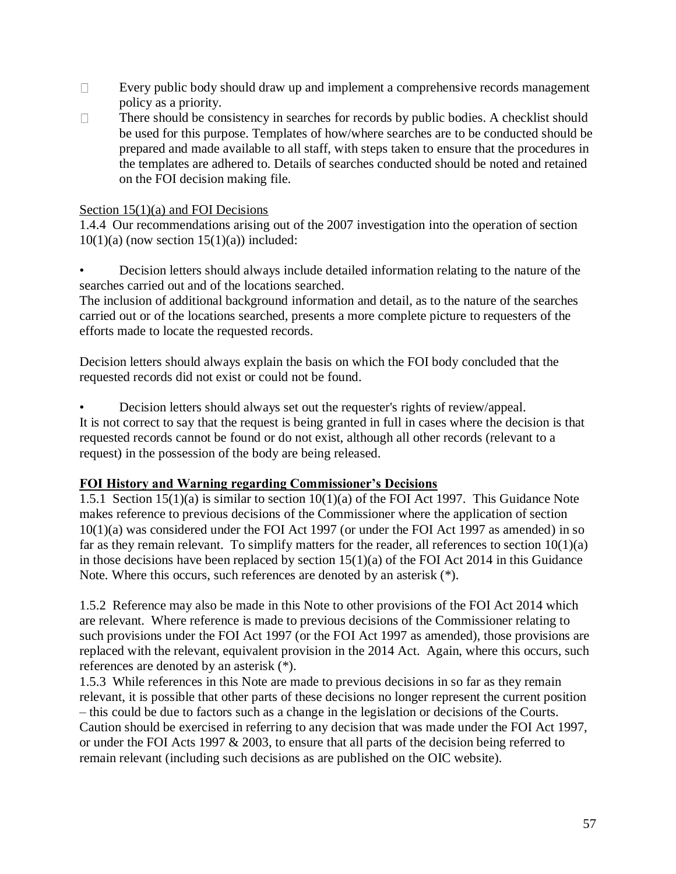- $\Box$ Every public body should draw up and implement a comprehensive records management policy as a priority.
- There should be consistency in searches for records by public bodies. A checklist should  $\Box$ be used for this purpose. Templates of how/where searches are to be conducted should be prepared and made available to all staff, with steps taken to ensure that the procedures in the templates are adhered to. Details of searches conducted should be noted and retained on the FOI decision making file.

## Section 15(1)(a) and FOI Decisions

1.4.4 Our recommendations arising out of the 2007 investigation into the operation of section  $10(1)(a)$  (now section  $15(1)(a)$ ) included:

• Decision letters should always include detailed information relating to the nature of the searches carried out and of the locations searched.

The inclusion of additional background information and detail, as to the nature of the searches carried out or of the locations searched, presents a more complete picture to requesters of the efforts made to locate the requested records.

Decision letters should always explain the basis on which the FOI body concluded that the requested records did not exist or could not be found.

• Decision letters should always set out the requester's rights of review/appeal. It is not correct to say that the request is being granted in full in cases where the decision is that requested records cannot be found or do not exist, although all other records (relevant to a request) in the possession of the body are being released.

## **FOI History and Warning regarding Commissioner's Decisions**

1.5.1 Section 15(1)(a) is similar to section 10(1)(a) of the FOI Act 1997. This Guidance Note makes reference to previous decisions of the Commissioner where the application of section 10(1)(a) was considered under the FOI Act 1997 (or under the FOI Act 1997 as amended) in so far as they remain relevant. To simplify matters for the reader, all references to section  $10(1)(a)$ in those decisions have been replaced by section  $15(1)(a)$  of the FOI Act 2014 in this Guidance Note. Where this occurs, such references are denoted by an asterisk (\*).

1.5.2 Reference may also be made in this Note to other provisions of the FOI Act 2014 which are relevant. Where reference is made to previous decisions of the Commissioner relating to such provisions under the FOI Act 1997 (or the FOI Act 1997 as amended), those provisions are replaced with the relevant, equivalent provision in the 2014 Act. Again, where this occurs, such references are denoted by an asterisk (\*).

1.5.3 While references in this Note are made to previous decisions in so far as they remain relevant, it is possible that other parts of these decisions no longer represent the current position – this could be due to factors such as a change in the legislation or decisions of the Courts. Caution should be exercised in referring to any decision that was made under the FOI Act 1997, or under the FOI Acts 1997 & 2003, to ensure that all parts of the decision being referred to remain relevant (including such decisions as are published on the OIC website).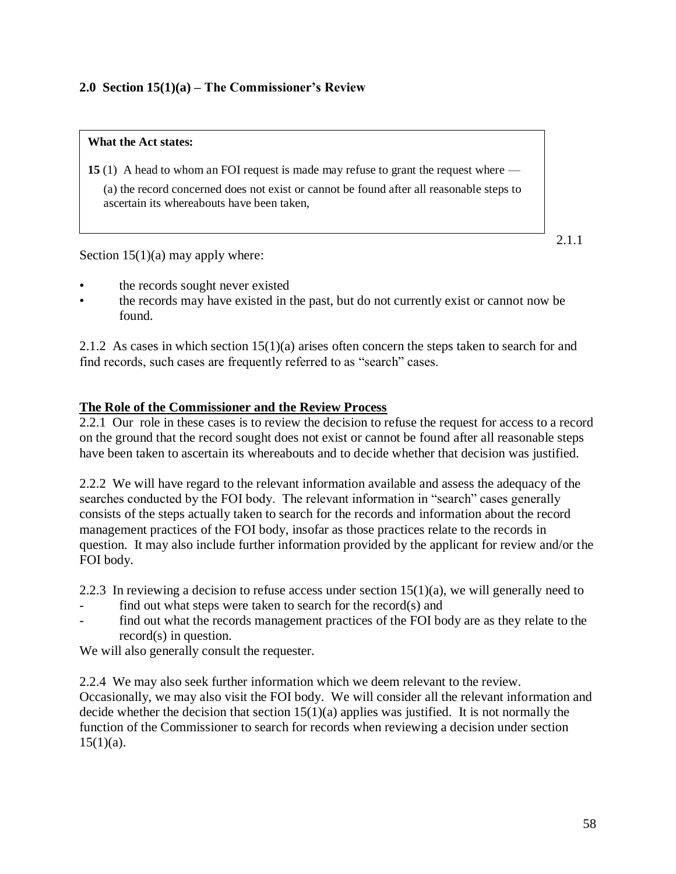## **2.0 Section 15(1)(a) – The Commissioner's Review**

#### **What the Act states:**

**15** (1) A head to whom an FOI request is made may refuse to grant the request where —

(a) the record concerned does not exist or cannot be found after all reasonable steps to ascertain its whereabouts have been taken,

Section  $15(1)(a)$  may apply where:

- the records sought never existed
- the records may have existed in the past, but do not currently exist or cannot now be found.

2.1.2 As cases in which section 15(1)(a) arises often concern the steps taken to search for and find records, such cases are frequently referred to as "search" cases.

## **The Role of the Commissioner and the Review Process**

2.2.1 Our role in these cases is to review the decision to refuse the request for access to a record on the ground that the record sought does not exist or cannot be found after all reasonable steps have been taken to ascertain its whereabouts and to decide whether that decision was justified.

2.2.2 We will have regard to the relevant information available and assess the adequacy of the searches conducted by the FOI body. The relevant information in "search" cases generally consists of the steps actually taken to search for the records and information about the record management practices of the FOI body, insofar as those practices relate to the records in question. It may also include further information provided by the applicant for review and/or the FOI body.

2.2.3 In reviewing a decision to refuse access under section  $15(1)(a)$ , we will generally need to

- find out what steps were taken to search for the record $(s)$  and
- find out what the records management practices of the FOI body are as they relate to the record(s) in question.

We will also generally consult the requester.

2.2.4 We may also seek further information which we deem relevant to the review. Occasionally, we may also visit the FOI body. We will consider all the relevant information and decide whether the decision that section  $15(1)(a)$  applies was justified. It is not normally the function of the Commissioner to search for records when reviewing a decision under section  $15(1)(a)$ .

2.1.1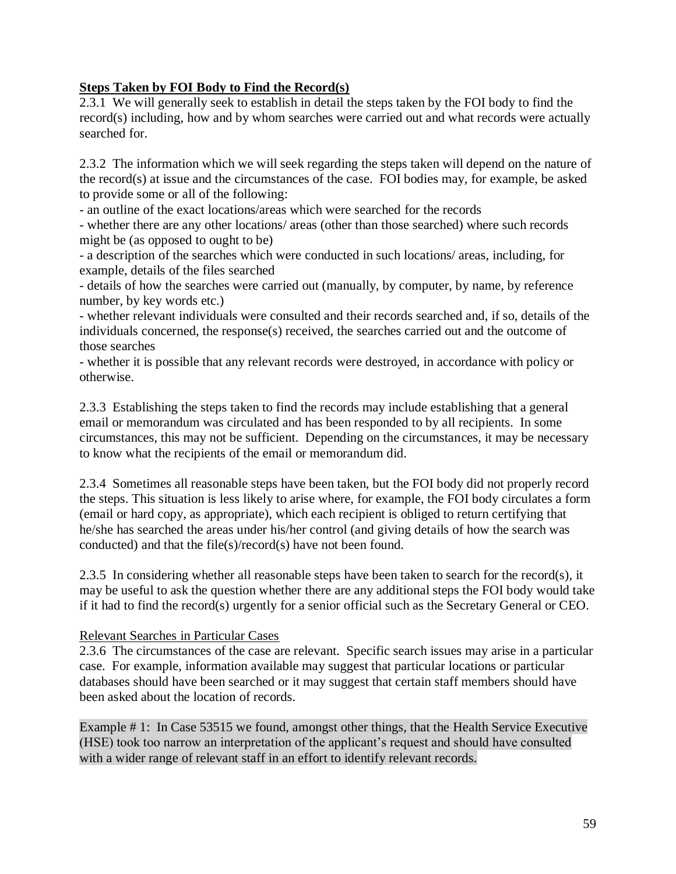## **Steps Taken by FOI Body to Find the Record(s)**

2.3.1 We will generally seek to establish in detail the steps taken by the FOI body to find the record(s) including, how and by whom searches were carried out and what records were actually searched for.

2.3.2 The information which we will seek regarding the steps taken will depend on the nature of the record(s) at issue and the circumstances of the case. FOI bodies may, for example, be asked to provide some or all of the following:

- an outline of the exact locations/areas which were searched for the records

- whether there are any other locations/ areas (other than those searched) where such records might be (as opposed to ought to be)

- a description of the searches which were conducted in such locations/ areas, including, for example, details of the files searched

- details of how the searches were carried out (manually, by computer, by name, by reference number, by key words etc.)

- whether relevant individuals were consulted and their records searched and, if so, details of the individuals concerned, the response(s) received, the searches carried out and the outcome of those searches

- whether it is possible that any relevant records were destroyed, in accordance with policy or otherwise.

2.3.3 Establishing the steps taken to find the records may include establishing that a general email or memorandum was circulated and has been responded to by all recipients. In some circumstances, this may not be sufficient. Depending on the circumstances, it may be necessary to know what the recipients of the email or memorandum did.

2.3.4 Sometimes all reasonable steps have been taken, but the FOI body did not properly record the steps. This situation is less likely to arise where, for example, the FOI body circulates a form (email or hard copy, as appropriate), which each recipient is obliged to return certifying that he/she has searched the areas under his/her control (and giving details of how the search was conducted) and that the file(s)/record(s) have not been found.

2.3.5 In considering whether all reasonable steps have been taken to search for the record(s), it may be useful to ask the question whether there are any additional steps the FOI body would take if it had to find the record(s) urgently for a senior official such as the Secretary General or CEO.

## Relevant Searches in Particular Cases

2.3.6 The circumstances of the case are relevant. Specific search issues may arise in a particular case. For example, information available may suggest that particular locations or particular databases should have been searched or it may suggest that certain staff members should have been asked about the location of records.

Example # 1: In Case 53515 we found, amongst other things, that the Health Service Executive (HSE) took too narrow an interpretation of the applicant's request and should have consulted with a wider range of relevant staff in an effort to identify relevant records.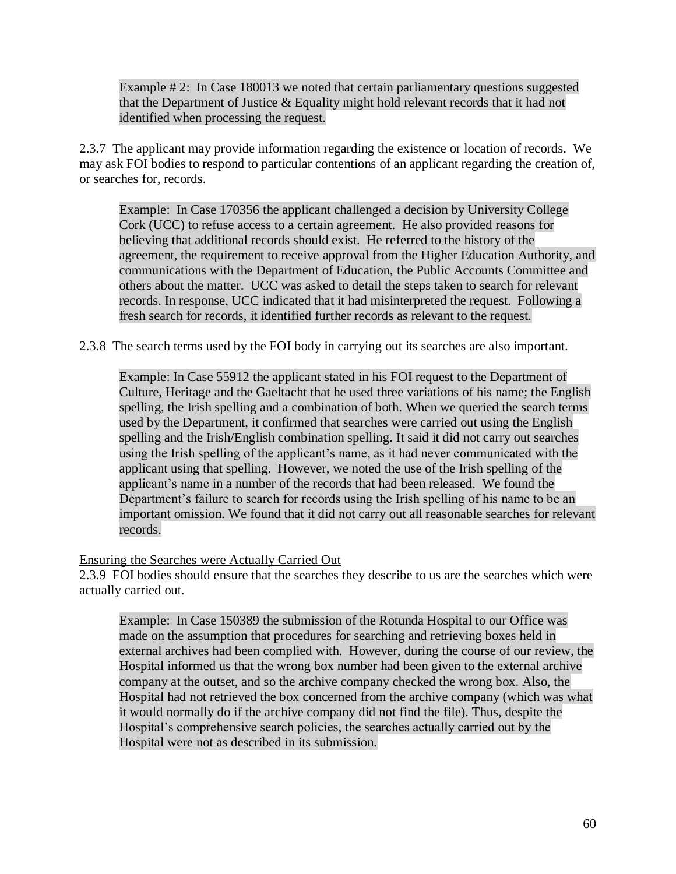Example # 2: In Case 180013 we noted that certain parliamentary questions suggested that the Department of Justice & Equality might hold relevant records that it had not identified when processing the request.

2.3.7 The applicant may provide information regarding the existence or location of records. We may ask FOI bodies to respond to particular contentions of an applicant regarding the creation of, or searches for, records.

Example: In Case 170356 the applicant challenged a decision by University College Cork (UCC) to refuse access to a certain agreement. He also provided reasons for believing that additional records should exist. He referred to the history of the agreement, the requirement to receive approval from the Higher Education Authority, and communications with the Department of Education, the Public Accounts Committee and others about the matter. UCC was asked to detail the steps taken to search for relevant records. In response, UCC indicated that it had misinterpreted the request. Following a fresh search for records, it identified further records as relevant to the request.

2.3.8 The search terms used by the FOI body in carrying out its searches are also important.

Example: In Case 55912 the applicant stated in his FOI request to the Department of Culture, Heritage and the Gaeltacht that he used three variations of his name; the English spelling, the Irish spelling and a combination of both. When we queried the search terms used by the Department, it confirmed that searches were carried out using the English spelling and the Irish/English combination spelling. It said it did not carry out searches using the Irish spelling of the applicant's name, as it had never communicated with the applicant using that spelling. However, we noted the use of the Irish spelling of the applicant's name in a number of the records that had been released. We found the Department's failure to search for records using the Irish spelling of his name to be an important omission. We found that it did not carry out all reasonable searches for relevant records.

Ensuring the Searches were Actually Carried Out

2.3.9 FOI bodies should ensure that the searches they describe to us are the searches which were actually carried out.

Example: In Case 150389 the submission of the Rotunda Hospital to our Office was made on the assumption that procedures for searching and retrieving boxes held in external archives had been complied with. However, during the course of our review, the Hospital informed us that the wrong box number had been given to the external archive company at the outset, and so the archive company checked the wrong box. Also, the Hospital had not retrieved the box concerned from the archive company (which was what it would normally do if the archive company did not find the file). Thus, despite the Hospital's comprehensive search policies, the searches actually carried out by the Hospital were not as described in its submission.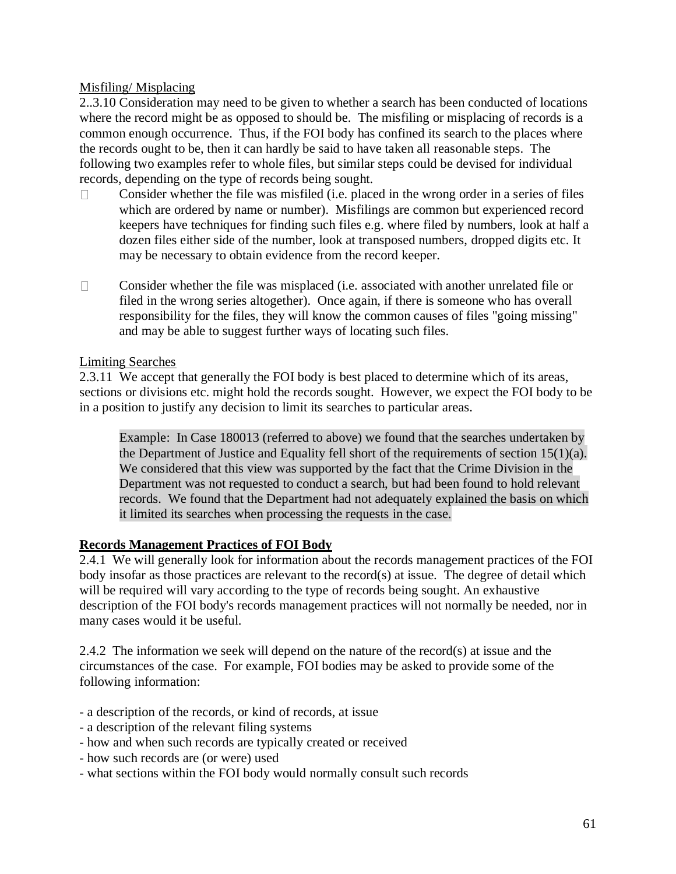## Misfiling/ Misplacing

2..3.10 Consideration may need to be given to whether a search has been conducted of locations where the record might be as opposed to should be. The misfiling or misplacing of records is a common enough occurrence. Thus, if the FOI body has confined its search to the places where the records ought to be, then it can hardly be said to have taken all reasonable steps. The following two examples refer to whole files, but similar steps could be devised for individual records, depending on the type of records being sought.

- Consider whether the file was misfiled (i.e. placed in the wrong order in a series of files  $\Box$ which are ordered by name or number). Misfilings are common but experienced record keepers have techniques for finding such files e.g. where filed by numbers, look at half a dozen files either side of the number, look at transposed numbers, dropped digits etc. It may be necessary to obtain evidence from the record keeper.
- Consider whether the file was misplaced (i.e. associated with another unrelated file or  $\Box$ filed in the wrong series altogether). Once again, if there is someone who has overall responsibility for the files, they will know the common causes of files "going missing" and may be able to suggest further ways of locating such files.

## Limiting Searches

2.3.11 We accept that generally the FOI body is best placed to determine which of its areas, sections or divisions etc. might hold the records sought. However, we expect the FOI body to be in a position to justify any decision to limit its searches to particular areas.

Example: In Case 180013 (referred to above) we found that the searches undertaken by the Department of Justice and Equality fell short of the requirements of section 15(1)(a). We considered that this view was supported by the fact that the Crime Division in the Department was not requested to conduct a search, but had been found to hold relevant records. We found that the Department had not adequately explained the basis on which it limited its searches when processing the requests in the case.

## **Records Management Practices of FOI Body**

2.4.1 We will generally look for information about the records management practices of the FOI body insofar as those practices are relevant to the record(s) at issue. The degree of detail which will be required will vary according to the type of records being sought. An exhaustive description of the FOI body's records management practices will not normally be needed, nor in many cases would it be useful.

2.4.2 The information we seek will depend on the nature of the record(s) at issue and the circumstances of the case. For example, FOI bodies may be asked to provide some of the following information:

- a description of the records, or kind of records, at issue
- a description of the relevant filing systems
- how and when such records are typically created or received
- how such records are (or were) used
- what sections within the FOI body would normally consult such records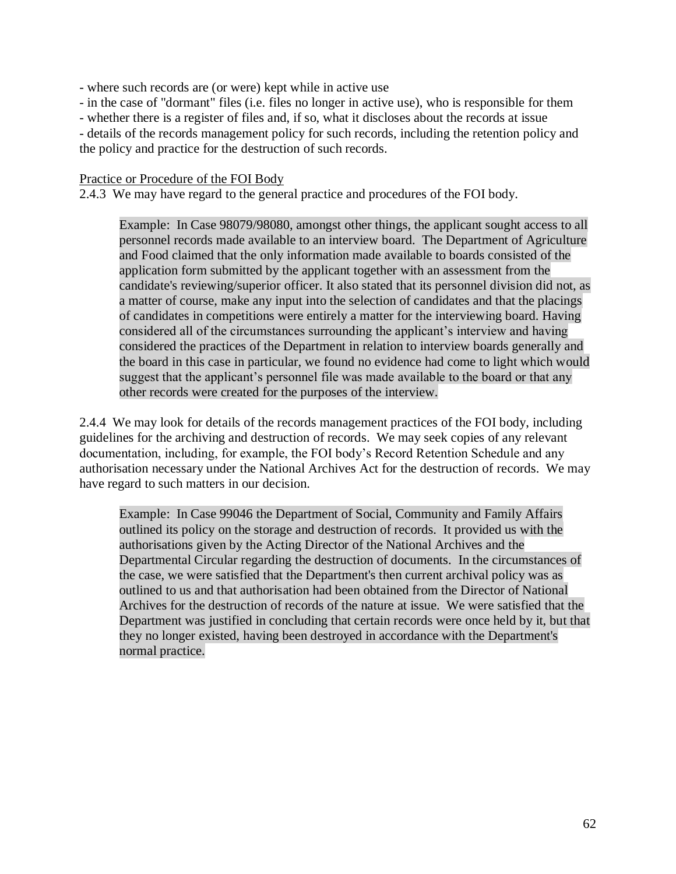- where such records are (or were) kept while in active use

- in the case of "dormant" files (i.e. files no longer in active use), who is responsible for them

- whether there is a register of files and, if so, what it discloses about the records at issue

- details of the records management policy for such records, including the retention policy and

the policy and practice for the destruction of such records.

#### Practice or Procedure of the FOI Body

2.4.3 We may have regard to the general practice and procedures of the FOI body.

Example: In Case 98079/98080, amongst other things, the applicant sought access to all personnel records made available to an interview board. The Department of Agriculture and Food claimed that the only information made available to boards consisted of the application form submitted by the applicant together with an assessment from the candidate's reviewing/superior officer. It also stated that its personnel division did not, as a matter of course, make any input into the selection of candidates and that the placings of candidates in competitions were entirely a matter for the interviewing board. Having considered all of the circumstances surrounding the applicant's interview and having considered the practices of the Department in relation to interview boards generally and the board in this case in particular, we found no evidence had come to light which would suggest that the applicant's personnel file was made available to the board or that any other records were created for the purposes of the interview.

2.4.4 We may look for details of the records management practices of the FOI body, including guidelines for the archiving and destruction of records. We may seek copies of any relevant documentation, including, for example, the FOI body's Record Retention Schedule and any authorisation necessary under the National Archives Act for the destruction of records. We may have regard to such matters in our decision.

Example: In Case 99046 the Department of Social, Community and Family Affairs outlined its policy on the storage and destruction of records. It provided us with the authorisations given by the Acting Director of the National Archives and the Departmental Circular regarding the destruction of documents. In the circumstances of the case, we were satisfied that the Department's then current archival policy was as outlined to us and that authorisation had been obtained from the Director of National Archives for the destruction of records of the nature at issue. We were satisfied that the Department was justified in concluding that certain records were once held by it, but that they no longer existed, having been destroyed in accordance with the Department's normal practice.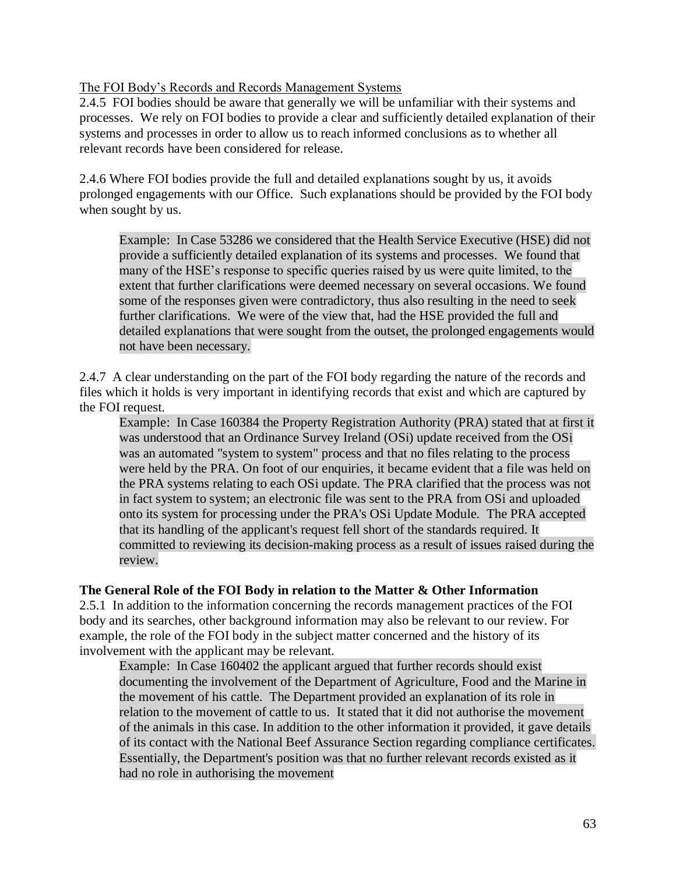The FOI Body's Records and Records Management Systems

2.4.5 FOI bodies should be aware that generally we will be unfamiliar with their systems and processes. We rely on FOI bodies to provide a clear and sufficiently detailed explanation of their systems and processes in order to allow us to reach informed conclusions as to whether all relevant records have been considered for release.

2.4.6 Where FOI bodies provide the full and detailed explanations sought by us, it avoids prolonged engagements with our Office. Such explanations should be provided by the FOI body when sought by us.

Example: In Case 53286 we considered that the Health Service Executive (HSE) did not provide a sufficiently detailed explanation of its systems and processes. We found that many of the HSE's response to specific queries raised by us were quite limited, to the extent that further clarifications were deemed necessary on several occasions. We found some of the responses given were contradictory, thus also resulting in the need to seek further clarifications. We were of the view that, had the HSE provided the full and detailed explanations that were sought from the outset, the prolonged engagements would not have been necessary.

2.4.7 A clear understanding on the part of the FOI body regarding the nature of the records and files which it holds is very important in identifying records that exist and which are captured by the FOI request.

Example: In Case 160384 the Property Registration Authority (PRA) stated that at first it was understood that an Ordinance Survey Ireland (OSi) update received from the OSi was an automated "system to system" process and that no files relating to the process were held by the PRA. On foot of our enquiries, it became evident that a file was held on the PRA systems relating to each OSi update. The PRA clarified that the process was not in fact system to system; an electronic file was sent to the PRA from OSi and uploaded onto its system for processing under the PRA's OSi Update Module. The PRA accepted that its handling of the applicant's request fell short of the standards required. It committed to reviewing its decision-making process as a result of issues raised during the review.

## **The General Role of the FOI Body in relation to the Matter & Other Information**

2.5.1 In addition to the information concerning the records management practices of the FOI body and its searches, other background information may also be relevant to our review. For example, the role of the FOI body in the subject matter concerned and the history of its involvement with the applicant may be relevant.

Example: In Case 160402 the applicant argued that further records should exist documenting the involvement of the Department of Agriculture, Food and the Marine in the movement of his cattle. The Department provided an explanation of its role in relation to the movement of cattle to us. It stated that it did not authorise the movement of the animals in this case. In addition to the other information it provided, it gave details of its contact with the National Beef Assurance Section regarding compliance certificates. Essentially, the Department's position was that no further relevant records existed as it had no role in authorising the movement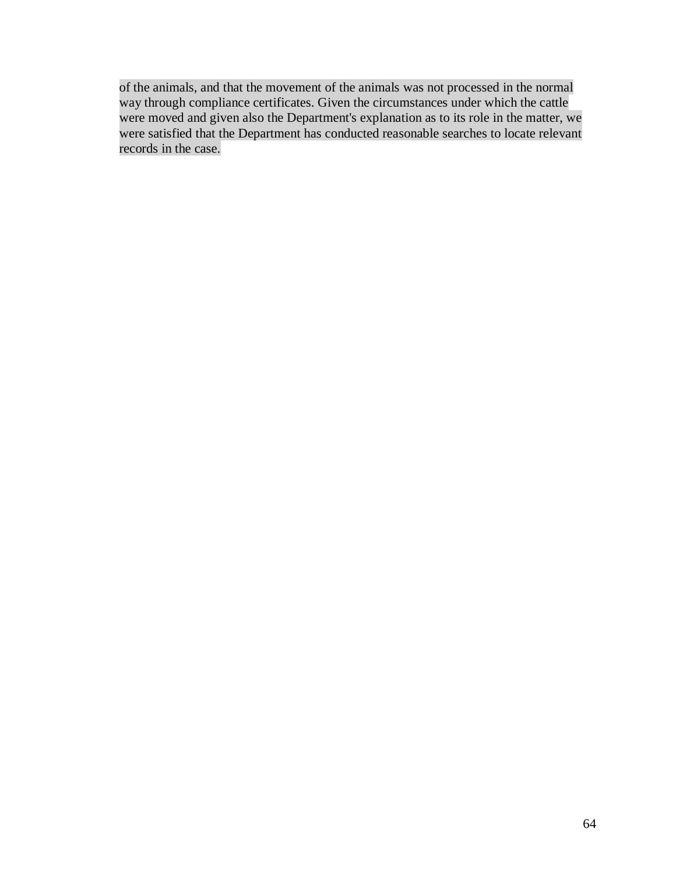of the animals, and that the movement of the animals was not processed in the normal way through compliance certificates. Given the circumstances under which the cattle were moved and given also the Department's explanation as to its role in the matter, we were satisfied that the Department has conducted reasonable searches to locate relevant records in the case.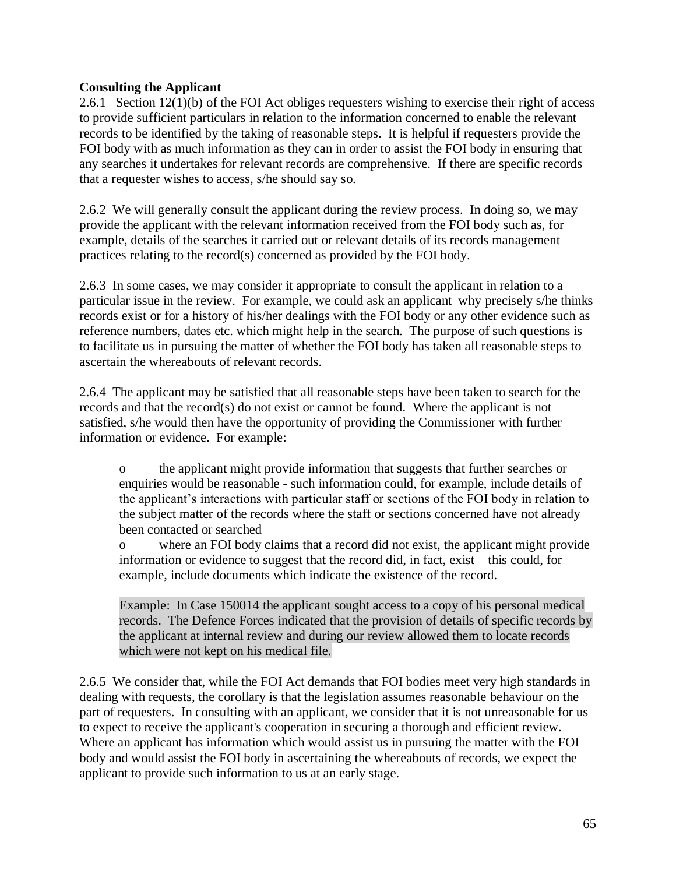## **Consulting the Applicant**

2.6.1 Section 12(1)(b) of the FOI Act obliges requesters wishing to exercise their right of access to provide sufficient particulars in relation to the information concerned to enable the relevant records to be identified by the taking of reasonable steps. It is helpful if requesters provide the FOI body with as much information as they can in order to assist the FOI body in ensuring that any searches it undertakes for relevant records are comprehensive. If there are specific records that a requester wishes to access, s/he should say so.

2.6.2 We will generally consult the applicant during the review process. In doing so, we may provide the applicant with the relevant information received from the FOI body such as, for example, details of the searches it carried out or relevant details of its records management practices relating to the record(s) concerned as provided by the FOI body.

2.6.3 In some cases, we may consider it appropriate to consult the applicant in relation to a particular issue in the review. For example, we could ask an applicant why precisely s/he thinks records exist or for a history of his/her dealings with the FOI body or any other evidence such as reference numbers, dates etc. which might help in the search. The purpose of such questions is to facilitate us in pursuing the matter of whether the FOI body has taken all reasonable steps to ascertain the whereabouts of relevant records.

2.6.4 The applicant may be satisfied that all reasonable steps have been taken to search for the records and that the record(s) do not exist or cannot be found. Where the applicant is not satisfied, s/he would then have the opportunity of providing the Commissioner with further information or evidence. For example:

o the applicant might provide information that suggests that further searches or enquiries would be reasonable - such information could, for example, include details of the applicant's interactions with particular staff or sections of the FOI body in relation to the subject matter of the records where the staff or sections concerned have not already been contacted or searched

o where an FOI body claims that a record did not exist, the applicant might provide information or evidence to suggest that the record did, in fact, exist – this could, for example, include documents which indicate the existence of the record.

Example: In Case 150014 the applicant sought access to a copy of his personal medical records. The Defence Forces indicated that the provision of details of specific records by the applicant at internal review and during our review allowed them to locate records which were not kept on his medical file.

2.6.5 We consider that, while the FOI Act demands that FOI bodies meet very high standards in dealing with requests, the corollary is that the legislation assumes reasonable behaviour on the part of requesters. In consulting with an applicant, we consider that it is not unreasonable for us to expect to receive the applicant's cooperation in securing a thorough and efficient review. Where an applicant has information which would assist us in pursuing the matter with the FOI body and would assist the FOI body in ascertaining the whereabouts of records, we expect the applicant to provide such information to us at an early stage.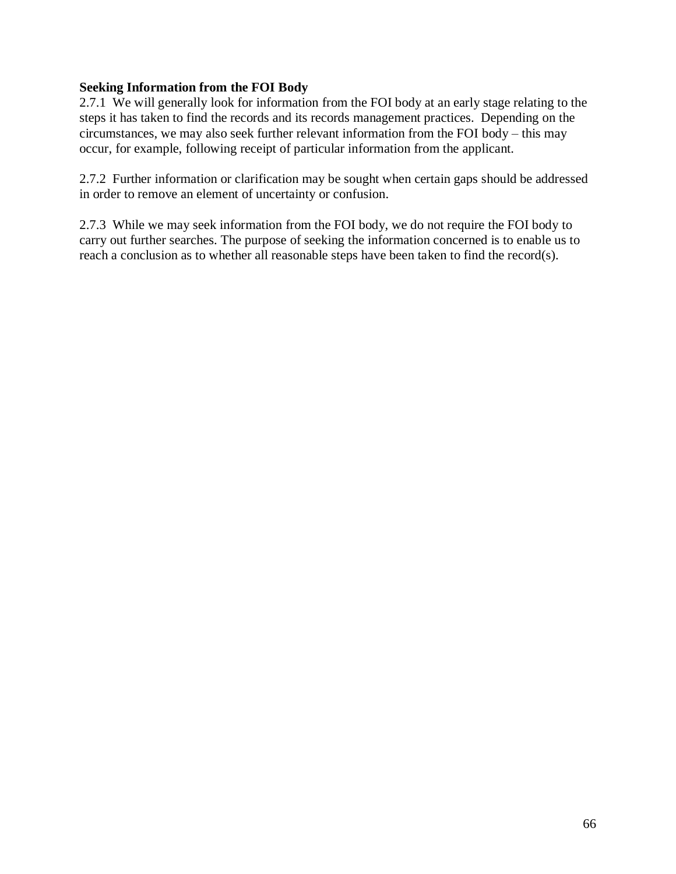## **Seeking Information from the FOI Body**

2.7.1 We will generally look for information from the FOI body at an early stage relating to the steps it has taken to find the records and its records management practices. Depending on the circumstances, we may also seek further relevant information from the FOI body – this may occur, for example, following receipt of particular information from the applicant.

2.7.2 Further information or clarification may be sought when certain gaps should be addressed in order to remove an element of uncertainty or confusion.

2.7.3 While we may seek information from the FOI body, we do not require the FOI body to carry out further searches. The purpose of seeking the information concerned is to enable us to reach a conclusion as to whether all reasonable steps have been taken to find the record(s).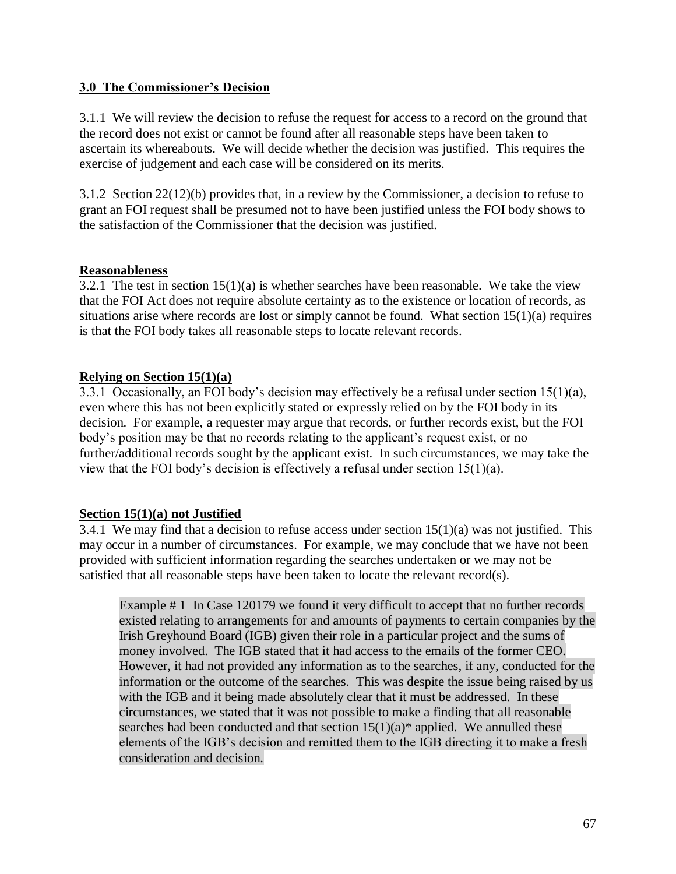## **3.0 The Commissioner's Decision**

3.1.1 We will review the decision to refuse the request for access to a record on the ground that the record does not exist or cannot be found after all reasonable steps have been taken to ascertain its whereabouts. We will decide whether the decision was justified. This requires the exercise of judgement and each case will be considered on its merits.

3.1.2 Section 22(12)(b) provides that, in a review by the Commissioner, a decision to refuse to grant an FOI request shall be presumed not to have been justified unless the FOI body shows to the satisfaction of the Commissioner that the decision was justified.

## **Reasonableness**

3.2.1 The test in section  $15(1)(a)$  is whether searches have been reasonable. We take the view that the FOI Act does not require absolute certainty as to the existence or location of records, as situations arise where records are lost or simply cannot be found. What section 15(1)(a) requires is that the FOI body takes all reasonable steps to locate relevant records.

## **Relying on Section 15(1)(a)**

3.3.1 Occasionally, an FOI body's decision may effectively be a refusal under section 15(1)(a), even where this has not been explicitly stated or expressly relied on by the FOI body in its decision. For example, a requester may argue that records, or further records exist, but the FOI body's position may be that no records relating to the applicant's request exist, or no further/additional records sought by the applicant exist. In such circumstances, we may take the view that the FOI body's decision is effectively a refusal under section  $15(1)(a)$ .

## **Section 15(1)(a) not Justified**

3.4.1 We may find that a decision to refuse access under section  $15(1)(a)$  was not justified. This may occur in a number of circumstances. For example, we may conclude that we have not been provided with sufficient information regarding the searches undertaken or we may not be satisfied that all reasonable steps have been taken to locate the relevant record(s).

Example # 1 In Case 120179 we found it very difficult to accept that no further records existed relating to arrangements for and amounts of payments to certain companies by the Irish Greyhound Board (IGB) given their role in a particular project and the sums of money involved. The IGB stated that it had access to the emails of the former CEO. However, it had not provided any information as to the searches, if any, conducted for the information or the outcome of the searches. This was despite the issue being raised by us with the IGB and it being made absolutely clear that it must be addressed. In these circumstances, we stated that it was not possible to make a finding that all reasonable searches had been conducted and that section  $15(1)(a)$ <sup>\*</sup> applied. We annulled these elements of the IGB's decision and remitted them to the IGB directing it to make a fresh consideration and decision.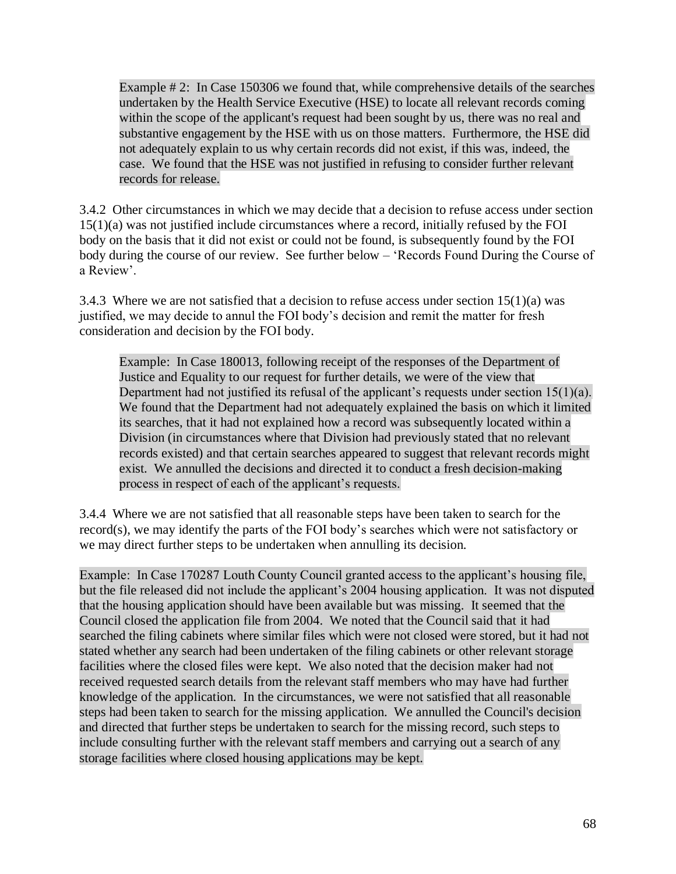Example # 2: In Case 150306 we found that, while comprehensive details of the searches undertaken by the Health Service Executive (HSE) to locate all relevant records coming within the scope of the applicant's request had been sought by us, there was no real and substantive engagement by the HSE with us on those matters. Furthermore, the HSE did not adequately explain to us why certain records did not exist, if this was, indeed, the case. We found that the HSE was not justified in refusing to consider further relevant records for release.

3.4.2 Other circumstances in which we may decide that a decision to refuse access under section 15(1)(a) was not justified include circumstances where a record, initially refused by the FOI body on the basis that it did not exist or could not be found, is subsequently found by the FOI body during the course of our review. See further below – 'Records Found During the Course of a Review'.

3.4.3 Where we are not satisfied that a decision to refuse access under section  $15(1)(a)$  was justified, we may decide to annul the FOI body's decision and remit the matter for fresh consideration and decision by the FOI body.

Example: In Case 180013, following receipt of the responses of the Department of Justice and Equality to our request for further details, we were of the view that Department had not justified its refusal of the applicant's requests under section 15(1)(a). We found that the Department had not adequately explained the basis on which it limited its searches, that it had not explained how a record was subsequently located within a Division (in circumstances where that Division had previously stated that no relevant records existed) and that certain searches appeared to suggest that relevant records might exist. We annulled the decisions and directed it to conduct a fresh decision-making process in respect of each of the applicant's requests.

3.4.4 Where we are not satisfied that all reasonable steps have been taken to search for the record(s), we may identify the parts of the FOI body's searches which were not satisfactory or we may direct further steps to be undertaken when annulling its decision.

Example: In Case 170287 Louth County Council granted access to the applicant's housing file, but the file released did not include the applicant's 2004 housing application. It was not disputed that the housing application should have been available but was missing. It seemed that the Council closed the application file from 2004. We noted that the Council said that it had searched the filing cabinets where similar files which were not closed were stored, but it had not stated whether any search had been undertaken of the filing cabinets or other relevant storage facilities where the closed files were kept. We also noted that the decision maker had not received requested search details from the relevant staff members who may have had further knowledge of the application. In the circumstances, we were not satisfied that all reasonable steps had been taken to search for the missing application. We annulled the Council's decision and directed that further steps be undertaken to search for the missing record, such steps to include consulting further with the relevant staff members and carrying out a search of any storage facilities where closed housing applications may be kept.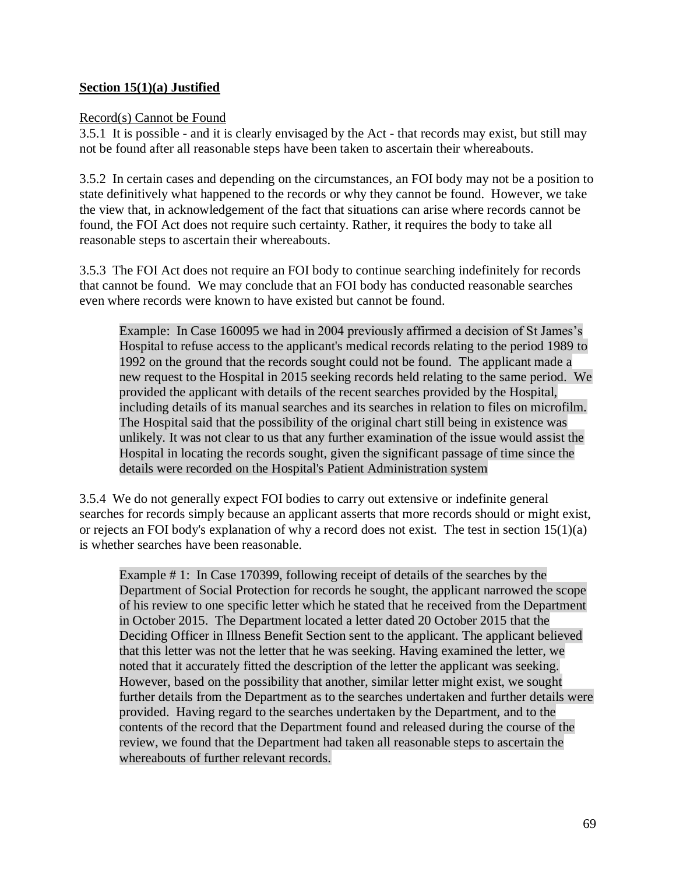## **Section 15(1)(a) Justified**

## Record(s) Cannot be Found

3.5.1 It is possible - and it is clearly envisaged by the Act - that records may exist, but still may not be found after all reasonable steps have been taken to ascertain their whereabouts.

3.5.2 In certain cases and depending on the circumstances, an FOI body may not be a position to state definitively what happened to the records or why they cannot be found. However, we take the view that, in acknowledgement of the fact that situations can arise where records cannot be found, the FOI Act does not require such certainty. Rather, it requires the body to take all reasonable steps to ascertain their whereabouts.

3.5.3 The FOI Act does not require an FOI body to continue searching indefinitely for records that cannot be found. We may conclude that an FOI body has conducted reasonable searches even where records were known to have existed but cannot be found.

Example: In Case 160095 we had in 2004 previously affirmed a decision of St James's Hospital to refuse access to the applicant's medical records relating to the period 1989 to 1992 on the ground that the records sought could not be found. The applicant made a new request to the Hospital in 2015 seeking records held relating to the same period. We provided the applicant with details of the recent searches provided by the Hospital, including details of its manual searches and its searches in relation to files on microfilm. The Hospital said that the possibility of the original chart still being in existence was unlikely. It was not clear to us that any further examination of the issue would assist the Hospital in locating the records sought, given the significant passage of time since the details were recorded on the Hospital's Patient Administration system

3.5.4 We do not generally expect FOI bodies to carry out extensive or indefinite general searches for records simply because an applicant asserts that more records should or might exist, or rejects an FOI body's explanation of why a record does not exist. The test in section 15(1)(a) is whether searches have been reasonable.

Example # 1: In Case 170399, following receipt of details of the searches by the Department of Social Protection for records he sought, the applicant narrowed the scope of his review to one specific letter which he stated that he received from the Department in October 2015. The Department located a letter dated 20 October 2015 that the Deciding Officer in Illness Benefit Section sent to the applicant. The applicant believed that this letter was not the letter that he was seeking. Having examined the letter, we noted that it accurately fitted the description of the letter the applicant was seeking. However, based on the possibility that another, similar letter might exist, we sought further details from the Department as to the searches undertaken and further details were provided. Having regard to the searches undertaken by the Department, and to the contents of the record that the Department found and released during the course of the review, we found that the Department had taken all reasonable steps to ascertain the whereabouts of further relevant records.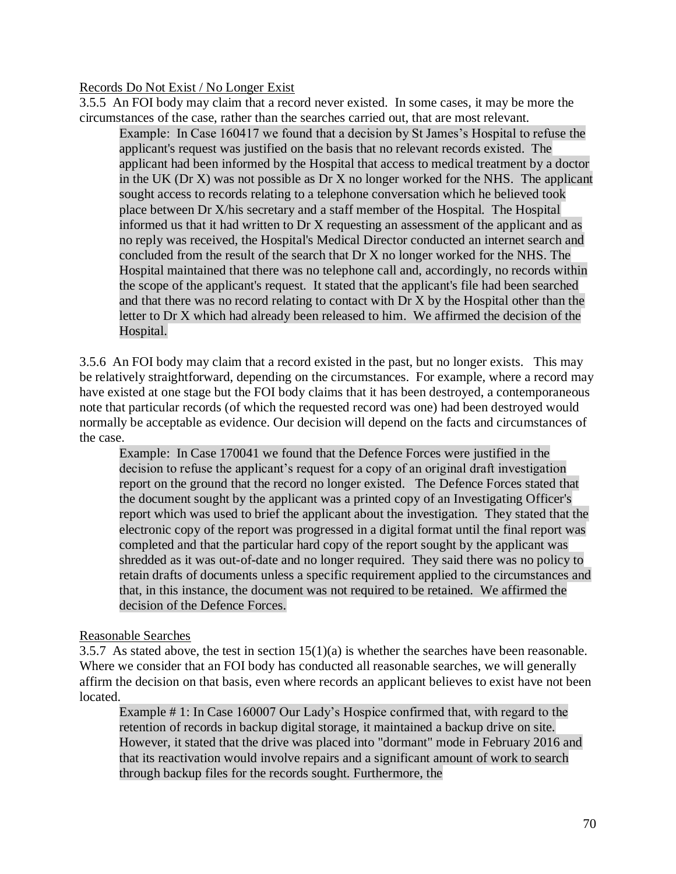## Records Do Not Exist / No Longer Exist

3.5.5 An FOI body may claim that a record never existed. In some cases, it may be more the circumstances of the case, rather than the searches carried out, that are most relevant.

Example: In Case 160417 we found that a decision by St James's Hospital to refuse the applicant's request was justified on the basis that no relevant records existed. The applicant had been informed by the Hospital that access to medical treatment by a doctor in the UK (Dr X) was not possible as Dr X no longer worked for the NHS. The applicant sought access to records relating to a telephone conversation which he believed took place between Dr X/his secretary and a staff member of the Hospital. The Hospital informed us that it had written to Dr X requesting an assessment of the applicant and as no reply was received, the Hospital's Medical Director conducted an internet search and concluded from the result of the search that Dr X no longer worked for the NHS. The Hospital maintained that there was no telephone call and, accordingly, no records within the scope of the applicant's request. It stated that the applicant's file had been searched and that there was no record relating to contact with Dr X by the Hospital other than the letter to Dr X which had already been released to him. We affirmed the decision of the Hospital.

3.5.6 An FOI body may claim that a record existed in the past, but no longer exists. This may be relatively straightforward, depending on the circumstances. For example, where a record may have existed at one stage but the FOI body claims that it has been destroyed, a contemporaneous note that particular records (of which the requested record was one) had been destroyed would normally be acceptable as evidence. Our decision will depend on the facts and circumstances of the case.

Example: In Case 170041 we found that the Defence Forces were justified in the decision to refuse the applicant's request for a copy of an original draft investigation report on the ground that the record no longer existed. The Defence Forces stated that the document sought by the applicant was a printed copy of an Investigating Officer's report which was used to brief the applicant about the investigation. They stated that the electronic copy of the report was progressed in a digital format until the final report was completed and that the particular hard copy of the report sought by the applicant was shredded as it was out-of-date and no longer required. They said there was no policy to retain drafts of documents unless a specific requirement applied to the circumstances and that, in this instance, the document was not required to be retained. We affirmed the decision of the Defence Forces.

## Reasonable Searches

3.5.7 As stated above, the test in section  $15(1)(a)$  is whether the searches have been reasonable. Where we consider that an FOI body has conducted all reasonable searches, we will generally affirm the decision on that basis, even where records an applicant believes to exist have not been located.

Example # 1: In Case 160007 Our Lady's Hospice confirmed that, with regard to the retention of records in backup digital storage, it maintained a backup drive on site. However, it stated that the drive was placed into "dormant" mode in February 2016 and that its reactivation would involve repairs and a significant amount of work to search through backup files for the records sought. Furthermore, the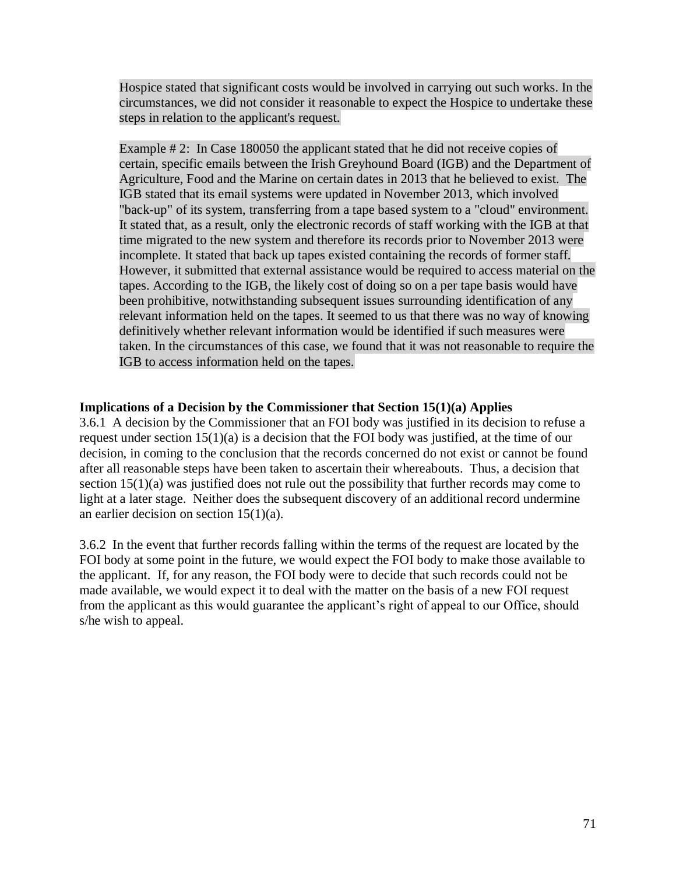Hospice stated that significant costs would be involved in carrying out such works. In the circumstances, we did not consider it reasonable to expect the Hospice to undertake these steps in relation to the applicant's request.

Example # 2: In Case 180050 the applicant stated that he did not receive copies of certain, specific emails between the Irish Greyhound Board (IGB) and the Department of Agriculture, Food and the Marine on certain dates in 2013 that he believed to exist. The IGB stated that its email systems were updated in November 2013, which involved "back-up" of its system, transferring from a tape based system to a "cloud" environment. It stated that, as a result, only the electronic records of staff working with the IGB at that time migrated to the new system and therefore its records prior to November 2013 were incomplete. It stated that back up tapes existed containing the records of former staff. However, it submitted that external assistance would be required to access material on the tapes. According to the IGB, the likely cost of doing so on a per tape basis would have been prohibitive, notwithstanding subsequent issues surrounding identification of any relevant information held on the tapes. It seemed to us that there was no way of knowing definitively whether relevant information would be identified if such measures were taken. In the circumstances of this case, we found that it was not reasonable to require the IGB to access information held on the tapes.

## **Implications of a Decision by the Commissioner that Section 15(1)(a) Applies**

3.6.1 A decision by the Commissioner that an FOI body was justified in its decision to refuse a request under section 15(1)(a) is a decision that the FOI body was justified, at the time of our decision, in coming to the conclusion that the records concerned do not exist or cannot be found after all reasonable steps have been taken to ascertain their whereabouts. Thus, a decision that section 15(1)(a) was justified does not rule out the possibility that further records may come to light at a later stage. Neither does the subsequent discovery of an additional record undermine an earlier decision on section  $15(1)(a)$ .

3.6.2 In the event that further records falling within the terms of the request are located by the FOI body at some point in the future, we would expect the FOI body to make those available to the applicant. If, for any reason, the FOI body were to decide that such records could not be made available, we would expect it to deal with the matter on the basis of a new FOI request from the applicant as this would guarantee the applicant's right of appeal to our Office, should s/he wish to appeal.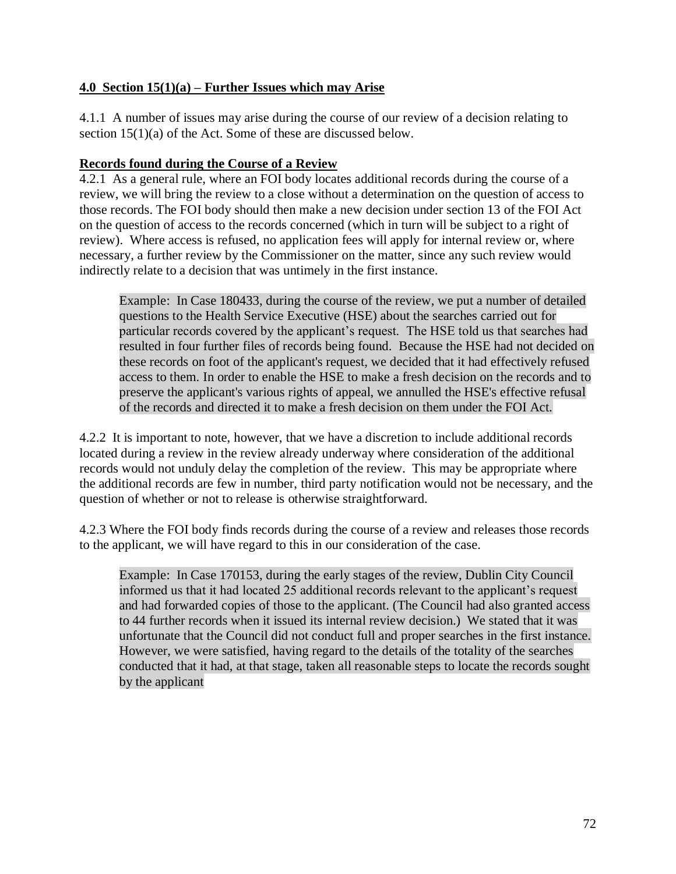## **4.0 Section 15(1)(a) – Further Issues which may Arise**

4.1.1 A number of issues may arise during the course of our review of a decision relating to section 15(1)(a) of the Act. Some of these are discussed below.

## **Records found during the Course of a Review**

4.2.1 As a general rule, where an FOI body locates additional records during the course of a review, we will bring the review to a close without a determination on the question of access to those records. The FOI body should then make a new decision under section 13 of the FOI Act on the question of access to the records concerned (which in turn will be subject to a right of review). Where access is refused, no application fees will apply for internal review or, where necessary, a further review by the Commissioner on the matter, since any such review would indirectly relate to a decision that was untimely in the first instance.

Example: In Case 180433, during the course of the review, we put a number of detailed questions to the Health Service Executive (HSE) about the searches carried out for particular records covered by the applicant's request. The HSE told us that searches had resulted in four further files of records being found. Because the HSE had not decided on these records on foot of the applicant's request, we decided that it had effectively refused access to them. In order to enable the HSE to make a fresh decision on the records and to preserve the applicant's various rights of appeal, we annulled the HSE's effective refusal of the records and directed it to make a fresh decision on them under the FOI Act.

4.2.2 It is important to note, however, that we have a discretion to include additional records located during a review in the review already underway where consideration of the additional records would not unduly delay the completion of the review. This may be appropriate where the additional records are few in number, third party notification would not be necessary, and the question of whether or not to release is otherwise straightforward.

4.2.3 Where the FOI body finds records during the course of a review and releases those records to the applicant, we will have regard to this in our consideration of the case.

Example: In Case 170153, during the early stages of the review, Dublin City Council informed us that it had located 25 additional records relevant to the applicant's request and had forwarded copies of those to the applicant. (The Council had also granted access to 44 further records when it issued its internal review decision.) We stated that it was unfortunate that the Council did not conduct full and proper searches in the first instance. However, we were satisfied, having regard to the details of the totality of the searches conducted that it had, at that stage, taken all reasonable steps to locate the records sought by the applicant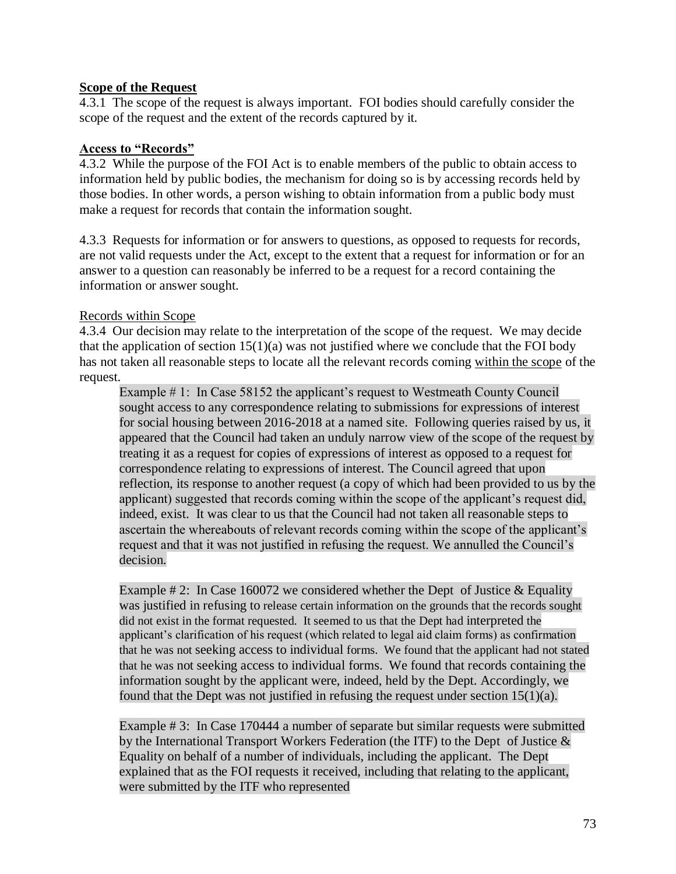## **Scope of the Request**

4.3.1 The scope of the request is always important. FOI bodies should carefully consider the scope of the request and the extent of the records captured by it.

#### **Access to "Records"**

4.3.2 While the purpose of the FOI Act is to enable members of the public to obtain access to information held by public bodies, the mechanism for doing so is by accessing records held by those bodies. In other words, a person wishing to obtain information from a public body must make a request for records that contain the information sought.

4.3.3 Requests for information or for answers to questions, as opposed to requests for records, are not valid requests under the Act, except to the extent that a request for information or for an answer to a question can reasonably be inferred to be a request for a record containing the information or answer sought.

#### Records within Scope

4.3.4 Our decision may relate to the interpretation of the scope of the request. We may decide that the application of section  $15(1)(a)$  was not justified where we conclude that the FOI body has not taken all reasonable steps to locate all the relevant records coming within the scope of the request.

Example # 1: In Case 58152 the applicant's request to Westmeath County Council sought access to any correspondence relating to submissions for expressions of interest for social housing between 2016-2018 at a named site. Following queries raised by us, it appeared that the Council had taken an unduly narrow view of the scope of the request by treating it as a request for copies of expressions of interest as opposed to a request for correspondence relating to expressions of interest. The Council agreed that upon reflection, its response to another request (a copy of which had been provided to us by the applicant) suggested that records coming within the scope of the applicant's request did, indeed, exist. It was clear to us that the Council had not taken all reasonable steps to ascertain the whereabouts of relevant records coming within the scope of the applicant's request and that it was not justified in refusing the request. We annulled the Council's decision.

Example # 2: In Case 160072 we considered whether the Dept of Justice & Equality was justified in refusing to release certain information on the grounds that the records sought did not exist in the format requested. It seemed to us that the Dept had interpreted the applicant's clarification of his request (which related to legal aid claim forms) as confirmation that he was not seeking access to individual forms. We found that the applicant had not stated that he was not seeking access to individual forms. We found that records containing the information sought by the applicant were, indeed, held by the Dept. Accordingly, we found that the Dept was not justified in refusing the request under section  $15(1)(a)$ .

Example # 3: In Case 170444 a number of separate but similar requests were submitted by the International Transport Workers Federation (the ITF) to the Dept of Justice  $\&$ Equality on behalf of a number of individuals, including the applicant. The Dept explained that as the FOI requests it received, including that relating to the applicant, were submitted by the ITF who represented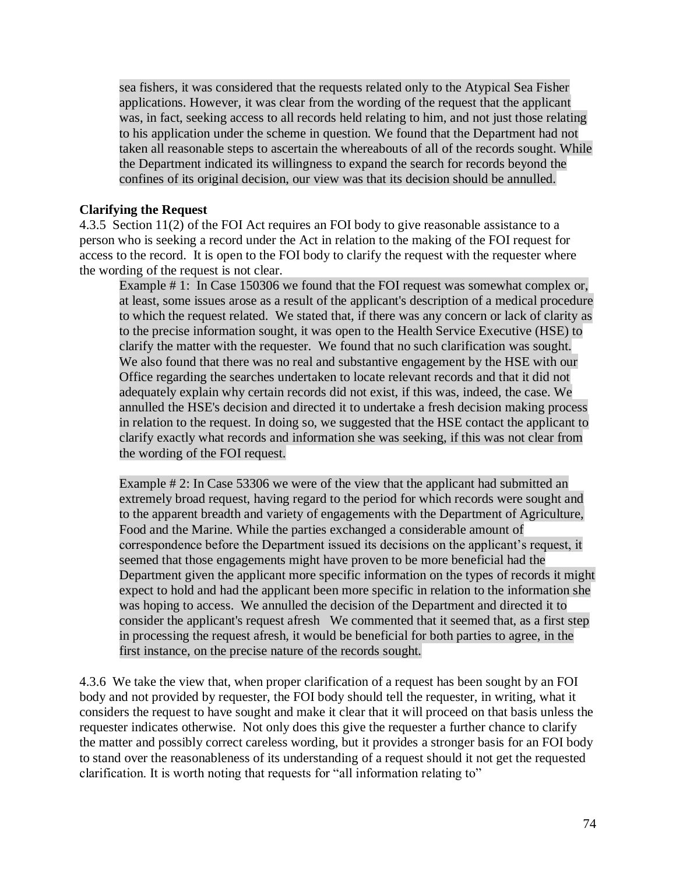sea fishers, it was considered that the requests related only to the Atypical Sea Fisher applications. However, it was clear from the wording of the request that the applicant was, in fact, seeking access to all records held relating to him, and not just those relating to his application under the scheme in question. We found that the Department had not taken all reasonable steps to ascertain the whereabouts of all of the records sought. While the Department indicated its willingness to expand the search for records beyond the confines of its original decision, our view was that its decision should be annulled.

#### **Clarifying the Request**

4.3.5 Section 11(2) of the FOI Act requires an FOI body to give reasonable assistance to a person who is seeking a record under the Act in relation to the making of the FOI request for access to the record. It is open to the FOI body to clarify the request with the requester where the wording of the request is not clear.

Example # 1: In Case 150306 we found that the FOI request was somewhat complex or, at least, some issues arose as a result of the applicant's description of a medical procedure to which the request related. We stated that, if there was any concern or lack of clarity as to the precise information sought, it was open to the Health Service Executive (HSE) to clarify the matter with the requester. We found that no such clarification was sought. We also found that there was no real and substantive engagement by the HSE with our Office regarding the searches undertaken to locate relevant records and that it did not adequately explain why certain records did not exist, if this was, indeed, the case. We annulled the HSE's decision and directed it to undertake a fresh decision making process in relation to the request. In doing so, we suggested that the HSE contact the applicant to clarify exactly what records and information she was seeking, if this was not clear from the wording of the FOI request.

Example # 2: In Case 53306 we were of the view that the applicant had submitted an extremely broad request, having regard to the period for which records were sought and to the apparent breadth and variety of engagements with the Department of Agriculture, Food and the Marine. While the parties exchanged a considerable amount of correspondence before the Department issued its decisions on the applicant's request, it seemed that those engagements might have proven to be more beneficial had the Department given the applicant more specific information on the types of records it might expect to hold and had the applicant been more specific in relation to the information she was hoping to access. We annulled the decision of the Department and directed it to consider the applicant's request afresh We commented that it seemed that, as a first step in processing the request afresh, it would be beneficial for both parties to agree, in the first instance, on the precise nature of the records sought.

4.3.6 We take the view that, when proper clarification of a request has been sought by an FOI body and not provided by requester, the FOI body should tell the requester, in writing, what it considers the request to have sought and make it clear that it will proceed on that basis unless the requester indicates otherwise. Not only does this give the requester a further chance to clarify the matter and possibly correct careless wording, but it provides a stronger basis for an FOI body to stand over the reasonableness of its understanding of a request should it not get the requested clarification. It is worth noting that requests for "all information relating to"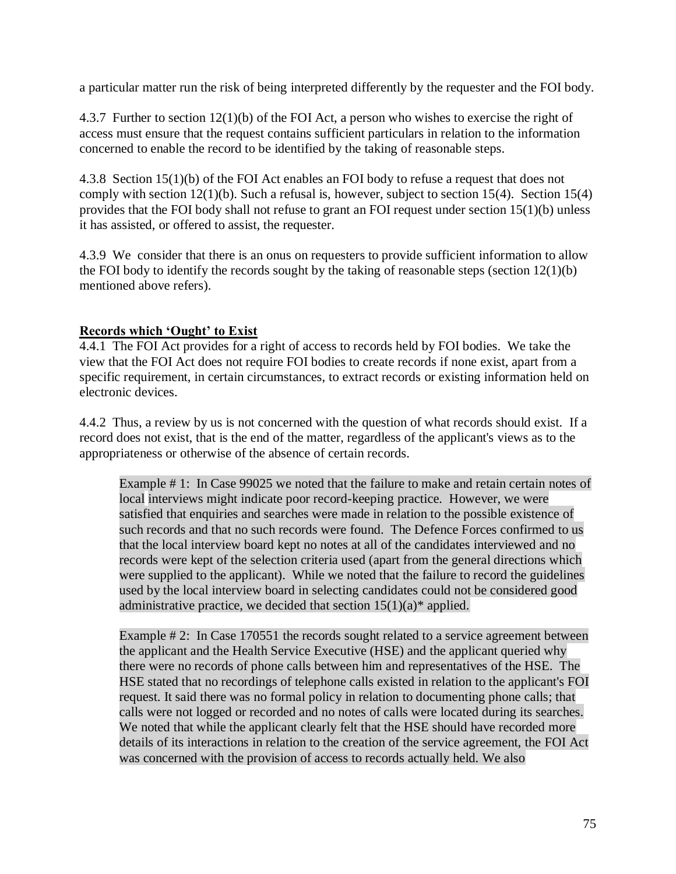a particular matter run the risk of being interpreted differently by the requester and the FOI body.

4.3.7 Further to section 12(1)(b) of the FOI Act, a person who wishes to exercise the right of access must ensure that the request contains sufficient particulars in relation to the information concerned to enable the record to be identified by the taking of reasonable steps.

4.3.8 Section 15(1)(b) of the FOI Act enables an FOI body to refuse a request that does not comply with section 12(1)(b). Such a refusal is, however, subject to section 15(4). Section 15(4) provides that the FOI body shall not refuse to grant an FOI request under section 15(1)(b) unless it has assisted, or offered to assist, the requester.

4.3.9 We consider that there is an onus on requesters to provide sufficient information to allow the FOI body to identify the records sought by the taking of reasonable steps (section  $12(1)(b)$ ) mentioned above refers).

## **Records which 'Ought' to Exist**

4.4.1 The FOI Act provides for a right of access to records held by FOI bodies. We take the view that the FOI Act does not require FOI bodies to create records if none exist, apart from a specific requirement, in certain circumstances, to extract records or existing information held on electronic devices.

4.4.2 Thus, a review by us is not concerned with the question of what records should exist. If a record does not exist, that is the end of the matter, regardless of the applicant's views as to the appropriateness or otherwise of the absence of certain records.

Example # 1: In Case 99025 we noted that the failure to make and retain certain notes of local interviews might indicate poor record-keeping practice. However, we were satisfied that enquiries and searches were made in relation to the possible existence of such records and that no such records were found. The Defence Forces confirmed to us that the local interview board kept no notes at all of the candidates interviewed and no records were kept of the selection criteria used (apart from the general directions which were supplied to the applicant). While we noted that the failure to record the guidelines used by the local interview board in selecting candidates could not be considered good administrative practice, we decided that section  $15(1)(a)$ <sup>\*</sup> applied.

Example # 2: In Case 170551 the records sought related to a service agreement between the applicant and the Health Service Executive (HSE) and the applicant queried why there were no records of phone calls between him and representatives of the HSE. The HSE stated that no recordings of telephone calls existed in relation to the applicant's FOI request. It said there was no formal policy in relation to documenting phone calls; that calls were not logged or recorded and no notes of calls were located during its searches. We noted that while the applicant clearly felt that the HSE should have recorded more details of its interactions in relation to the creation of the service agreement, the FOI Act was concerned with the provision of access to records actually held. We also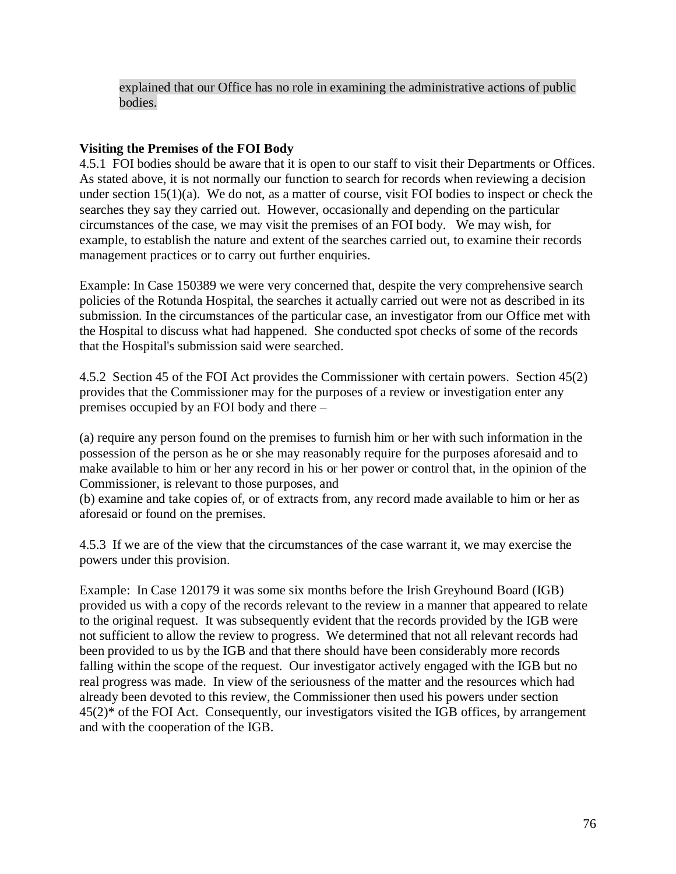explained that our Office has no role in examining the administrative actions of public bodies.

## **Visiting the Premises of the FOI Body**

4.5.1 FOI bodies should be aware that it is open to our staff to visit their Departments or Offices. As stated above, it is not normally our function to search for records when reviewing a decision under section 15(1)(a). We do not, as a matter of course, visit FOI bodies to inspect or check the searches they say they carried out. However, occasionally and depending on the particular circumstances of the case, we may visit the premises of an FOI body. We may wish, for example, to establish the nature and extent of the searches carried out, to examine their records management practices or to carry out further enquiries.

Example: In Case 150389 we were very concerned that, despite the very comprehensive search policies of the Rotunda Hospital, the searches it actually carried out were not as described in its submission. In the circumstances of the particular case, an investigator from our Office met with the Hospital to discuss what had happened. She conducted spot checks of some of the records that the Hospital's submission said were searched.

4.5.2 Section 45 of the FOI Act provides the Commissioner with certain powers. Section 45(2) provides that the Commissioner may for the purposes of a review or investigation enter any premises occupied by an FOI body and there –

(a) require any person found on the premises to furnish him or her with such information in the possession of the person as he or she may reasonably require for the purposes aforesaid and to make available to him or her any record in his or her power or control that, in the opinion of the Commissioner, is relevant to those purposes, and

(b) examine and take copies of, or of extracts from, any record made available to him or her as aforesaid or found on the premises.

4.5.3 If we are of the view that the circumstances of the case warrant it, we may exercise the powers under this provision.

Example: In Case 120179 it was some six months before the Irish Greyhound Board (IGB) provided us with a copy of the records relevant to the review in a manner that appeared to relate to the original request. It was subsequently evident that the records provided by the IGB were not sufficient to allow the review to progress. We determined that not all relevant records had been provided to us by the IGB and that there should have been considerably more records falling within the scope of the request. Our investigator actively engaged with the IGB but no real progress was made. In view of the seriousness of the matter and the resources which had already been devoted to this review, the Commissioner then used his powers under section 45(2)\* of the FOI Act. Consequently, our investigators visited the IGB offices, by arrangement and with the cooperation of the IGB.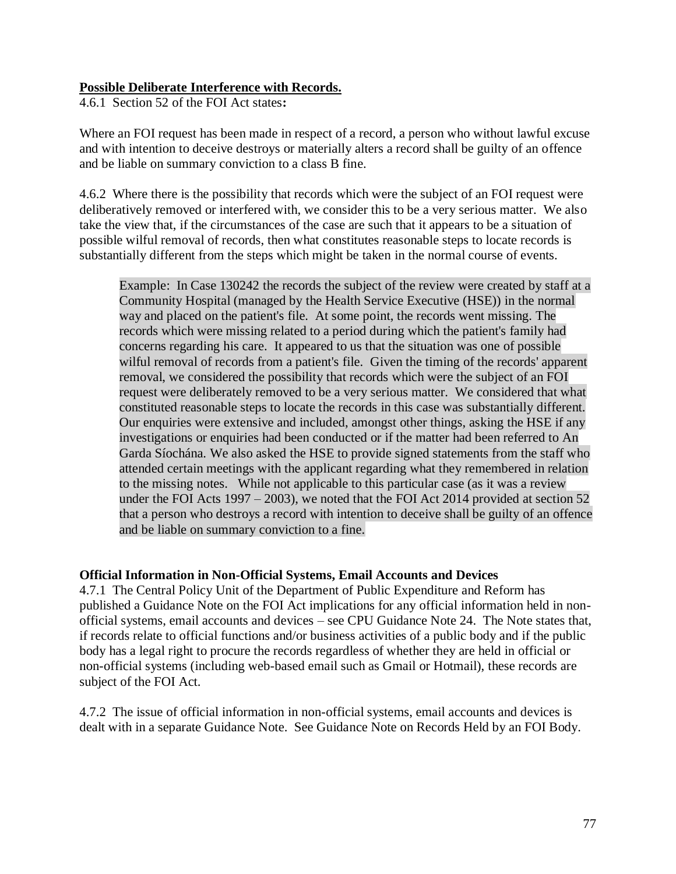### **Possible Deliberate Interference with Records.**

4.6.1 Section 52 of the FOI Act states**:** 

Where an FOI request has been made in respect of a record, a person who without lawful excuse and with intention to deceive destroys or materially alters a record shall be guilty of an offence and be liable on summary conviction to a class B fine.

4.6.2 Where there is the possibility that records which were the subject of an FOI request were deliberatively removed or interfered with, we consider this to be a very serious matter. We also take the view that, if the circumstances of the case are such that it appears to be a situation of possible wilful removal of records, then what constitutes reasonable steps to locate records is substantially different from the steps which might be taken in the normal course of events.

Example: In Case 130242 the records the subject of the review were created by staff at a Community Hospital (managed by the Health Service Executive (HSE)) in the normal way and placed on the patient's file. At some point, the records went missing. The records which were missing related to a period during which the patient's family had concerns regarding his care. It appeared to us that the situation was one of possible wilful removal of records from a patient's file. Given the timing of the records' apparent removal, we considered the possibility that records which were the subject of an FOI request were deliberately removed to be a very serious matter. We considered that what constituted reasonable steps to locate the records in this case was substantially different. Our enquiries were extensive and included, amongst other things, asking the HSE if any investigations or enquiries had been conducted or if the matter had been referred to An Garda Síochána. We also asked the HSE to provide signed statements from the staff who attended certain meetings with the applicant regarding what they remembered in relation to the missing notes. While not applicable to this particular case (as it was a review under the FOI Acts 1997 – 2003), we noted that the FOI Act 2014 provided at section 52 that a person who destroys a record with intention to deceive shall be guilty of an offence and be liable on summary conviction to a fine.

#### **Official Information in Non-Official Systems, Email Accounts and Devices**

4.7.1 The Central Policy Unit of the Department of Public Expenditure and Reform has published a Guidance Note on the FOI Act implications for any official information held in nonofficial systems, email accounts and devices – see CPU Guidance Note 24. The Note states that, if records relate to official functions and/or business activities of a public body and if the public body has a legal right to procure the records regardless of whether they are held in official or non-official systems (including web-based email such as Gmail or Hotmail), these records are subject of the FOI Act.

4.7.2 The issue of official information in non-official systems, email accounts and devices is dealt with in a separate Guidance Note. See Guidance Note on Records Held by an FOI Body.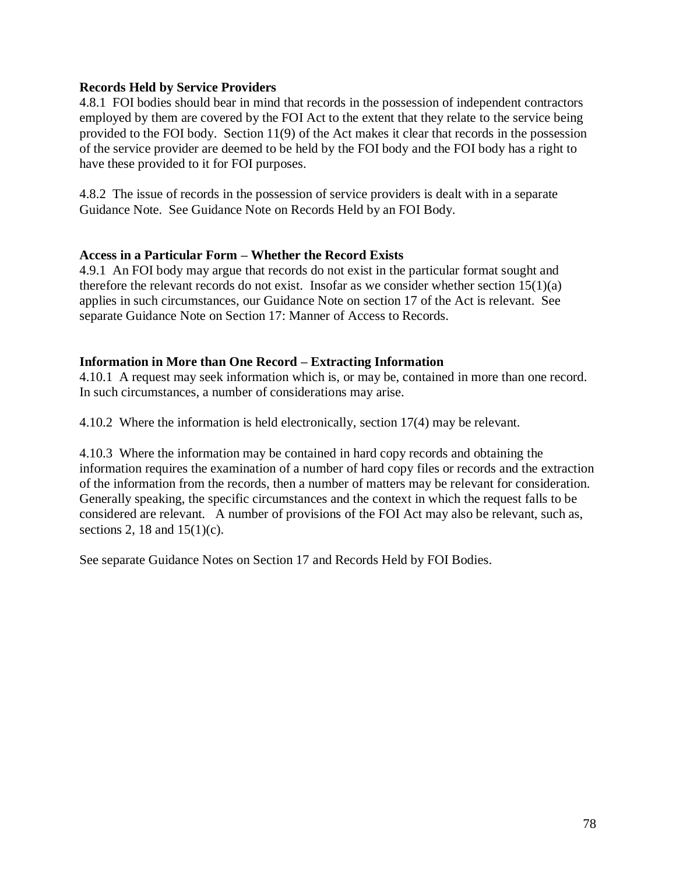#### **Records Held by Service Providers**

4.8.1 FOI bodies should bear in mind that records in the possession of independent contractors employed by them are covered by the FOI Act to the extent that they relate to the service being provided to the FOI body. Section 11(9) of the Act makes it clear that records in the possession of the service provider are deemed to be held by the FOI body and the FOI body has a right to have these provided to it for FOI purposes.

4.8.2 The issue of records in the possession of service providers is dealt with in a separate Guidance Note. See Guidance Note on Records Held by an FOI Body.

#### **Access in a Particular Form – Whether the Record Exists**

4.9.1 An FOI body may argue that records do not exist in the particular format sought and therefore the relevant records do not exist. Insofar as we consider whether section  $15(1)(a)$ applies in such circumstances, our Guidance Note on section 17 of the Act is relevant. See separate Guidance Note on Section 17: Manner of Access to Records.

#### **Information in More than One Record – Extracting Information**

4.10.1 A request may seek information which is, or may be, contained in more than one record. In such circumstances, a number of considerations may arise.

4.10.2 Where the information is held electronically, section 17(4) may be relevant.

4.10.3 Where the information may be contained in hard copy records and obtaining the information requires the examination of a number of hard copy files or records and the extraction of the information from the records, then a number of matters may be relevant for consideration. Generally speaking, the specific circumstances and the context in which the request falls to be considered are relevant. A number of provisions of the FOI Act may also be relevant, such as, sections 2, 18 and  $15(1)(c)$ .

See separate Guidance Notes on Section 17 and Records Held by FOI Bodies.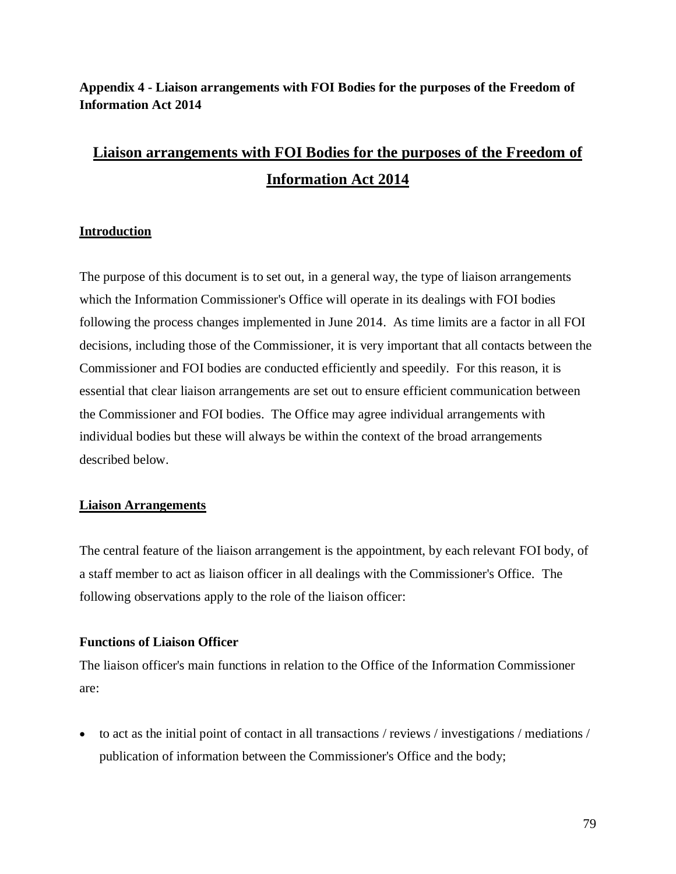## **Appendix 4 - Liaison arrangements with FOI Bodies for the purposes of the Freedom of Information Act 2014**

# **Liaison arrangements with FOI Bodies for the purposes of the Freedom of Information Act 2014**

#### **Introduction**

The purpose of this document is to set out, in a general way, the type of liaison arrangements which the Information Commissioner's Office will operate in its dealings with FOI bodies following the process changes implemented in June 2014. As time limits are a factor in all FOI decisions, including those of the Commissioner, it is very important that all contacts between the Commissioner and FOI bodies are conducted efficiently and speedily. For this reason, it is essential that clear liaison arrangements are set out to ensure efficient communication between the Commissioner and FOI bodies. The Office may agree individual arrangements with individual bodies but these will always be within the context of the broad arrangements described below.

#### **Liaison Arrangements**

The central feature of the liaison arrangement is the appointment, by each relevant FOI body, of a staff member to act as liaison officer in all dealings with the Commissioner's Office. The following observations apply to the role of the liaison officer:

#### **Functions of Liaison Officer**

The liaison officer's main functions in relation to the Office of the Information Commissioner are:

• to act as the initial point of contact in all transactions / reviews / investigations / mediations / publication of information between the Commissioner's Office and the body;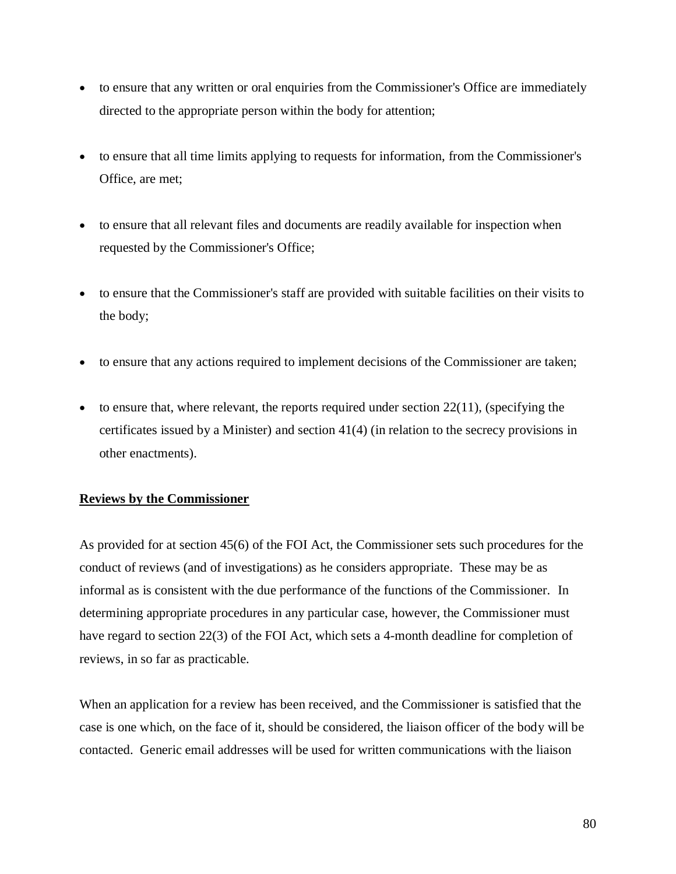- to ensure that any written or oral enquiries from the Commissioner's Office are immediately directed to the appropriate person within the body for attention;
- to ensure that all time limits applying to requests for information, from the Commissioner's Office, are met;
- to ensure that all relevant files and documents are readily available for inspection when requested by the Commissioner's Office;
- to ensure that the Commissioner's staff are provided with suitable facilities on their visits to the body;
- to ensure that any actions required to implement decisions of the Commissioner are taken;
- $\bullet$  to ensure that, where relevant, the reports required under section 22(11), (specifying the certificates issued by a Minister) and section 41(4) (in relation to the secrecy provisions in other enactments).

#### **Reviews by the Commissioner**

As provided for at section 45(6) of the FOI Act, the Commissioner sets such procedures for the conduct of reviews (and of investigations) as he considers appropriate. These may be as informal as is consistent with the due performance of the functions of the Commissioner. In determining appropriate procedures in any particular case, however, the Commissioner must have regard to section 22(3) of the FOI Act, which sets a 4-month deadline for completion of reviews, in so far as practicable.

When an application for a review has been received, and the Commissioner is satisfied that the case is one which, on the face of it, should be considered, the liaison officer of the body will be contacted. Generic email addresses will be used for written communications with the liaison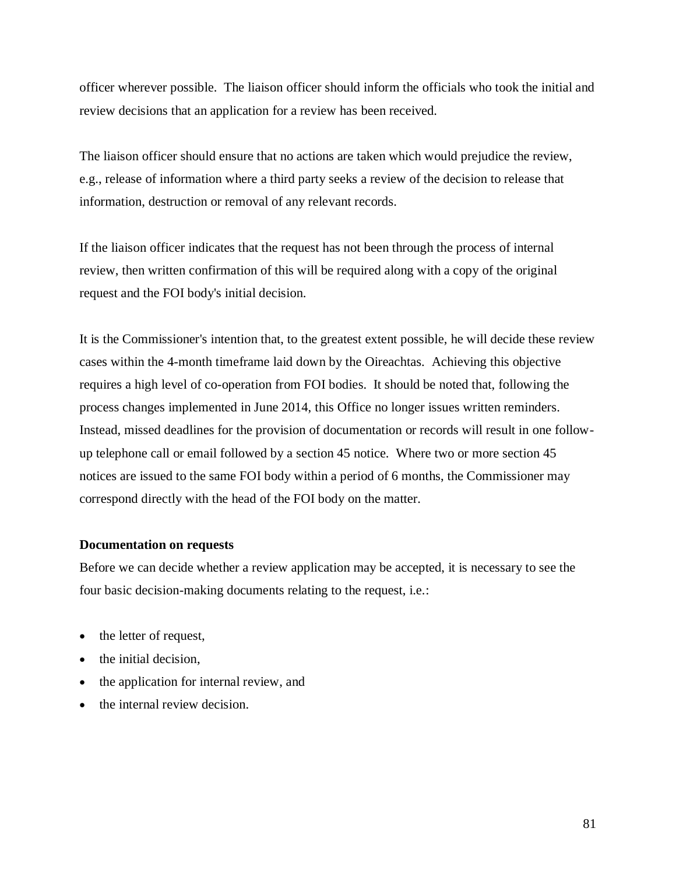officer wherever possible. The liaison officer should inform the officials who took the initial and review decisions that an application for a review has been received.

The liaison officer should ensure that no actions are taken which would prejudice the review, e.g., release of information where a third party seeks a review of the decision to release that information, destruction or removal of any relevant records.

If the liaison officer indicates that the request has not been through the process of internal review, then written confirmation of this will be required along with a copy of the original request and the FOI body's initial decision.

It is the Commissioner's intention that, to the greatest extent possible, he will decide these review cases within the 4-month timeframe laid down by the Oireachtas. Achieving this objective requires a high level of co-operation from FOI bodies. It should be noted that, following the process changes implemented in June 2014, this Office no longer issues written reminders. Instead, missed deadlines for the provision of documentation or records will result in one followup telephone call or email followed by a section 45 notice. Where two or more section 45 notices are issued to the same FOI body within a period of 6 months, the Commissioner may correspond directly with the head of the FOI body on the matter.

#### **Documentation on requests**

Before we can decide whether a review application may be accepted, it is necessary to see the four basic decision-making documents relating to the request, i.e.:

- the letter of request,
- the initial decision.
- the application for internal review, and
- the internal review decision.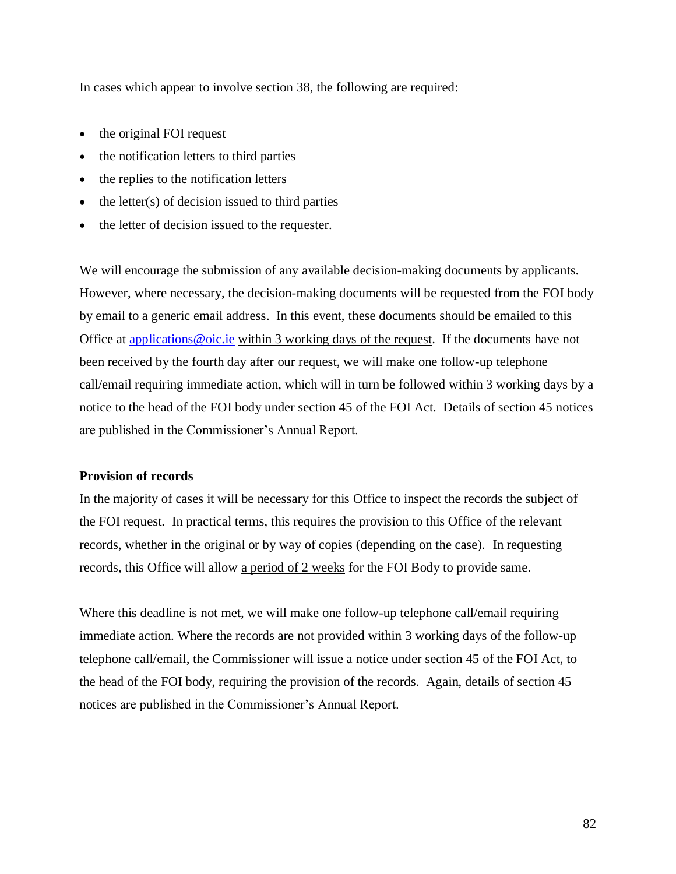In cases which appear to involve section 38, the following are required:

- the original FOI request
- the notification letters to third parties
- the replies to the notification letters
- the letter $(s)$  of decision issued to third parties
- the letter of decision issued to the requester.

We will encourage the submission of any available decision-making documents by applicants. However, where necessary, the decision-making documents will be requested from the FOI body by email to a generic email address. In this event, these documents should be emailed to this Office at applications  $@$  oic.ie within 3 working days of the request. If the documents have not been received by the fourth day after our request, we will make one follow-up telephone call/email requiring immediate action, which will in turn be followed within 3 working days by a notice to the head of the FOI body under section 45 of the FOI Act. Details of section 45 notices are published in the Commissioner's Annual Report.

#### **Provision of records**

In the majority of cases it will be necessary for this Office to inspect the records the subject of the FOI request. In practical terms, this requires the provision to this Office of the relevant records, whether in the original or by way of copies (depending on the case). In requesting records, this Office will allow a period of 2 weeks for the FOI Body to provide same.

Where this deadline is not met, we will make one follow-up telephone call/email requiring immediate action. Where the records are not provided within 3 working days of the follow-up telephone call/email, the Commissioner will issue a notice under section 45 of the FOI Act, to the head of the FOI body, requiring the provision of the records. Again, details of section 45 notices are published in the Commissioner's Annual Report.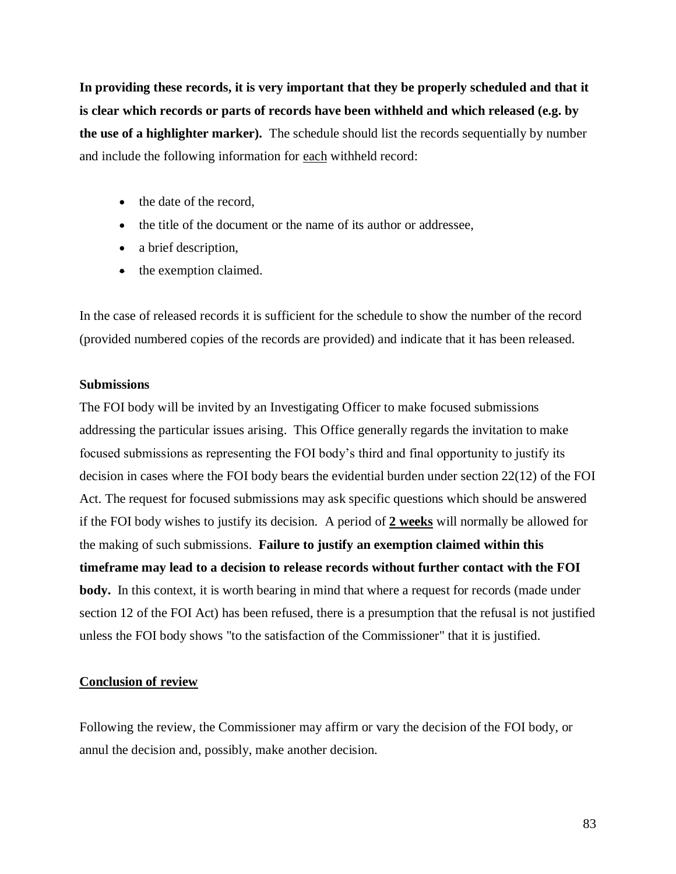**In providing these records, it is very important that they be properly scheduled and that it is clear which records or parts of records have been withheld and which released (e.g. by the use of a highlighter marker).** The schedule should list the records sequentially by number and include the following information for each withheld record:

- the date of the record,
- the title of the document or the name of its author or addressee,
- a brief description,
- the exemption claimed.

In the case of released records it is sufficient for the schedule to show the number of the record (provided numbered copies of the records are provided) and indicate that it has been released.

#### **Submissions**

The FOI body will be invited by an Investigating Officer to make focused submissions addressing the particular issues arising. This Office generally regards the invitation to make focused submissions as representing the FOI body's third and final opportunity to justify its decision in cases where the FOI body bears the evidential burden under section 22(12) of the FOI Act. The request for focused submissions may ask specific questions which should be answered if the FOI body wishes to justify its decision. A period of **2 weeks** will normally be allowed for the making of such submissions. **Failure to justify an exemption claimed within this timeframe may lead to a decision to release records without further contact with the FOI body.** In this context, it is worth bearing in mind that where a request for records (made under section 12 of the FOI Act) has been refused, there is a presumption that the refusal is not justified unless the FOI body shows "to the satisfaction of the Commissioner" that it is justified.

#### **Conclusion of review**

Following the review, the Commissioner may affirm or vary the decision of the FOI body, or annul the decision and, possibly, make another decision.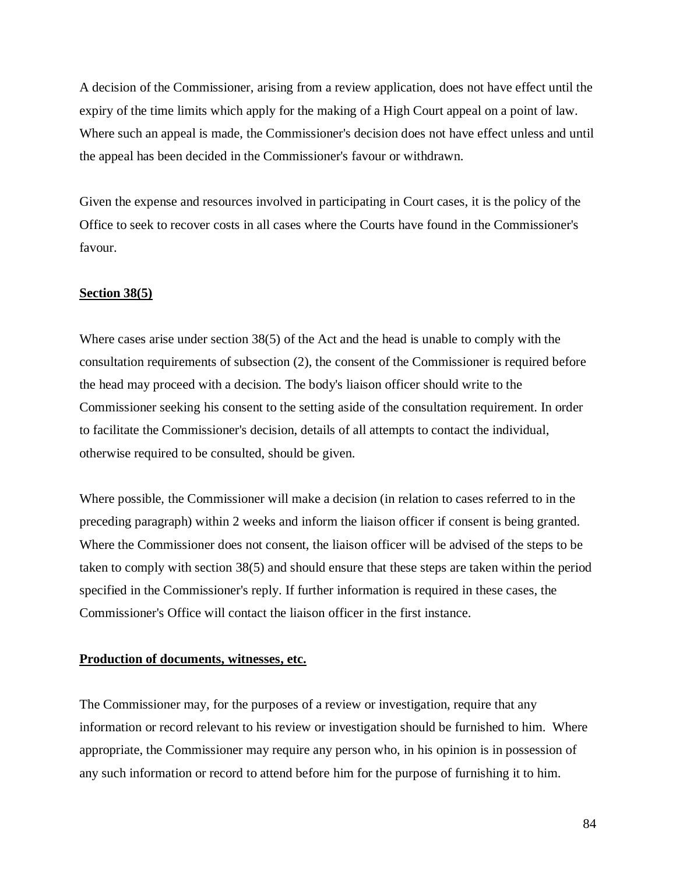A decision of the Commissioner, arising from a review application, does not have effect until the expiry of the time limits which apply for the making of a High Court appeal on a point of law. Where such an appeal is made, the Commissioner's decision does not have effect unless and until the appeal has been decided in the Commissioner's favour or withdrawn.

Given the expense and resources involved in participating in Court cases, it is the policy of the Office to seek to recover costs in all cases where the Courts have found in the Commissioner's favour.

#### **Section 38(5)**

Where cases arise under section 38(5) of the Act and the head is unable to comply with the consultation requirements of subsection (2), the consent of the Commissioner is required before the head may proceed with a decision. The body's liaison officer should write to the Commissioner seeking his consent to the setting aside of the consultation requirement. In order to facilitate the Commissioner's decision, details of all attempts to contact the individual, otherwise required to be consulted, should be given.

Where possible, the Commissioner will make a decision (in relation to cases referred to in the preceding paragraph) within 2 weeks and inform the liaison officer if consent is being granted. Where the Commissioner does not consent, the liaison officer will be advised of the steps to be taken to comply with section 38(5) and should ensure that these steps are taken within the period specified in the Commissioner's reply. If further information is required in these cases, the Commissioner's Office will contact the liaison officer in the first instance.

#### **Production of documents, witnesses, etc.**

The Commissioner may, for the purposes of a review or investigation, require that any information or record relevant to his review or investigation should be furnished to him. Where appropriate, the Commissioner may require any person who, in his opinion is in possession of any such information or record to attend before him for the purpose of furnishing it to him.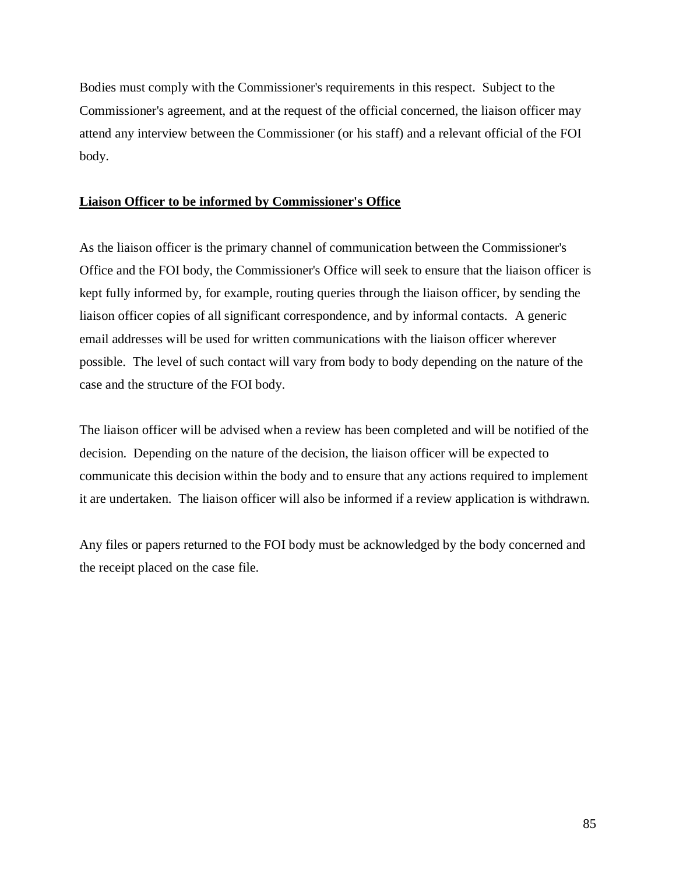Bodies must comply with the Commissioner's requirements in this respect. Subject to the Commissioner's agreement, and at the request of the official concerned, the liaison officer may attend any interview between the Commissioner (or his staff) and a relevant official of the FOI body.

#### **Liaison Officer to be informed by Commissioner's Office**

As the liaison officer is the primary channel of communication between the Commissioner's Office and the FOI body, the Commissioner's Office will seek to ensure that the liaison officer is kept fully informed by, for example, routing queries through the liaison officer, by sending the liaison officer copies of all significant correspondence, and by informal contacts. A generic email addresses will be used for written communications with the liaison officer wherever possible. The level of such contact will vary from body to body depending on the nature of the case and the structure of the FOI body.

The liaison officer will be advised when a review has been completed and will be notified of the decision. Depending on the nature of the decision, the liaison officer will be expected to communicate this decision within the body and to ensure that any actions required to implement it are undertaken. The liaison officer will also be informed if a review application is withdrawn.

Any files or papers returned to the FOI body must be acknowledged by the body concerned and the receipt placed on the case file.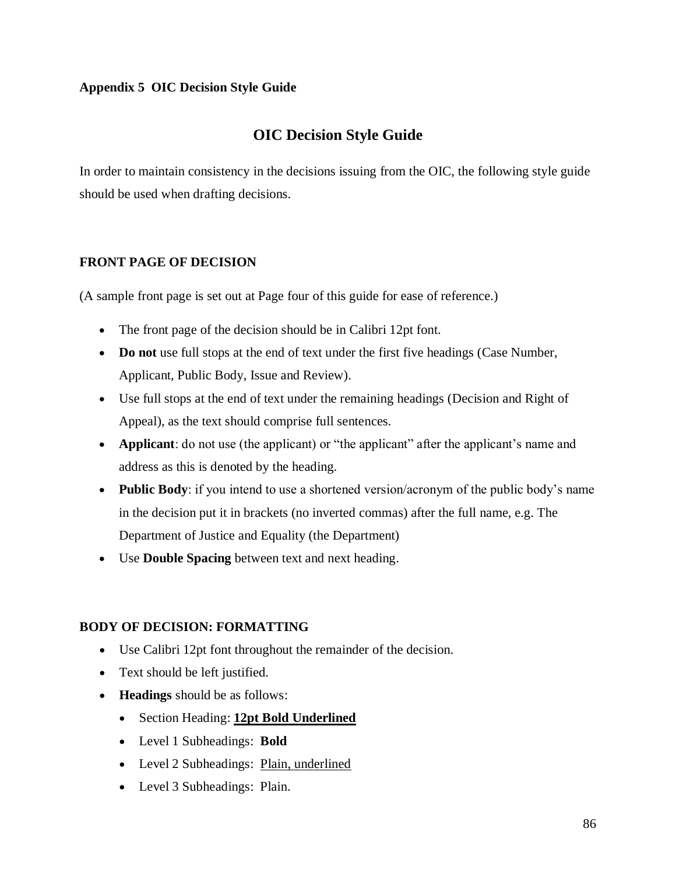## **Appendix 5 OIC Decision Style Guide**

## **OIC Decision Style Guide**

In order to maintain consistency in the decisions issuing from the OIC, the following style guide should be used when drafting decisions.

## **FRONT PAGE OF DECISION**

(A sample front page is set out at Page four of this guide for ease of reference.)

- The front page of the decision should be in Calibri 12pt font.
- **Do not** use full stops at the end of text under the first five headings (Case Number, Applicant, Public Body, Issue and Review).
- Use full stops at the end of text under the remaining headings (Decision and Right of Appeal), as the text should comprise full sentences.
- **Applicant**: do not use (the applicant) or "the applicant" after the applicant's name and address as this is denoted by the heading.
- **Public Body**: if you intend to use a shortened version/acronym of the public body's name in the decision put it in brackets (no inverted commas) after the full name, e.g. The Department of Justice and Equality (the Department)
- Use **Double Spacing** between text and next heading.

## **BODY OF DECISION: FORMATTING**

- Use Calibri 12pt font throughout the remainder of the decision.
- Text should be left justified.
- **Headings** should be as follows:
	- Section Heading: **12pt Bold Underlined**
	- Level 1 Subheadings: **Bold**
	- Level 2 Subheadings: Plain, underlined
	- Level 3 Subheadings: Plain.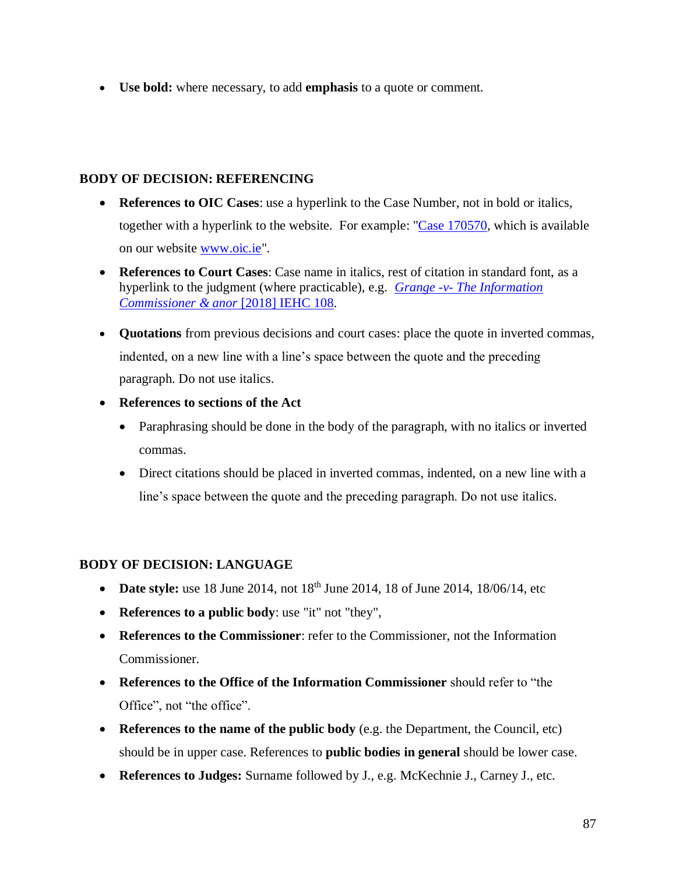• **Use bold:** where necessary, to add **emphasis** to a quote or comment.

### **BODY OF DECISION: REFERENCING**

- **References to OIC Cases**: use a hyperlink to the Case Number, not in bold or italics, together with a hyperlink to the website. For example: ["Case 170570,](http://www.oic.ie/decisions/mr-o-and-kerry-county-cou/index.xml) which is available on our website [www.oic.ie"](http://www.oic.ie/).
- **References to Court Cases**: Case name in italics, rest of citation in standard font, as a hyperlink to the judgment (where practicable), e.g. *Grange -v- [The Information](http://www.courts.ie/Judgments.nsf/09859e7a3f34669680256ef3004a27de/017baeba8501be528025825200379b0f?OpenDocument)  [Commissioner & anor](http://www.courts.ie/Judgments.nsf/09859e7a3f34669680256ef3004a27de/017baeba8501be528025825200379b0f?OpenDocument)* [2018] IEHC 108.
- **Quotations** from previous decisions and court cases: place the quote in inverted commas, indented, on a new line with a line's space between the quote and the preceding paragraph. Do not use italics.
- **References to sections of the Act** 
	- Paraphrasing should be done in the body of the paragraph, with no italics or inverted commas.
	- Direct citations should be placed in inverted commas, indented, on a new line with a line's space between the quote and the preceding paragraph. Do not use italics.

## **BODY OF DECISION: LANGUAGE**

- **Date style:** use 18 June 2014, not 18<sup>th</sup> June 2014, 18 of June 2014, 18/06/14, etc
- **References to a public body**: use "it" not "they",
- **References to the Commissioner**: refer to the Commissioner, not the Information Commissioner.
- **References to the Office of the Information Commissioner** should refer to "the Office", not "the office".
- **References to the name of the public body** (e.g. the Department, the Council, etc) should be in upper case. References to **public bodies in general** should be lower case.
- **References to Judges:** Surname followed by J., e.g. McKechnie J., Carney J., etc.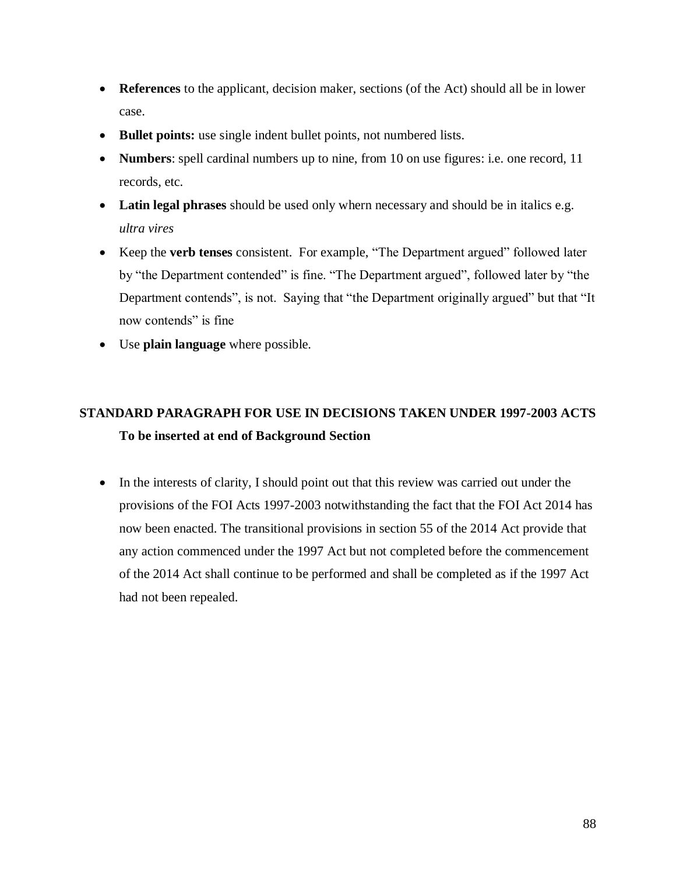- **References** to the applicant, decision maker, sections (of the Act) should all be in lower case.
- **Bullet points:** use single indent bullet points, not numbered lists.
- **Numbers**: spell cardinal numbers up to nine, from 10 on use figures: i.e. one record, 11 records, etc.
- **Latin legal phrases** should be used only whern necessary and should be in italics e.g. *ultra vires*
- Keep the **verb tenses** consistent. For example, "The Department argued" followed later by "the Department contended" is fine. "The Department argued", followed later by "the Department contends", is not. Saying that "the Department originally argued" but that "It now contends" is fine
- Use **plain language** where possible.

## **STANDARD PARAGRAPH FOR USE IN DECISIONS TAKEN UNDER 1997-2003 ACTS To be inserted at end of Background Section**

• In the interests of clarity, I should point out that this review was carried out under the provisions of the FOI Acts 1997-2003 notwithstanding the fact that the FOI Act 2014 has now been enacted. The transitional provisions in section 55 of the 2014 Act provide that any action commenced under the 1997 Act but not completed before the commencement of the 2014 Act shall continue to be performed and shall be completed as if the 1997 Act had not been repealed.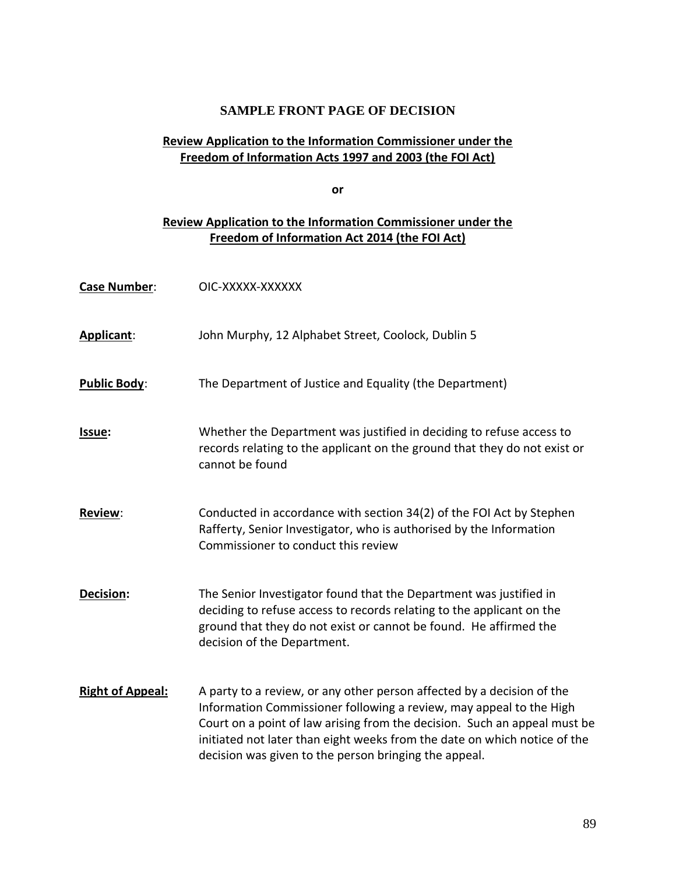## **SAMPLE FRONT PAGE OF DECISION**

## **Review Application to the Information Commissioner under the Freedom of Information Acts 1997 and 2003 (the FOI Act)**

**or**

## **Review Application to the Information Commissioner under the Freedom of Information Act 2014 (the FOI Act)**

| <b>Case Number:</b>     | OIC-XXXXX-XXXXXX                                                                                                                                                                                                                                                                                                                                                 |
|-------------------------|------------------------------------------------------------------------------------------------------------------------------------------------------------------------------------------------------------------------------------------------------------------------------------------------------------------------------------------------------------------|
| Applicant:              | John Murphy, 12 Alphabet Street, Coolock, Dublin 5                                                                                                                                                                                                                                                                                                               |
| <b>Public Body:</b>     | The Department of Justice and Equality (the Department)                                                                                                                                                                                                                                                                                                          |
| Issue:                  | Whether the Department was justified in deciding to refuse access to<br>records relating to the applicant on the ground that they do not exist or<br>cannot be found                                                                                                                                                                                             |
| Review:                 | Conducted in accordance with section 34(2) of the FOI Act by Stephen<br>Rafferty, Senior Investigator, who is authorised by the Information<br>Commissioner to conduct this review                                                                                                                                                                               |
| <b>Decision:</b>        | The Senior Investigator found that the Department was justified in<br>deciding to refuse access to records relating to the applicant on the<br>ground that they do not exist or cannot be found. He affirmed the<br>decision of the Department.                                                                                                                  |
| <b>Right of Appeal:</b> | A party to a review, or any other person affected by a decision of the<br>Information Commissioner following a review, may appeal to the High<br>Court on a point of law arising from the decision. Such an appeal must be<br>initiated not later than eight weeks from the date on which notice of the<br>decision was given to the person bringing the appeal. |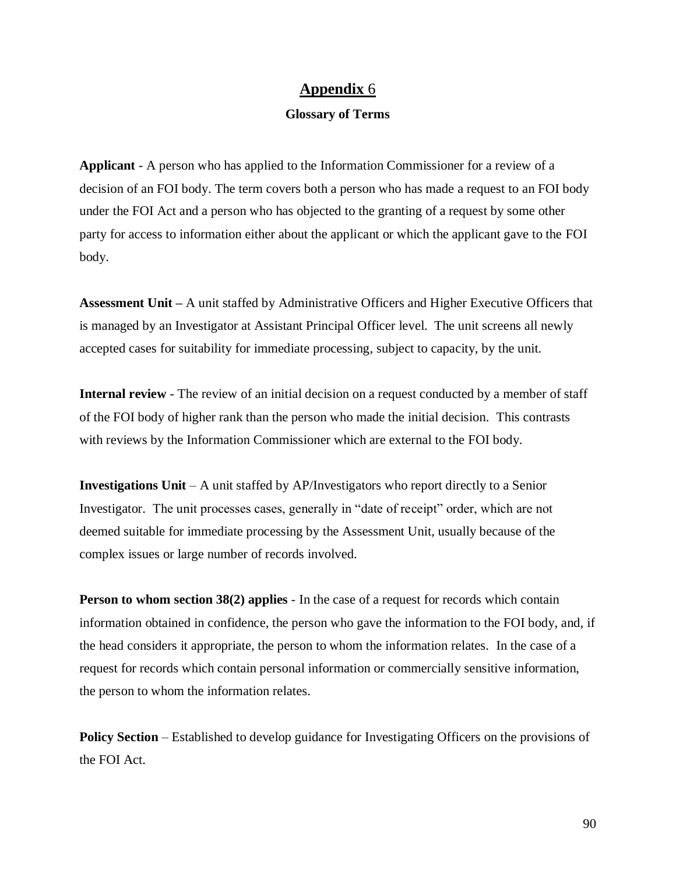## **Appendix** 6

#### **Glossary of Terms**

**Applicant** - A person who has applied to the Information Commissioner for a review of a decision of an FOI body. The term covers both a person who has made a request to an FOI body under the FOI Act and a person who has objected to the granting of a request by some other party for access to information either about the applicant or which the applicant gave to the FOI body.

**Assessment Unit –** A unit staffed by Administrative Officers and Higher Executive Officers that is managed by an Investigator at Assistant Principal Officer level. The unit screens all newly accepted cases for suitability for immediate processing, subject to capacity, by the unit.

**Internal review** - The review of an initial decision on a request conducted by a member of staff of the FOI body of higher rank than the person who made the initial decision. This contrasts with reviews by the Information Commissioner which are external to the FOI body.

**Investigations Unit** – A unit staffed by AP/Investigators who report directly to a Senior Investigator. The unit processes cases, generally in "date of receipt" order, which are not deemed suitable for immediate processing by the Assessment Unit, usually because of the complex issues or large number of records involved.

**Person to whom section 38(2) applies** - In the case of a request for records which contain information obtained in confidence, the person who gave the information to the FOI body, and, if the head considers it appropriate, the person to whom the information relates. In the case of a request for records which contain personal information or commercially sensitive information, the person to whom the information relates.

**Policy Section** – Established to develop guidance for Investigating Officers on the provisions of the FOI Act.